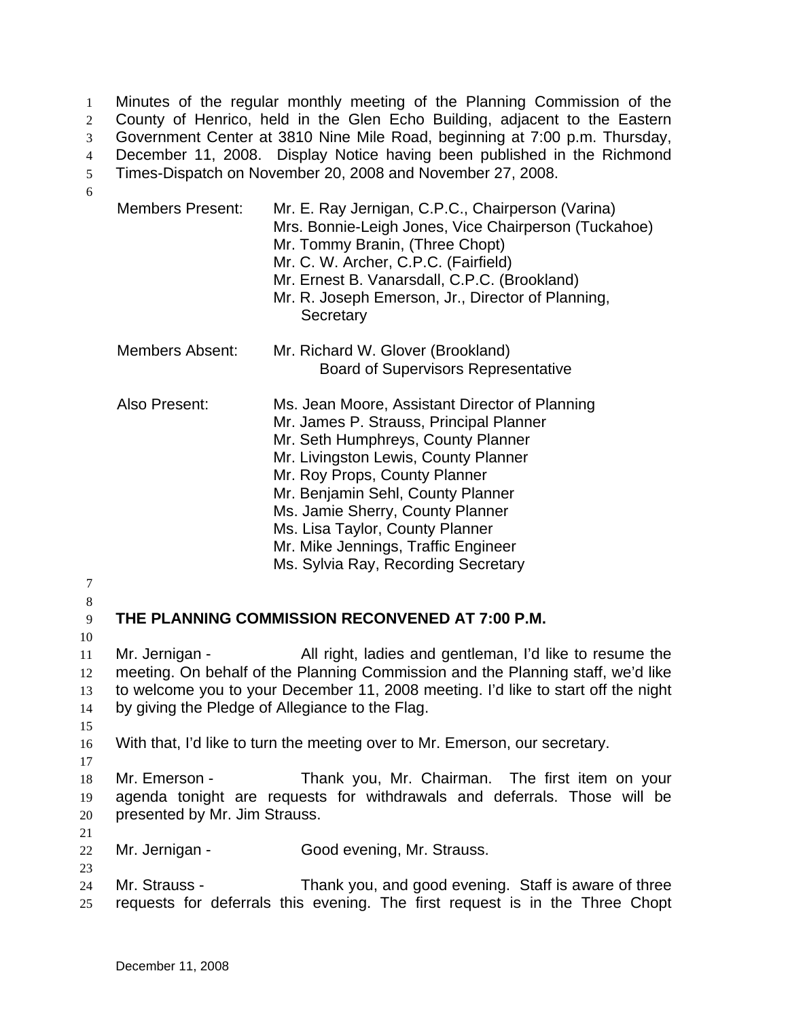Minutes of the regular monthly meeting of the Planning Commission of the County of Henrico, held in the Glen Echo Building, adjacent to the Eastern Government Center at 3810 Nine Mile Road, beginning at 7:00 p.m. Thursday, December 11, 2008. Display Notice having been published in the Richmond Times-Dispatch on November 20, 2008 and November 27, 2008. 1 2 3 4 5

6

| <b>Members Present:</b>                                                                                                                                                                                                                                                                              | Mr. E. Ray Jernigan, C.P.C., Chairperson (Varina)<br>Mrs. Bonnie-Leigh Jones, Vice Chairperson (Tuckahoe)<br>Mr. Tommy Branin, (Three Chopt)<br>Mr. C. W. Archer, C.P.C. (Fairfield)<br>Mr. Ernest B. Vanarsdall, C.P.C. (Brookland)<br>Mr. R. Joseph Emerson, Jr., Director of Planning,<br>Secretary                                                                                             |  |
|------------------------------------------------------------------------------------------------------------------------------------------------------------------------------------------------------------------------------------------------------------------------------------------------------|----------------------------------------------------------------------------------------------------------------------------------------------------------------------------------------------------------------------------------------------------------------------------------------------------------------------------------------------------------------------------------------------------|--|
| <b>Members Absent:</b>                                                                                                                                                                                                                                                                               | Mr. Richard W. Glover (Brookland)<br><b>Board of Supervisors Representative</b>                                                                                                                                                                                                                                                                                                                    |  |
| Also Present:                                                                                                                                                                                                                                                                                        | Ms. Jean Moore, Assistant Director of Planning<br>Mr. James P. Strauss, Principal Planner<br>Mr. Seth Humphreys, County Planner<br>Mr. Livingston Lewis, County Planner<br>Mr. Roy Props, County Planner<br>Mr. Benjamin Sehl, County Planner<br>Ms. Jamie Sherry, County Planner<br>Ms. Lisa Taylor, County Planner<br>Mr. Mike Jennings, Traffic Engineer<br>Ms. Sylvia Ray, Recording Secretary |  |
| THE PLANNING COMMISSION RECONVENED AT 7:00 P.M.                                                                                                                                                                                                                                                      |                                                                                                                                                                                                                                                                                                                                                                                                    |  |
| Mr. Jernigan -<br>All right, ladies and gentleman, I'd like to resume the<br>meeting. On behalf of the Planning Commission and the Planning staff, we'd like<br>to welcome you to your December 11, 2008 meeting. I'd like to start off the night<br>by giving the Pledge of Allegiance to the Flag. |                                                                                                                                                                                                                                                                                                                                                                                                    |  |

13 14 15

17

16 With that, I'd like to turn the meeting over to Mr. Emerson, our secretary.

18 19 20 Mr. Emerson - Thank you, Mr. Chairman. The first item on your agenda tonight are requests for withdrawals and deferrals. Those will be presented by Mr. Jim Strauss.

21

23

22 Mr. Jernigan - Good evening, Mr. Strauss.

24 25 Mr. Strauss - Thank you, and good evening. Staff is aware of three requests for deferrals this evening. The first request is in the Three Chopt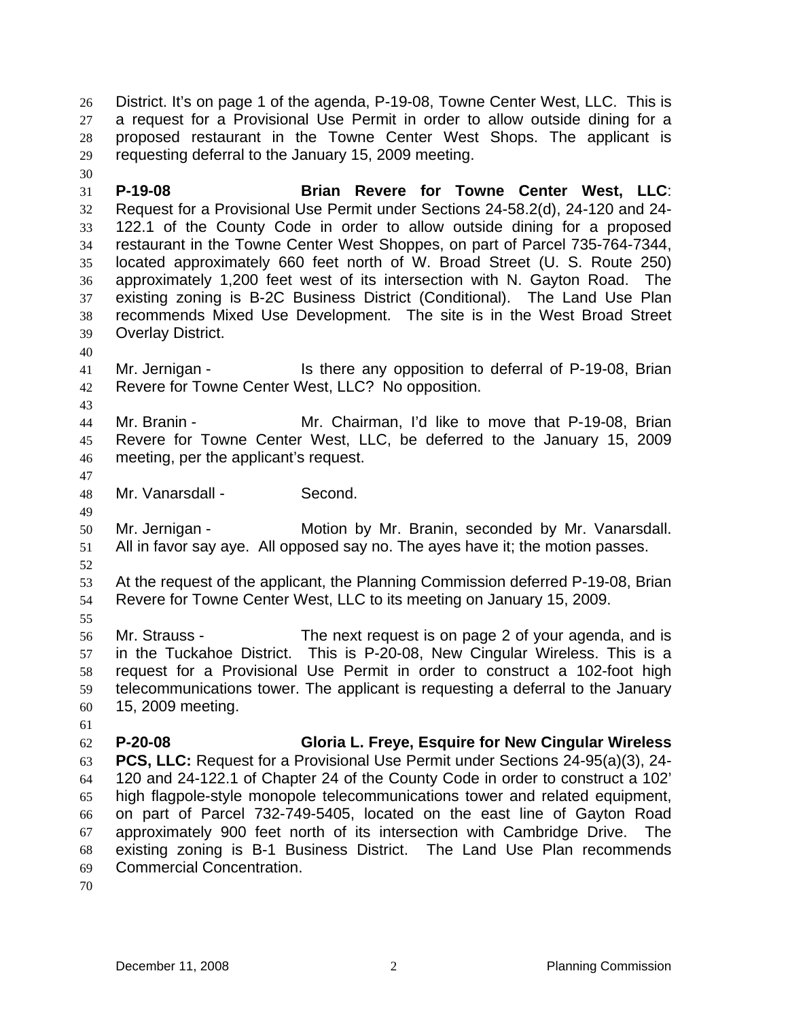District. It's on page 1 of the agenda, P-19-08, Towne Center West, LLC. This is a request for a Provisional Use Permit in order to allow outside dining for a proposed restaurant in the Towne Center West Shops. The applicant is requesting deferral to the January 15, 2009 meeting. 26 27 28 29

31 32 33 34 35 36 37 38 39 **P-19-08 Brian Revere for Towne Center West, LLC**: Request for a Provisional Use Permit under Sections 24-58.2(d), 24-120 and 24- 122.1 of the County Code in order to allow outside dining for a proposed restaurant in the Towne Center West Shoppes, on part of Parcel 735-764-7344, located approximately 660 feet north of W. Broad Street (U. S. Route 250) approximately 1,200 feet west of its intersection with N. Gayton Road. The existing zoning is B-2C Business District (Conditional). The Land Use Plan recommends Mixed Use Development. The site is in the West Broad Street Overlay District.

40

43

30

41 42 Mr. Jernigan - Is there any opposition to deferral of P-19-08, Brian Revere for Towne Center West, LLC? No opposition.

- 44 45 46 Mr. Branin - Mr. Chairman, I'd like to move that P-19-08, Brian Revere for Towne Center West, LLC, be deferred to the January 15, 2009 meeting, per the applicant's request.
- 47

49

48 Mr. Vanarsdall - Second.

50 51 Mr. Jernigan - **Motion by Mr. Branin, seconded by Mr. Vanarsdall.** All in favor say aye. All opposed say no. The ayes have it; the motion passes.

52

53 54 At the request of the applicant, the Planning Commission deferred P-19-08, Brian Revere for Towne Center West, LLC to its meeting on January 15, 2009.

55

61

56 57 58 59 60 Mr. Strauss - The next request is on page 2 of your agenda, and is in the Tuckahoe District. This is P-20-08, New Cingular Wireless. This is a request for a Provisional Use Permit in order to construct a 102-foot high telecommunications tower. The applicant is requesting a deferral to the January 15, 2009 meeting.

62 63 64 65 66 67 68 69 **P-20-08 Gloria L. Freye, Esquire for New Cingular Wireless PCS, LLC:** Request for a Provisional Use Permit under Sections 24-95(a)(3), 24- 120 and 24-122.1 of Chapter 24 of the County Code in order to construct a 102' high flagpole-style monopole telecommunications tower and related equipment, on part of Parcel 732-749-5405, located on the east line of Gayton Road approximately 900 feet north of its intersection with Cambridge Drive. The existing zoning is B-1 Business District. The Land Use Plan recommends Commercial Concentration.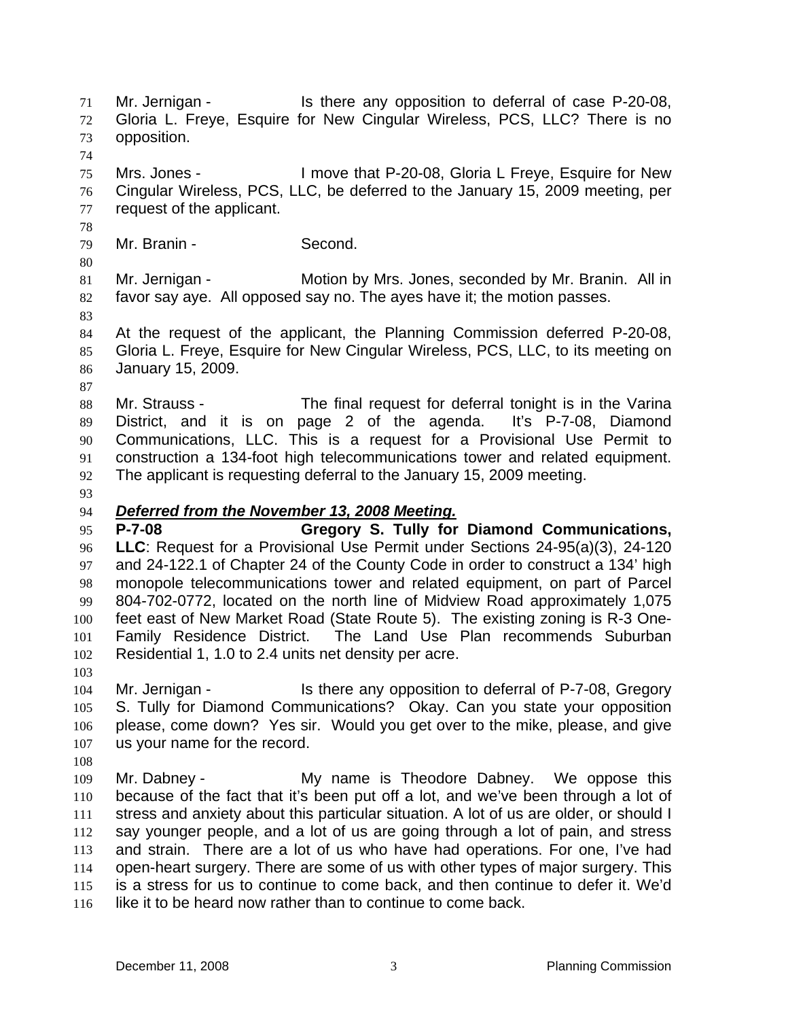Mr. Jernigan - The Is there any opposition to deferral of case P-20-08, Gloria L. Freye, Esquire for New Cingular Wireless, PCS, LLC? There is no opposition. 71 72 73 74 75 76 77 78 79 80 81 82 83 84 85 86 87 88 89 90 91 92 93 Mrs. Jones - I move that P-20-08, Gloria L Freye, Esquire for New Cingular Wireless, PCS, LLC, be deferred to the January 15, 2009 meeting, per request of the applicant. Mr. Branin - Second. Mr. Jernigan - Motion by Mrs. Jones, seconded by Mr. Branin. All in favor say aye. All opposed say no. The ayes have it; the motion passes. At the request of the applicant, the Planning Commission deferred P-20-08, Gloria L. Freye, Esquire for New Cingular Wireless, PCS, LLC, to its meeting on January 15, 2009. Mr. Strauss - The final request for deferral tonight is in the Varina District, and it is on page 2 of the agenda. It's P-7-08, Diamond Communications, LLC. This is a request for a Provisional Use Permit to construction a 134-foot high telecommunications tower and related equipment. The applicant is requesting deferral to the January 15, 2009 meeting. 94 *Deferred from the November 13, 2008 Meeting.* 95 96 97 98 99 100 101 102 103 104 105 106 107 108 109 110 111 112 113 114 115 116 **P-7-08 Gregory S. Tully for Diamond Communications, LLC**: Request for a Provisional Use Permit under Sections 24-95(a)(3), 24-120 and 24-122.1 of Chapter 24 of the County Code in order to construct a 134' high monopole telecommunications tower and related equipment, on part of Parcel 804-702-0772, located on the north line of Midview Road approximately 1,075 feet east of New Market Road (State Route 5). The existing zoning is R-3 One-Family Residence District. The Land Use Plan recommends Suburban Residential 1, 1.0 to 2.4 units net density per acre. Mr. Jernigan - Is there any opposition to deferral of P-7-08, Gregory S. Tully for Diamond Communications? Okay. Can you state your opposition please, come down? Yes sir. Would you get over to the mike, please, and give us your name for the record. Mr. Dabney - The My name is Theodore Dabney. We oppose this because of the fact that it's been put off a lot, and we've been through a lot of stress and anxiety about this particular situation. A lot of us are older, or should I say younger people, and a lot of us are going through a lot of pain, and stress and strain. There are a lot of us who have had operations. For one, I've had open-heart surgery. There are some of us with other types of major surgery. This is a stress for us to continue to come back, and then continue to defer it. We'd like it to be heard now rather than to continue to come back.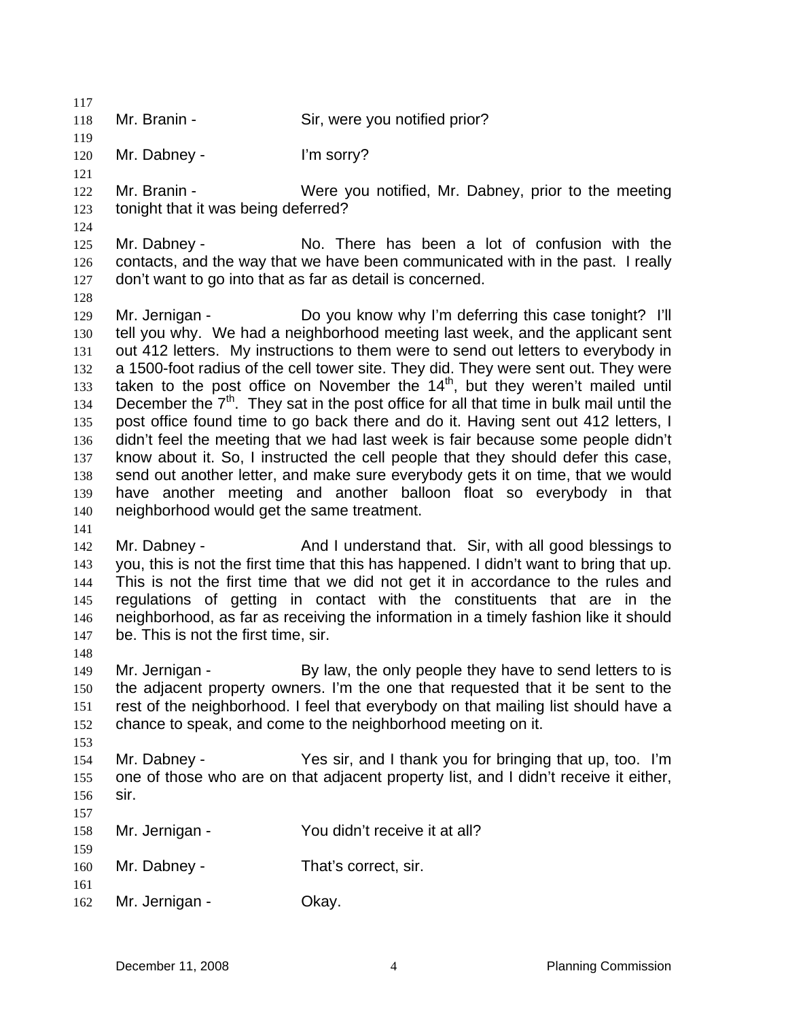118 Mr. Branin - Sir, were you notified prior?

120 Mr. Dabney - I'm sorry?

121

124

117

119

122 123 Mr. Branin - Were you notified, Mr. Dabney, prior to the meeting tonight that it was being deferred?

125 126 127 Mr. Dabney - No. There has been a lot of confusion with the contacts, and the way that we have been communicated with in the past. I really don't want to go into that as far as detail is concerned.

128

141

148

153

129 130 131 132 133 134 135 136 137 138 139 140 Mr. Jernigan - Do you know why I'm deferring this case tonight? I'll tell you why. We had a neighborhood meeting last week, and the applicant sent out 412 letters. My instructions to them were to send out letters to everybody in a 1500-foot radius of the cell tower site. They did. They were sent out. They were taken to the post office on November the  $14<sup>th</sup>$ , but they weren't mailed until December the  $7<sup>th</sup>$ . They sat in the post office for all that time in bulk mail until the post office found time to go back there and do it. Having sent out 412 letters, I didn't feel the meeting that we had last week is fair because some people didn't know about it. So, I instructed the cell people that they should defer this case, send out another letter, and make sure everybody gets it on time, that we would have another meeting and another balloon float so everybody in that neighborhood would get the same treatment.

142 143 144 145 146 147 Mr. Dabney - The Stand I understand that. Sir, with all good blessings to you, this is not the first time that this has happened. I didn't want to bring that up. This is not the first time that we did not get it in accordance to the rules and regulations of getting in contact with the constituents that are in the neighborhood, as far as receiving the information in a timely fashion like it should be. This is not the first time, sir.

- 149 150 151 152 Mr. Jernigan - By law, the only people they have to send letters to is the adjacent property owners. I'm the one that requested that it be sent to the rest of the neighborhood. I feel that everybody on that mailing list should have a chance to speak, and come to the neighborhood meeting on it.
- 154 155 156 Mr. Dabney - Yes sir, and I thank you for bringing that up, too. I'm one of those who are on that adjacent property list, and I didn't receive it either, sir.

| 157  |                |                               |
|------|----------------|-------------------------------|
| 158  | Mr. Jernigan - | You didn't receive it at all? |
| 159  |                |                               |
| 160  | Mr. Dabney -   | That's correct, sir.          |
| -161 |                |                               |

162 Mr. Jernigan - Ckay.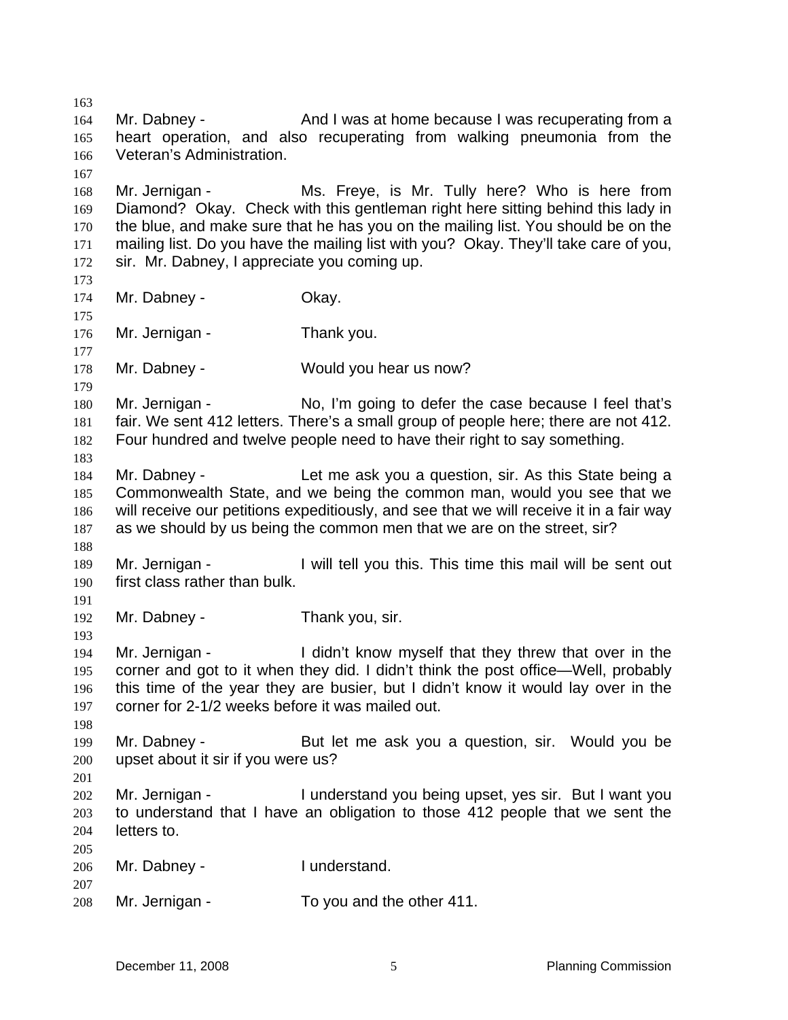163 164 165 166 167 168 169 170 171 172 173 174 175 176 177 178 179 180 181 182 183 184 185 186 187 188 189 190 191 192 193 194 195 196 197 198 199 200 201 202 203 204 205 206 207 208 Mr. Dabney - And I was at home because I was recuperating from a heart operation, and also recuperating from walking pneumonia from the Veteran's Administration. Mr. Jernigan - Ms. Freye, is Mr. Tully here? Who is here from Diamond? Okay. Check with this gentleman right here sitting behind this lady in the blue, and make sure that he has you on the mailing list. You should be on the mailing list. Do you have the mailing list with you? Okay. They'll take care of you, sir. Mr. Dabney, I appreciate you coming up. Mr. Dabney - Ckay. Mr. Jernigan - Thank you. Mr. Dabney - Would you hear us now? Mr. Jernigan - No, I'm going to defer the case because I feel that's fair. We sent 412 letters. There's a small group of people here; there are not 412. Four hundred and twelve people need to have their right to say something. Mr. Dabney - Let me ask you a question, sir. As this State being a Commonwealth State, and we being the common man, would you see that we will receive our petitions expeditiously, and see that we will receive it in a fair way as we should by us being the common men that we are on the street, sir? Mr. Jernigan - I will tell you this. This time this mail will be sent out first class rather than bulk. Mr. Dabney - Thank you, sir. Mr. Jernigan - The I didn't know myself that they threw that over in the corner and got to it when they did. I didn't think the post office—Well, probably this time of the year they are busier, but I didn't know it would lay over in the corner for 2-1/2 weeks before it was mailed out. Mr. Dabney - But let me ask you a question, sir. Would you be upset about it sir if you were us? Mr. Jernigan - I understand you being upset, yes sir. But I want you to understand that I have an obligation to those 412 people that we sent the letters to. Mr. Dabney - **I** understand. Mr. Jernigan - To you and the other 411.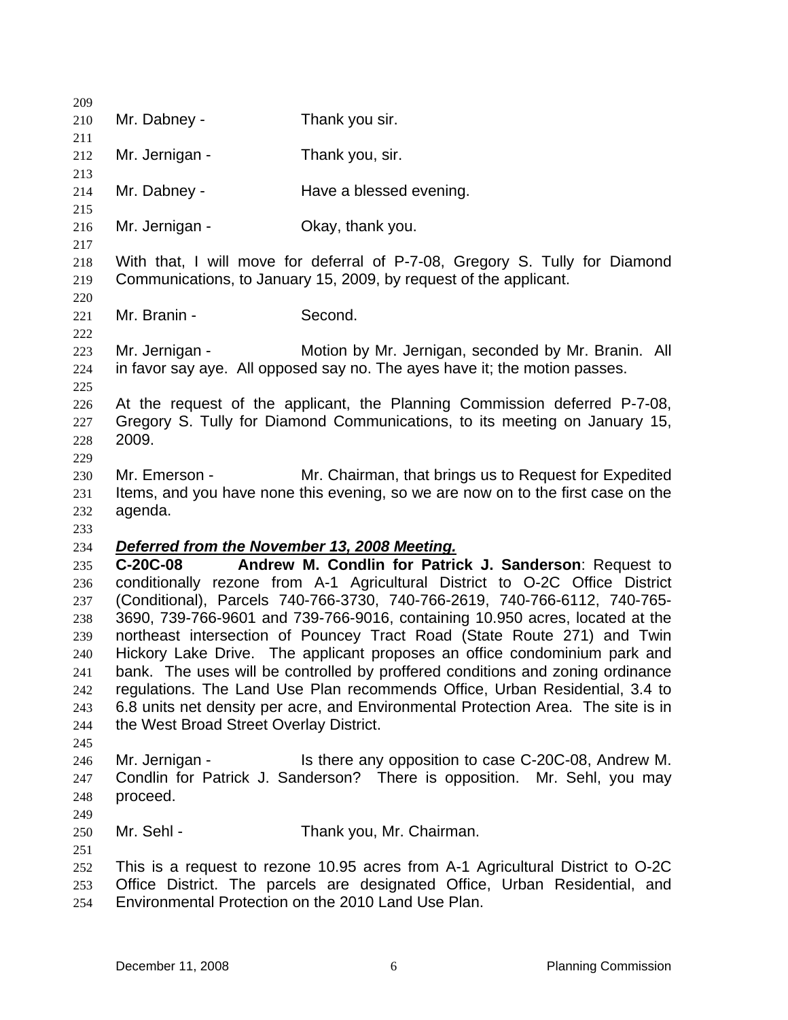| 209        |                                              |                                                                                                                                                         |
|------------|----------------------------------------------|---------------------------------------------------------------------------------------------------------------------------------------------------------|
| 210        | Mr. Dabney -                                 | Thank you sir.                                                                                                                                          |
| 211        |                                              |                                                                                                                                                         |
| 212        | Mr. Jernigan -                               | Thank you, sir.                                                                                                                                         |
| 213        |                                              |                                                                                                                                                         |
| 214        | Mr. Dabney -                                 | Have a blessed evening.                                                                                                                                 |
| 215        |                                              |                                                                                                                                                         |
| 216        | Mr. Jernigan -                               | Okay, thank you.                                                                                                                                        |
| 217        |                                              |                                                                                                                                                         |
| 218        |                                              | With that, I will move for deferral of P-7-08, Gregory S. Tully for Diamond                                                                             |
| 219        |                                              | Communications, to January 15, 2009, by request of the applicant.                                                                                       |
| 220        | Mr. Branin -                                 | Second.                                                                                                                                                 |
| 221<br>222 |                                              |                                                                                                                                                         |
| 223        | Mr. Jernigan -                               | Motion by Mr. Jernigan, seconded by Mr. Branin. All                                                                                                     |
| 224        |                                              | in favor say aye. All opposed say no. The ayes have it; the motion passes.                                                                              |
| 225        |                                              |                                                                                                                                                         |
| 226        |                                              | At the request of the applicant, the Planning Commission deferred P-7-08,                                                                               |
| 227        |                                              | Gregory S. Tully for Diamond Communications, to its meeting on January 15,                                                                              |
| 228        | 2009.                                        |                                                                                                                                                         |
| 229        |                                              |                                                                                                                                                         |
| 230        | Mr. Emerson -                                | Mr. Chairman, that brings us to Request for Expedited                                                                                                   |
| 231        |                                              | Items, and you have none this evening, so we are now on to the first case on the                                                                        |
| 232        | agenda.                                      |                                                                                                                                                         |
| 233        |                                              |                                                                                                                                                         |
| 234        | Deferred from the November 13, 2008 Meeting. |                                                                                                                                                         |
| 235        | $C-20C-08$                                   | Andrew M. Condlin for Patrick J. Sanderson: Request to                                                                                                  |
| 236        |                                              | conditionally rezone from A-1 Agricultural District to O-2C Office District                                                                             |
| 237        |                                              | (Conditional), Parcels 740-766-3730, 740-766-2619, 740-766-6112, 740-765-                                                                               |
| 238<br>239 |                                              | 3690, 739-766-9601 and 739-766-9016, containing 10.950 acres, located at the<br>northeast intersection of Pouncey Tract Road (State Route 271) and Twin |
| 240        |                                              | Hickory Lake Drive. The applicant proposes an office condominium park and                                                                               |
| 241        |                                              | bank. The uses will be controlled by proffered conditions and zoning ordinance                                                                          |
| 242        |                                              | regulations. The Land Use Plan recommends Office, Urban Residential, 3.4 to                                                                             |
| 243        |                                              | 6.8 units net density per acre, and Environmental Protection Area. The site is in                                                                       |
| 244        | the West Broad Street Overlay District.      |                                                                                                                                                         |
| 245        |                                              |                                                                                                                                                         |
| 246        | Mr. Jernigan -                               | Is there any opposition to case C-20C-08, Andrew M.                                                                                                     |
| 247        |                                              | Condlin for Patrick J. Sanderson? There is opposition. Mr. Sehl, you may                                                                                |
| 248        | proceed.                                     |                                                                                                                                                         |
| 249        |                                              |                                                                                                                                                         |
| 250        | Mr. Sehl -                                   | Thank you, Mr. Chairman.                                                                                                                                |
| 251        |                                              |                                                                                                                                                         |
| 252        |                                              | This is a request to rezone 10.95 acres from A-1 Agricultural District to O-2C                                                                          |
| 253        |                                              | Office District. The parcels are designated Office, Urban Residential, and                                                                              |
| 254        |                                              | Environmental Protection on the 2010 Land Use Plan.                                                                                                     |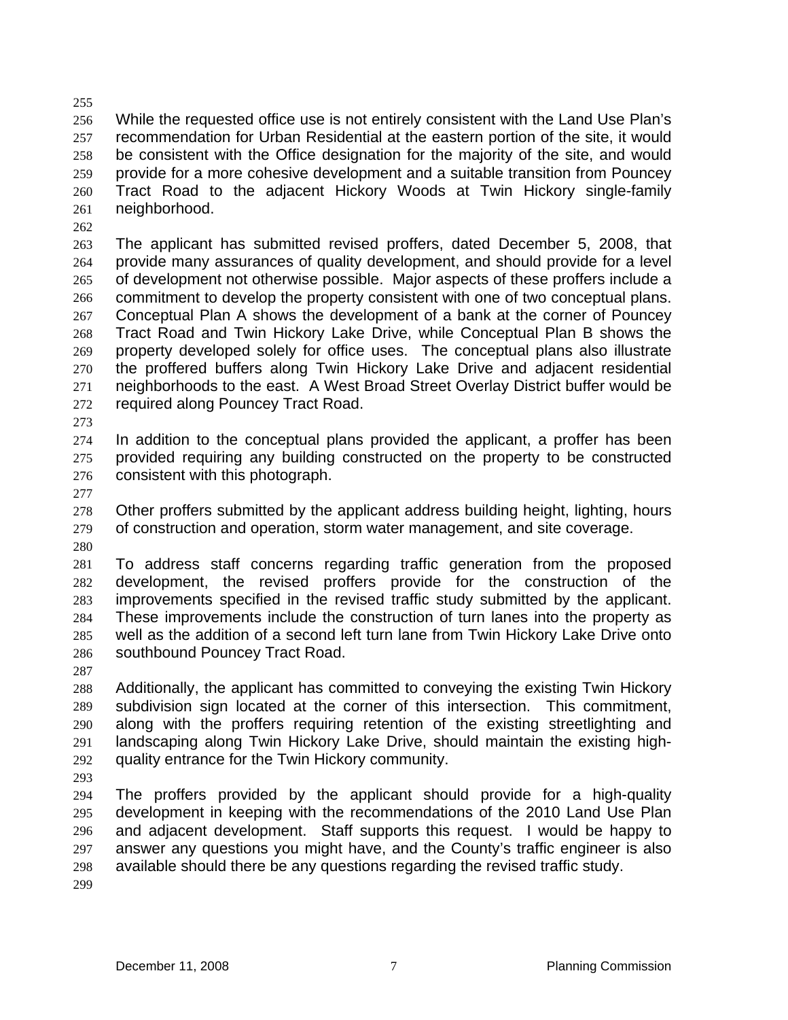256 257 258 259 260 261 While the requested office use is not entirely consistent with the Land Use Plan's recommendation for Urban Residential at the eastern portion of the site, it would be consistent with the Office designation for the majority of the site, and would provide for a more cohesive development and a suitable transition from Pouncey Tract Road to the adjacent Hickory Woods at Twin Hickory single-family neighborhood.

263 264 265 266 267 268 269 270 271 272 The applicant has submitted revised proffers, dated December 5, 2008, that provide many assurances of quality development, and should provide for a level of development not otherwise possible. Major aspects of these proffers include a commitment to develop the property consistent with one of two conceptual plans. Conceptual Plan A shows the development of a bank at the corner of Pouncey Tract Road and Twin Hickory Lake Drive, while Conceptual Plan B shows the property developed solely for office uses. The conceptual plans also illustrate the proffered buffers along Twin Hickory Lake Drive and adjacent residential neighborhoods to the east. A West Broad Street Overlay District buffer would be required along Pouncey Tract Road.

273

255

262

274 275 276 In addition to the conceptual plans provided the applicant, a proffer has been provided requiring any building constructed on the property to be constructed consistent with this photograph.

277

278 279 Other proffers submitted by the applicant address building height, lighting, hours of construction and operation, storm water management, and site coverage.

280

281 282 283 284 285 286 To address staff concerns regarding traffic generation from the proposed development, the revised proffers provide for the construction of the improvements specified in the revised traffic study submitted by the applicant. These improvements include the construction of turn lanes into the property as well as the addition of a second left turn lane from Twin Hickory Lake Drive onto southbound Pouncey Tract Road.

287

288 289 290 291 292 Additionally, the applicant has committed to conveying the existing Twin Hickory subdivision sign located at the corner of this intersection. This commitment, along with the proffers requiring retention of the existing streetlighting and landscaping along Twin Hickory Lake Drive, should maintain the existing highquality entrance for the Twin Hickory community.

293

294 295 296 297 298 299 The proffers provided by the applicant should provide for a high-quality development in keeping with the recommendations of the 2010 Land Use Plan and adjacent development. Staff supports this request. I would be happy to answer any questions you might have, and the County's traffic engineer is also available should there be any questions regarding the revised traffic study.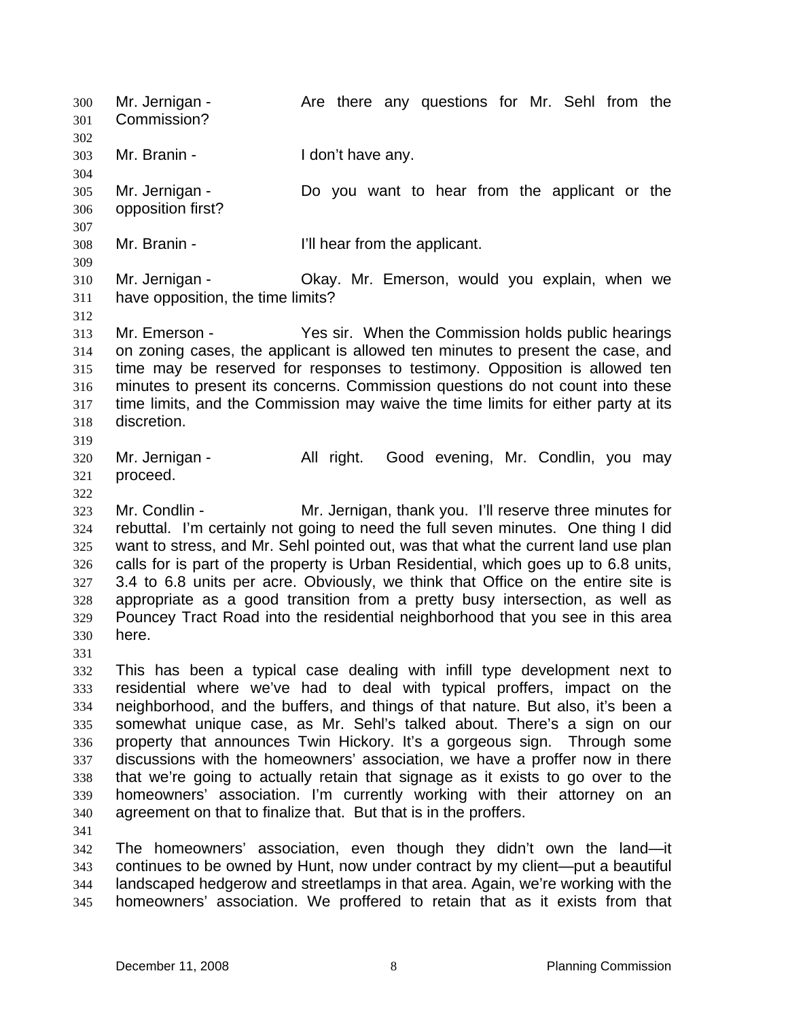Mr. Jernigan - The Are there any questions for Mr. Sehl from the Commission? 300 301 302 303 304 305 306 307 308 309 310 311 312 313 314 315 316 317 318 319 320 321 322 323 324 325 326 327 328 329 330 331 332 333 334 335 336 337 338 339 340 341 342 343 344 345 Mr. Branin - The Muslim Heldon't have any. Mr. Jernigan - The Do you want to hear from the applicant or the opposition first? Mr. Branin - T'll hear from the applicant. Mr. Jernigan - Okay. Mr. Emerson, would you explain, when we have opposition, the time limits? Mr. Emerson - Yes sir. When the Commission holds public hearings on zoning cases, the applicant is allowed ten minutes to present the case, and time may be reserved for responses to testimony. Opposition is allowed ten minutes to present its concerns. Commission questions do not count into these time limits, and the Commission may waive the time limits for either party at its discretion. Mr. Jernigan - The All right. Good evening, Mr. Condlin, you may proceed. Mr. Condlin - The Mr. Jernigan, thank you. I'll reserve three minutes for rebuttal. I'm certainly not going to need the full seven minutes. One thing I did want to stress, and Mr. Sehl pointed out, was that what the current land use plan calls for is part of the property is Urban Residential, which goes up to 6.8 units, 3.4 to 6.8 units per acre. Obviously, we think that Office on the entire site is appropriate as a good transition from a pretty busy intersection, as well as Pouncey Tract Road into the residential neighborhood that you see in this area here. This has been a typical case dealing with infill type development next to residential where we've had to deal with typical proffers, impact on the neighborhood, and the buffers, and things of that nature. But also, it's been a somewhat unique case, as Mr. Sehl's talked about. There's a sign on our property that announces Twin Hickory. It's a gorgeous sign. Through some discussions with the homeowners' association, we have a proffer now in there that we're going to actually retain that signage as it exists to go over to the homeowners' association. I'm currently working with their attorney on an agreement on that to finalize that. But that is in the proffers. The homeowners' association, even though they didn't own the land—it continues to be owned by Hunt, now under contract by my client—put a beautiful landscaped hedgerow and streetlamps in that area. Again, we're working with the homeowners' association. We proffered to retain that as it exists from that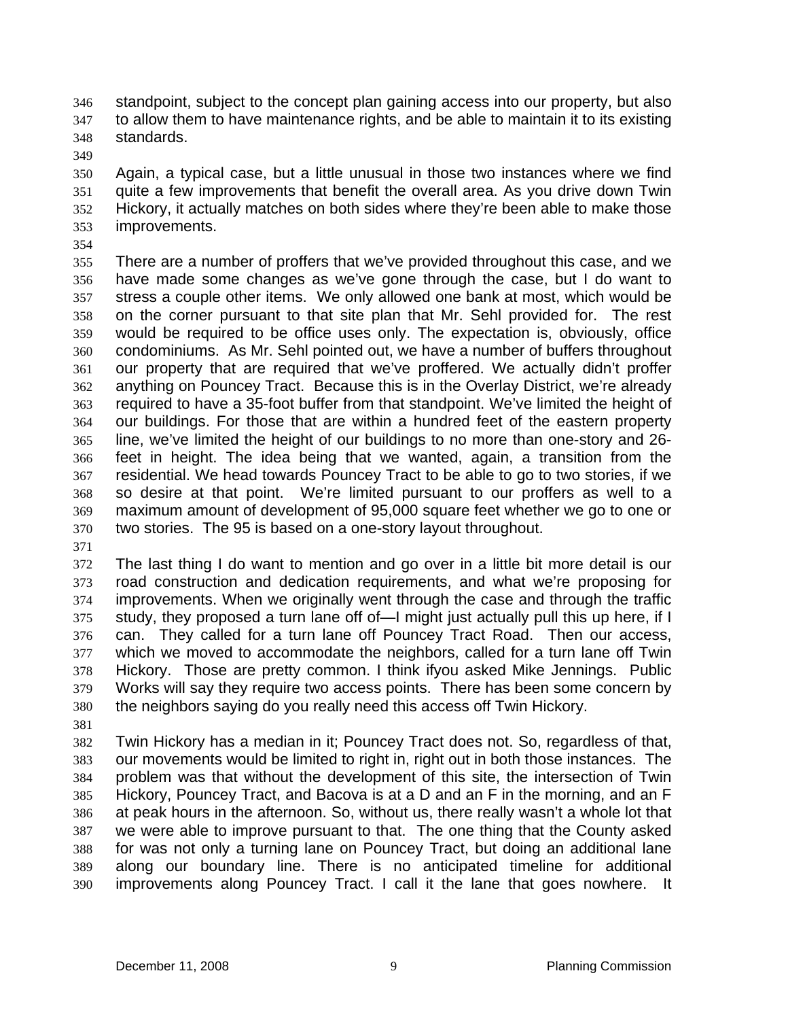standpoint, subject to the concept plan gaining access into our property, but also to allow them to have maintenance rights, and be able to maintain it to its existing standards. 346 347 348

349

350 351 352 353 Again, a typical case, but a little unusual in those two instances where we find quite a few improvements that benefit the overall area. As you drive down Twin Hickory, it actually matches on both sides where they're been able to make those improvements.

354

355 356 357 358 359 360 361 362 363 364 365 366 367 368 369 370 There are a number of proffers that we've provided throughout this case, and we have made some changes as we've gone through the case, but I do want to stress a couple other items. We only allowed one bank at most, which would be on the corner pursuant to that site plan that Mr. Sehl provided for. The rest would be required to be office uses only. The expectation is, obviously, office condominiums. As Mr. Sehl pointed out, we have a number of buffers throughout our property that are required that we've proffered. We actually didn't proffer anything on Pouncey Tract. Because this is in the Overlay District, we're already required to have a 35-foot buffer from that standpoint. We've limited the height of our buildings. For those that are within a hundred feet of the eastern property line, we've limited the height of our buildings to no more than one-story and 26 feet in height. The idea being that we wanted, again, a transition from the residential. We head towards Pouncey Tract to be able to go to two stories, if we so desire at that point. We're limited pursuant to our proffers as well to a maximum amount of development of 95,000 square feet whether we go to one or two stories. The 95 is based on a one-story layout throughout.

371

372 373 374 375 376 377 378 379 380 The last thing I do want to mention and go over in a little bit more detail is our road construction and dedication requirements, and what we're proposing for improvements. When we originally went through the case and through the traffic study, they proposed a turn lane off of—I might just actually pull this up here, if I can. They called for a turn lane off Pouncey Tract Road. Then our access, which we moved to accommodate the neighbors, called for a turn lane off Twin Hickory. Those are pretty common. I think ifyou asked Mike Jennings. Public Works will say they require two access points. There has been some concern by the neighbors saying do you really need this access off Twin Hickory.

381

382 383 384 385 386 387 388 389 390 Twin Hickory has a median in it; Pouncey Tract does not. So, regardless of that, our movements would be limited to right in, right out in both those instances. The problem was that without the development of this site, the intersection of Twin Hickory, Pouncey Tract, and Bacova is at a D and an F in the morning, and an F at peak hours in the afternoon. So, without us, there really wasn't a whole lot that we were able to improve pursuant to that. The one thing that the County asked for was not only a turning lane on Pouncey Tract, but doing an additional lane along our boundary line. There is no anticipated timeline for additional improvements along Pouncey Tract. I call it the lane that goes nowhere. It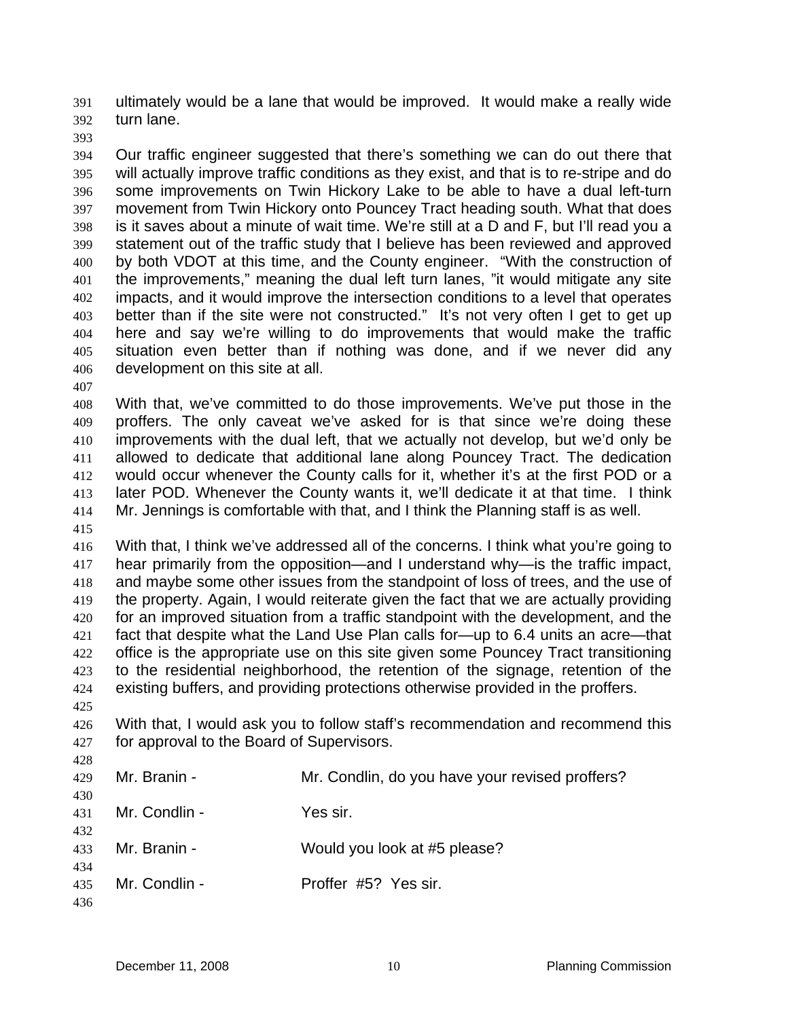ultimately would be a lane that would be improved. It would make a really wide turn lane. 391 392

393

394 395 396 397 398 399 400 401 402 403 404 405 406 Our traffic engineer suggested that there's something we can do out there that will actually improve traffic conditions as they exist, and that is to re-stripe and do some improvements on Twin Hickory Lake to be able to have a dual left-turn movement from Twin Hickory onto Pouncey Tract heading south. What that does is it saves about a minute of wait time. We're still at a D and F, but I'll read you a statement out of the traffic study that I believe has been reviewed and approved by both VDOT at this time, and the County engineer. "With the construction of the improvements," meaning the dual left turn lanes, "it would mitigate any site impacts, and it would improve the intersection conditions to a level that operates better than if the site were not constructed." It's not very often I get to get up here and say we're willing to do improvements that would make the traffic situation even better than if nothing was done, and if we never did any development on this site at all.

407

408 409 410 411 412 413 414 With that, we've committed to do those improvements. We've put those in the proffers. The only caveat we've asked for is that since we're doing these improvements with the dual left, that we actually not develop, but we'd only be allowed to dedicate that additional lane along Pouncey Tract. The dedication would occur whenever the County calls for it, whether it's at the first POD or a later POD. Whenever the County wants it, we'll dedicate it at that time. I think Mr. Jennings is comfortable with that, and I think the Planning staff is as well.

415

416 417 418 419 420 421 422 423 424 With that, I think we've addressed all of the concerns. I think what you're going to hear primarily from the opposition—and I understand why—is the traffic impact, and maybe some other issues from the standpoint of loss of trees, and the use of the property. Again, I would reiterate given the fact that we are actually providing for an improved situation from a traffic standpoint with the development, and the fact that despite what the Land Use Plan calls for—up to 6.4 units an acre—that office is the appropriate use on this site given some Pouncey Tract transitioning to the residential neighborhood, the retention of the signage, retention of the existing buffers, and providing protections otherwise provided in the proffers.

425

428

426 427 With that, I would ask you to follow staff's recommendation and recommend this for approval to the Board of Supervisors.

| 429               | Mr. Branin -  | Mr. Condlin, do you have your revised proffers? |
|-------------------|---------------|-------------------------------------------------|
| 430<br>431        | Mr. Condlin - | Yes sir.                                        |
| 432<br>433        | Mr. Branin -  | Would you look at #5 please?                    |
| 434<br>435<br>436 | Mr. Condlin - | Proffer #5? Yes sir.                            |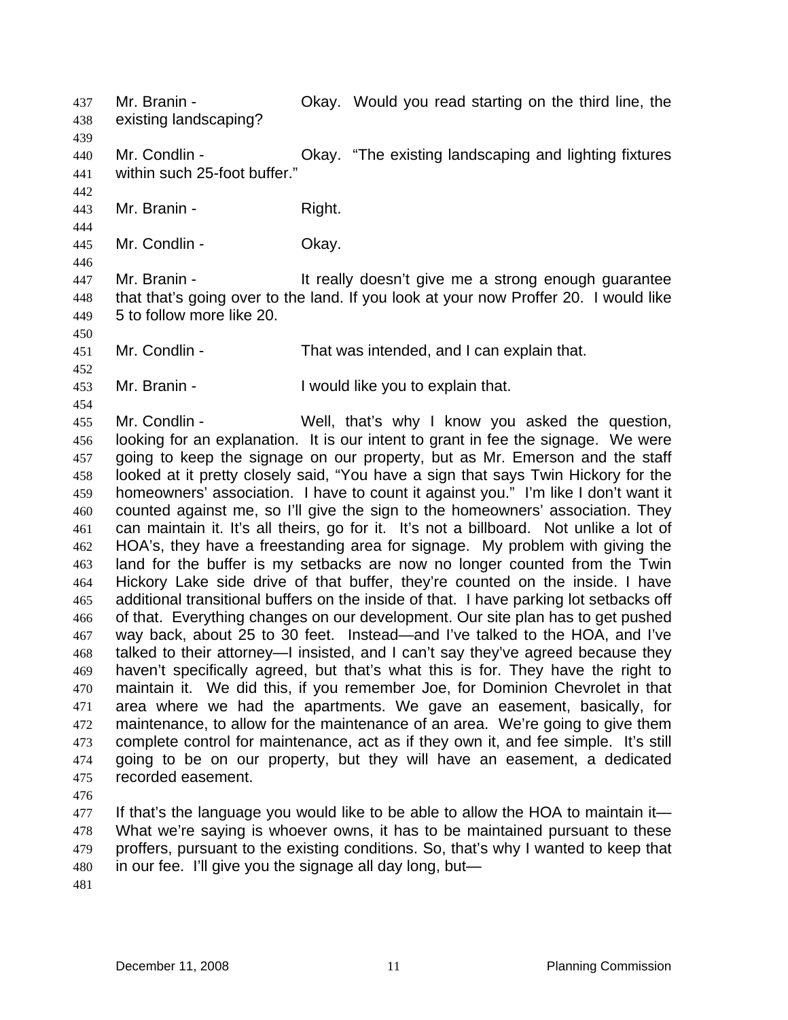existing landscaping? 438 439 440 441 442 443 444 445 446 447 448 449 450 451 452 453 454 Mr. Condlin - Chay. "The existing landscaping and lighting fixtures within such 25-foot buffer." Mr. Branin - Right. Mr. Condlin - Chay. Mr. Branin - The State of the really doesn't give me a strong enough guarantee that that's going over to the land. If you look at your now Proffer 20. I would like 5 to follow more like 20. Mr. Condlin - That was intended, and I can explain that. Mr. Branin - The Unit of I would like you to explain that.

Mr. Branin - Okay. Would you read starting on the third line, the

455 456 457 458 459 460 461 462 463 464 465 466 467 468 469 470 471 472 473 474 475 Mr. Condlin - Well, that's why I know you asked the question, looking for an explanation. It is our intent to grant in fee the signage. We were going to keep the signage on our property, but as Mr. Emerson and the staff looked at it pretty closely said, "You have a sign that says Twin Hickory for the homeowners' association. I have to count it against you." I'm like I don't want it counted against me, so I'll give the sign to the homeowners' association. They can maintain it. It's all theirs, go for it. It's not a billboard. Not unlike a lot of HOA's, they have a freestanding area for signage. My problem with giving the land for the buffer is my setbacks are now no longer counted from the Twin Hickory Lake side drive of that buffer, they're counted on the inside. I have additional transitional buffers on the inside of that. I have parking lot setbacks off of that. Everything changes on our development. Our site plan has to get pushed way back, about 25 to 30 feet. Instead—and I've talked to the HOA, and I've talked to their attorney—I insisted, and I can't say they've agreed because they haven't specifically agreed, but that's what this is for. They have the right to maintain it. We did this, if you remember Joe, for Dominion Chevrolet in that area where we had the apartments. We gave an easement, basically, for maintenance, to allow for the maintenance of an area. We're going to give them complete control for maintenance, act as if they own it, and fee simple. It's still going to be on our property, but they will have an easement, a dedicated recorded easement.

476

437

477 478 479 480 If that's the language you would like to be able to allow the HOA to maintain it— What we're saying is whoever owns, it has to be maintained pursuant to these proffers, pursuant to the existing conditions. So, that's why I wanted to keep that in our fee. I'll give you the signage all day long, but—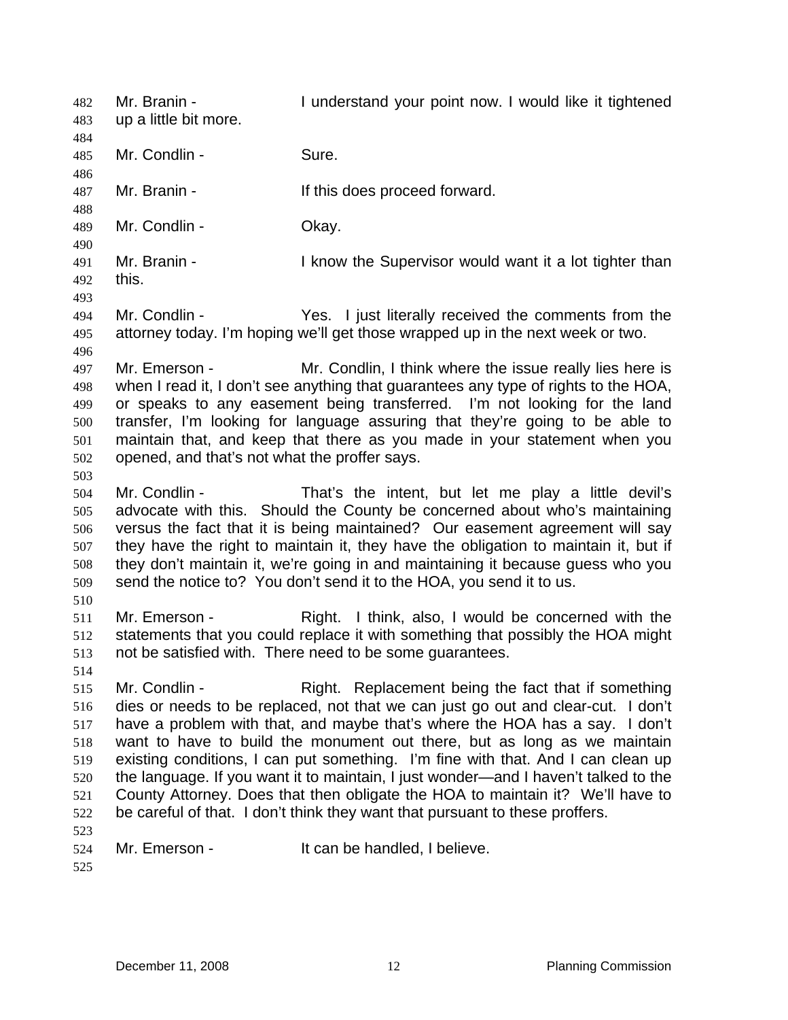Mr. Branin - The State of Lunderstand your point now. I would like it tightened up a little bit more. 482 483 484 485 486 487 488 489 490 491 492 493 494 495 496 497 498 499 500 501 502 503 504 505 506 507 508 509 510 511 512 513 514 515 516 517 518 519 520 521 522 523 524 525 Mr. Condlin - Sure. Mr. Branin - The Music of this does proceed forward. Mr. Condlin - Chay. Mr. Branin - The Supervisor would want it a lot tighter than this. Mr. Condlin - Yes. I just literally received the comments from the attorney today. I'm hoping we'll get those wrapped up in the next week or two. Mr. Emerson - Mr. Condlin, I think where the issue really lies here is when I read it, I don't see anything that guarantees any type of rights to the HOA, or speaks to any easement being transferred. I'm not looking for the land transfer, I'm looking for language assuring that they're going to be able to maintain that, and keep that there as you made in your statement when you opened, and that's not what the proffer says. Mr. Condlin - That's the intent, but let me play a little devil's advocate with this. Should the County be concerned about who's maintaining versus the fact that it is being maintained? Our easement agreement will say they have the right to maintain it, they have the obligation to maintain it, but if they don't maintain it, we're going in and maintaining it because guess who you send the notice to? You don't send it to the HOA, you send it to us. Mr. Emerson - Right. I think, also, I would be concerned with the statements that you could replace it with something that possibly the HOA might not be satisfied with. There need to be some guarantees. Mr. Condlin - Right. Replacement being the fact that if something dies or needs to be replaced, not that we can just go out and clear-cut. I don't have a problem with that, and maybe that's where the HOA has a say. I don't want to have to build the monument out there, but as long as we maintain existing conditions, I can put something. I'm fine with that. And I can clean up the language. If you want it to maintain, I just wonder—and I haven't talked to the County Attorney. Does that then obligate the HOA to maintain it? We'll have to be careful of that. I don't think they want that pursuant to these proffers. Mr. Emerson - It can be handled, I believe.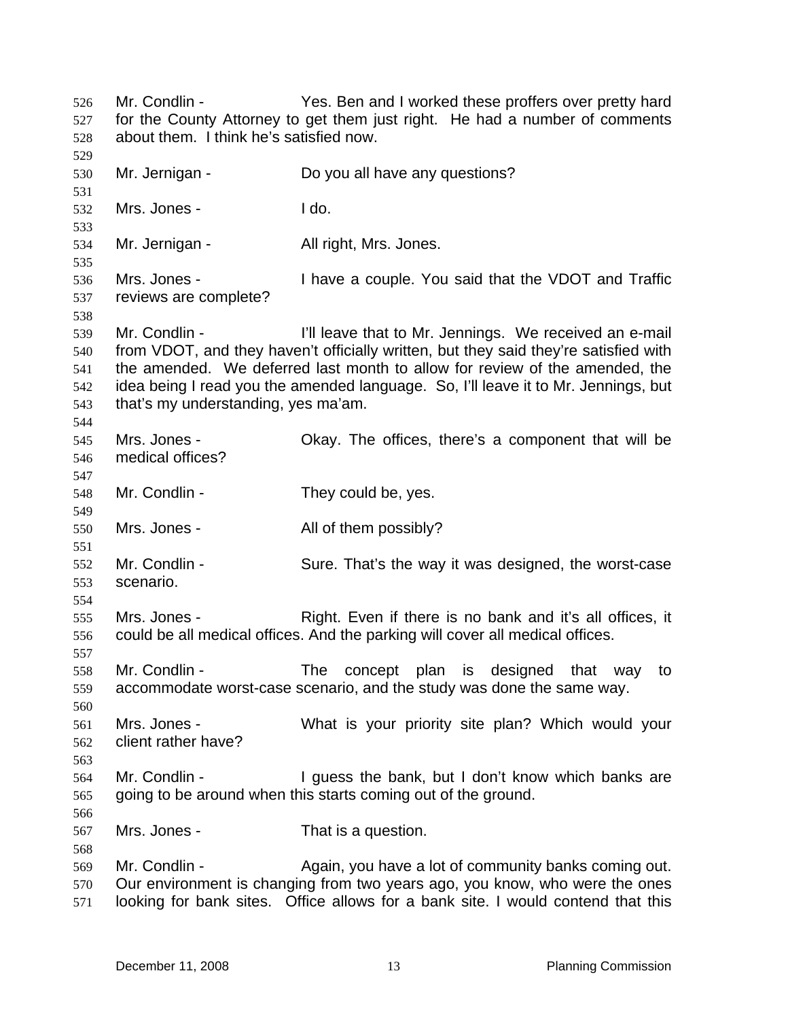Mr. Condlin - Yes. Ben and I worked these proffers over pretty hard for the County Attorney to get them just right. He had a number of comments about them. I think he's satisfied now. 526 527 528 529 530 531 532 533 534 535 536 537 538 539 540 541 542 543 544 545 546 547 548 549 550 551 552 553 554 555 556 557 558 559 560 561 562 563 564 565 566 567 568 569 570 571 Mr. Jernigan - Do you all have any questions? Mrs. Jones - I do. Mr. Jernigan - All right, Mrs. Jones. Mrs. Jones - I have a couple. You said that the VDOT and Traffic reviews are complete? Mr. Condlin - The I'll leave that to Mr. Jennings. We received an e-mail from VDOT, and they haven't officially written, but they said they're satisfied with the amended. We deferred last month to allow for review of the amended, the idea being I read you the amended language. So, I'll leave it to Mr. Jennings, but that's my understanding, yes ma'am. Mrs. Jones - Ckay. The offices, there's a component that will be medical offices? Mr. Condlin - They could be, yes. Mrs. Jones - The All of them possibly? Mr. Condlin - Sure. That's the way it was designed, the worst-case scenario. Mrs. Jones - Right. Even if there is no bank and it's all offices, it could be all medical offices. And the parking will cover all medical offices. Mr. Condlin - The concept plan is designed that way to accommodate worst-case scenario, and the study was done the same way. Mrs. Jones - What is your priority site plan? Which would your client rather have? Mr. Condlin - The State of I guess the bank, but I don't know which banks are going to be around when this starts coming out of the ground. Mrs. Jones - That is a question. Mr. Condlin - **Again, you have a lot of community banks coming out.** Our environment is changing from two years ago, you know, who were the ones looking for bank sites. Office allows for a bank site. I would contend that this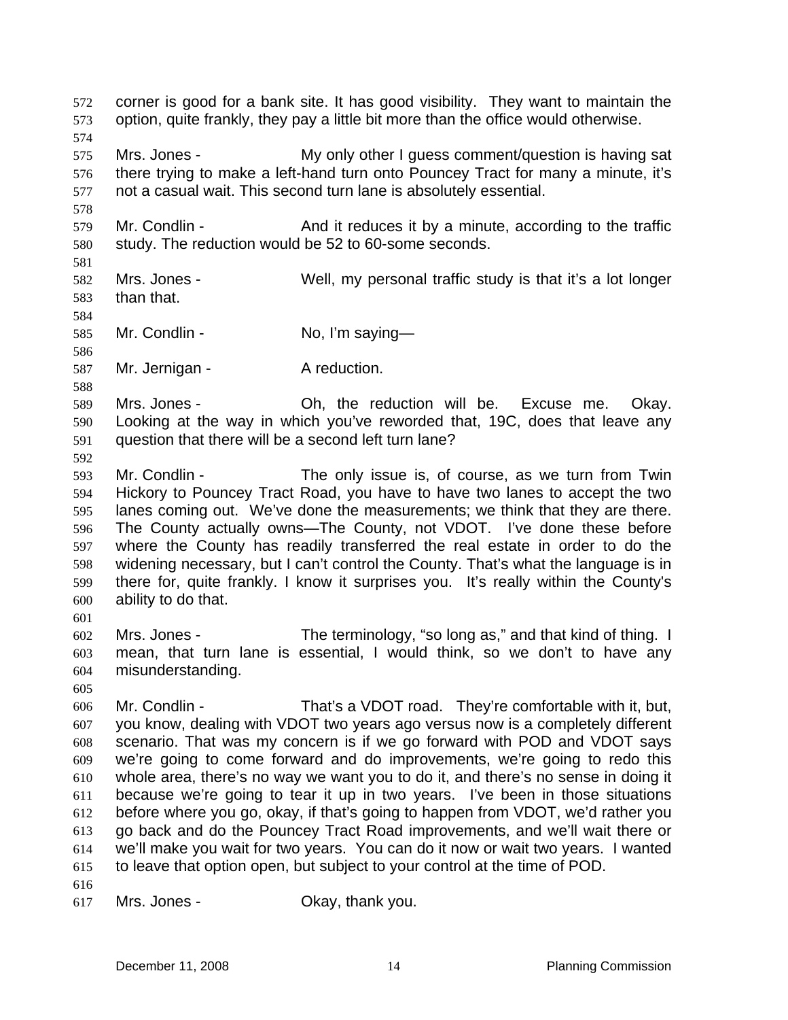corner is good for a bank site. It has good visibility. They want to maintain the option, quite frankly, they pay a little bit more than the office would otherwise. 572 573 574 575 576 577 578 579 580 581 582 583 584 585 586 587 588 589 590 591 592 593 594 595 596 597 598 599 600 601 602 603 604 605 606 607 608 609 610 611 612 613 614 615 616 617 Mrs. Jones - The My only other I guess comment/question is having sat there trying to make a left-hand turn onto Pouncey Tract for many a minute, it's not a casual wait. This second turn lane is absolutely essential. Mr. Condlin - And it reduces it by a minute, according to the traffic study. The reduction would be 52 to 60-some seconds. Mrs. Jones - Well, my personal traffic study is that it's a lot longer than that. Mr. Condlin - No, I'm saying— Mr. Jernigan - A reduction. Mrs. Jones - Ch, the reduction will be. Excuse me. Okay. Looking at the way in which you've reworded that, 19C, does that leave any question that there will be a second left turn lane? Mr. Condlin - The only issue is, of course, as we turn from Twin Hickory to Pouncey Tract Road, you have to have two lanes to accept the two lanes coming out. We've done the measurements; we think that they are there. The County actually owns—The County, not VDOT. I've done these before where the County has readily transferred the real estate in order to do the widening necessary, but I can't control the County. That's what the language is in there for, quite frankly. I know it surprises you. It's really within the County's ability to do that. Mrs. Jones - The terminology, "so long as," and that kind of thing. I mean, that turn lane is essential, I would think, so we don't to have any misunderstanding. Mr. Condlin - That's a VDOT road. They're comfortable with it, but, you know, dealing with VDOT two years ago versus now is a completely different scenario. That was my concern is if we go forward with POD and VDOT says we're going to come forward and do improvements, we're going to redo this whole area, there's no way we want you to do it, and there's no sense in doing it because we're going to tear it up in two years. I've been in those situations before where you go, okay, if that's going to happen from VDOT, we'd rather you go back and do the Pouncey Tract Road improvements, and we'll wait there or we'll make you wait for two years. You can do it now or wait two years. I wanted to leave that option open, but subject to your control at the time of POD. Mrs. Jones - Ckay, thank you.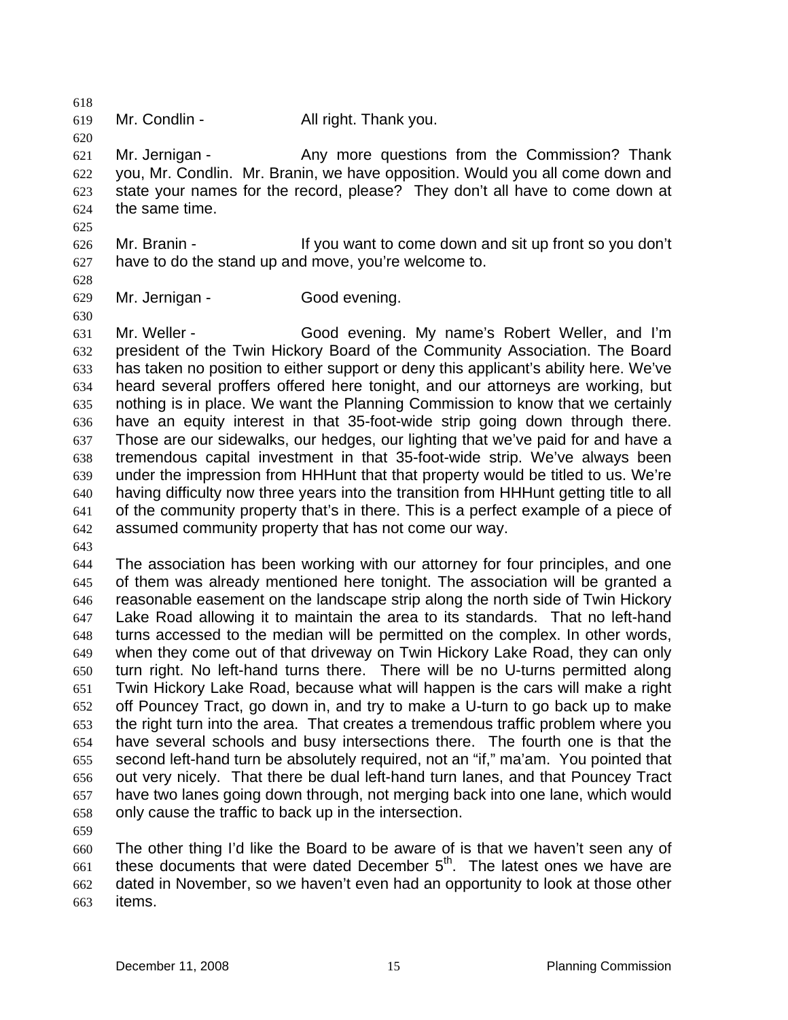620 621 622 623 624 Mr. Jernigan - Thank Any more questions from the Commission? Thank you, Mr. Condlin. Mr. Branin, we have opposition. Would you all come down and state your names for the record, please? They don't all have to come down at the same time.

626 627 Mr. Branin - If you want to come down and sit up front so you don't have to do the stand up and move, you're welcome to.

628 629

630

625

618 619

Mr. Jernigan - Good evening.

Mr. Condlin - All right. Thank you.

631 632 633 634 635 636 637 638 639 640 641 642 Mr. Weller - Good evening. My name's Robert Weller, and I'm president of the Twin Hickory Board of the Community Association. The Board has taken no position to either support or deny this applicant's ability here. We've heard several proffers offered here tonight, and our attorneys are working, but nothing is in place. We want the Planning Commission to know that we certainly have an equity interest in that 35-foot-wide strip going down through there. Those are our sidewalks, our hedges, our lighting that we've paid for and have a tremendous capital investment in that 35-foot-wide strip. We've always been under the impression from HHHunt that that property would be titled to us. We're having difficulty now three years into the transition from HHHunt getting title to all of the community property that's in there. This is a perfect example of a piece of assumed community property that has not come our way.

643

644 645 646 647 648 649 650 651 652 653 654 655 656 657 658 The association has been working with our attorney for four principles, and one of them was already mentioned here tonight. The association will be granted a reasonable easement on the landscape strip along the north side of Twin Hickory Lake Road allowing it to maintain the area to its standards. That no left-hand turns accessed to the median will be permitted on the complex. In other words, when they come out of that driveway on Twin Hickory Lake Road, they can only turn right. No left-hand turns there. There will be no U-turns permitted along Twin Hickory Lake Road, because what will happen is the cars will make a right off Pouncey Tract, go down in, and try to make a U-turn to go back up to make the right turn into the area. That creates a tremendous traffic problem where you have several schools and busy intersections there. The fourth one is that the second left-hand turn be absolutely required, not an "if," ma'am. You pointed that out very nicely. That there be dual left-hand turn lanes, and that Pouncey Tract have two lanes going down through, not merging back into one lane, which would only cause the traffic to back up in the intersection.

659

660 661 662 663 The other thing I'd like the Board to be aware of is that we haven't seen any of these documents that were dated December  $5<sup>th</sup>$ . The latest ones we have are dated in November, so we haven't even had an opportunity to look at those other items.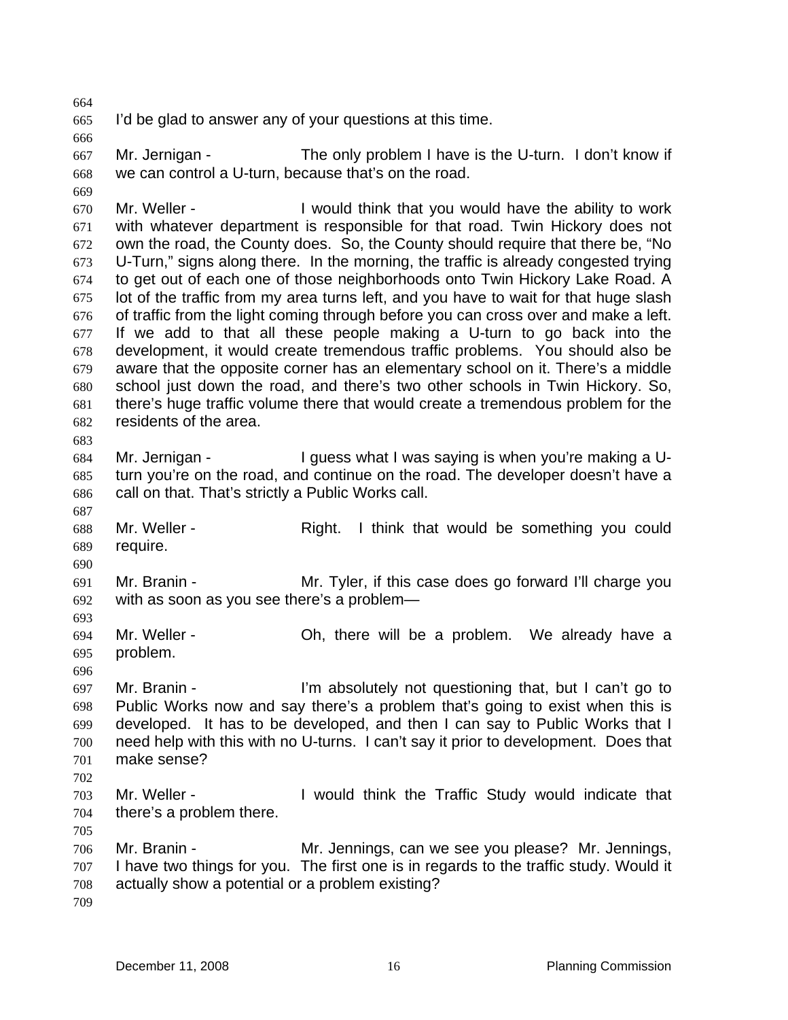665 I'd be glad to answer any of your questions at this time.

666

669

664

667 668 Mr. Jernigan - The only problem I have is the U-turn. I don't know if we can control a U-turn, because that's on the road.

670 671 672 673 674 675 676 677 678 679 680 681 682 683 Mr. Weller - The U would think that you would have the ability to work with whatever department is responsible for that road. Twin Hickory does not own the road, the County does. So, the County should require that there be, "No U-Turn," signs along there. In the morning, the traffic is already congested trying to get out of each one of those neighborhoods onto Twin Hickory Lake Road. A lot of the traffic from my area turns left, and you have to wait for that huge slash of traffic from the light coming through before you can cross over and make a left. If we add to that all these people making a U-turn to go back into the development, it would create tremendous traffic problems. You should also be aware that the opposite corner has an elementary school on it. There's a middle school just down the road, and there's two other schools in Twin Hickory. So, there's huge traffic volume there that would create a tremendous problem for the residents of the area.

684 685 686 Mr. Jernigan - The Supers what I was saying is when you're making a Uturn you're on the road, and continue on the road. The developer doesn't have a call on that. That's strictly a Public Works call.

687 688 689 Mr. Weller - Right. I think that would be something you could require.

691 692 Mr. Branin - Mr. Tyler, if this case does go forward I'll charge you with as soon as you see there's a problem—

694 695 Mr. Weller - **Oh, there will be a problem.** We already have a problem.

696 697 698 699 700 701 Mr. Branin - I'm absolutely not questioning that, but I can't go to Public Works now and say there's a problem that's going to exist when this is developed. It has to be developed, and then I can say to Public Works that I need help with this with no U-turns. I can't say it prior to development. Does that make sense?

702

690

- 703 704 Mr. Weller - The Musuld think the Traffic Study would indicate that there's a problem there.
- 705
- 706 707 708 Mr. Branin - Mr. Jennings, can we see you please? Mr. Jennings, I have two things for you. The first one is in regards to the traffic study. Would it actually show a potential or a problem existing?
- 709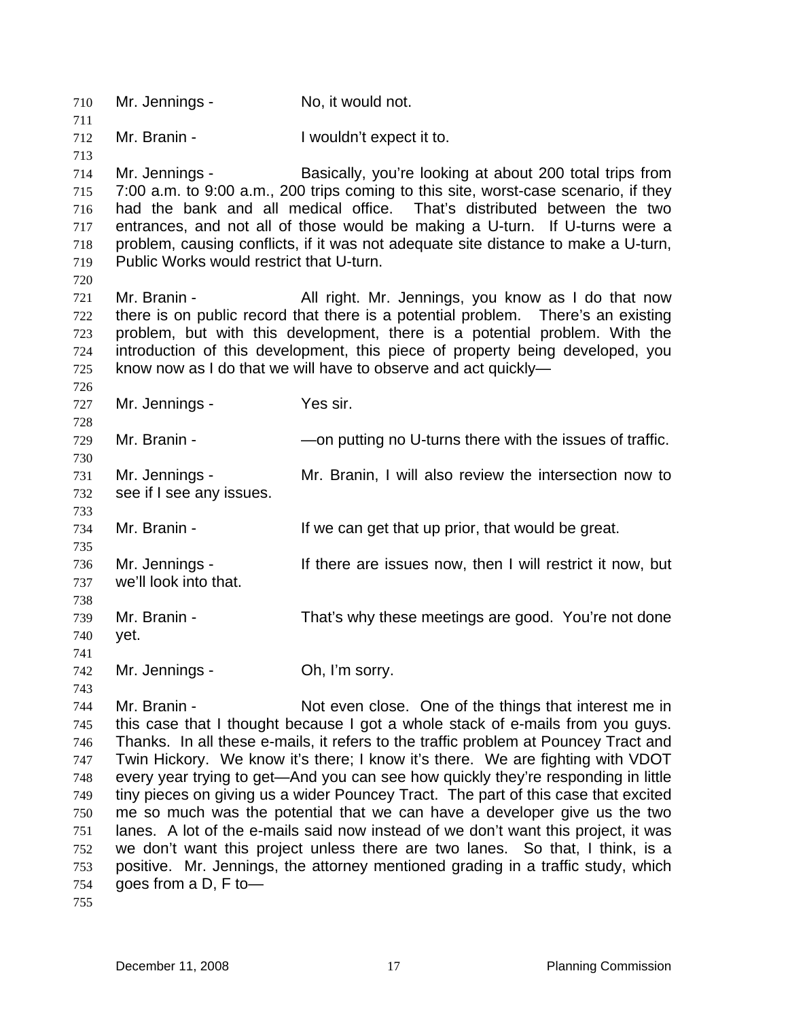710 Mr. Jennings - No, it would not. 711 712 713 714 715 716 717 718 719 720 721 722 723 724 725 726 727 728 729 730 731 732 733 734 735 736 737 738 739 740 741 742 743 744 745 746 747 748 749 750 751 752 753 754 Mr. Branin - The Unit of Nouldn't expect it to. Mr. Jennings - Basically, you're looking at about 200 total trips from 7:00 a.m. to 9:00 a.m., 200 trips coming to this site, worst-case scenario, if they had the bank and all medical office. That's distributed between the two entrances, and not all of those would be making a U-turn. If U-turns were a problem, causing conflicts, if it was not adequate site distance to make a U-turn, Public Works would restrict that U-turn. Mr. Branin - All right. Mr. Jennings, you know as I do that now there is on public record that there is a potential problem. There's an existing problem, but with this development, there is a potential problem. With the introduction of this development, this piece of property being developed, you know now as I do that we will have to observe and act quickly— Mr. Jennings - Yes sir. Mr. Branin - The South Connection of U-turns there with the issues of traffic. Mr. Jennings - The Mr. Branin, I will also review the intersection now to see if I see any issues. Mr. Branin - The Music of the can get that up prior, that would be great. Mr. Jennings - If there are issues now, then I will restrict it now, but we'll look into that. Mr. Branin - That's why these meetings are good. You're not done yet. Mr. Jennings - Ch, I'm sorry. Mr. Branin - Not even close. One of the things that interest me in this case that I thought because I got a whole stack of e-mails from you guys. Thanks. In all these e-mails, it refers to the traffic problem at Pouncey Tract and Twin Hickory. We know it's there; I know it's there. We are fighting with VDOT every year trying to get—And you can see how quickly they're responding in little tiny pieces on giving us a wider Pouncey Tract. The part of this case that excited me so much was the potential that we can have a developer give us the two lanes. A lot of the e-mails said now instead of we don't want this project, it was we don't want this project unless there are two lanes. So that, I think, is a positive. Mr. Jennings, the attorney mentioned grading in a traffic study, which goes from a D, F to—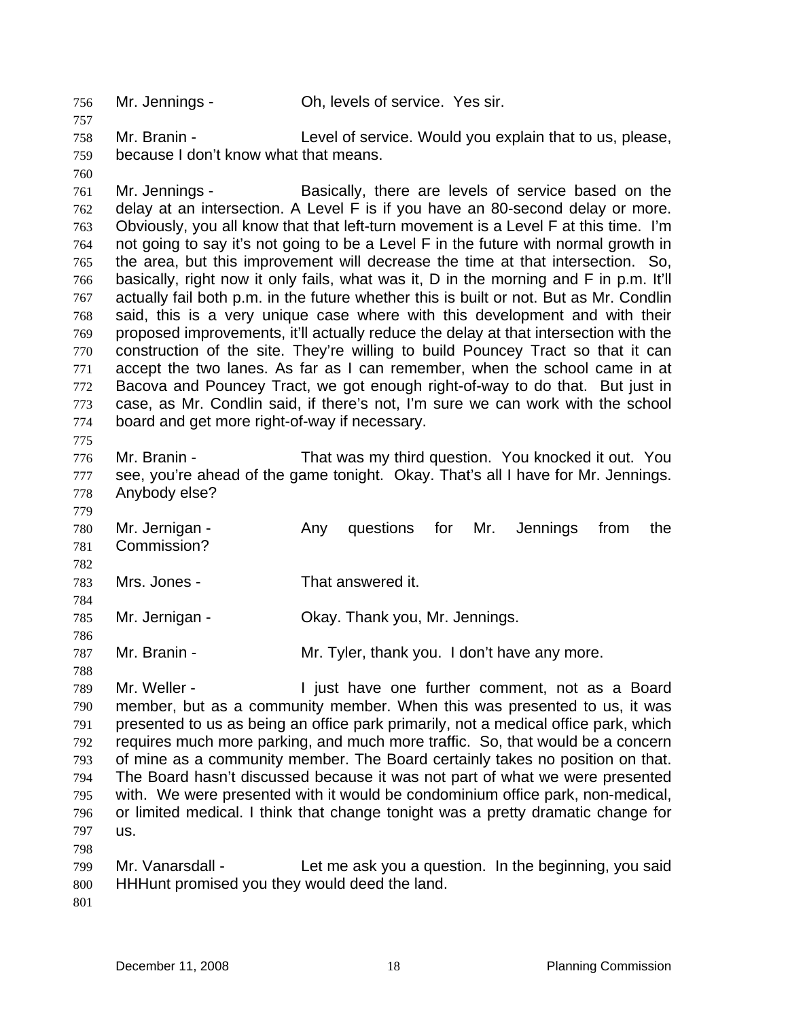756 Mr. Jennings - Oh, levels of service. Yes sir.

758 759 Mr. Branin - Level of service. Would you explain that to us, please, because I don't know what that means.

760

757

761 762 763 764 765 766 767 768 769 770 771 772 773 774 775 Mr. Jennings - Basically, there are levels of service based on the delay at an intersection. A Level F is if you have an 80-second delay or more. Obviously, you all know that that left-turn movement is a Level F at this time. I'm not going to say it's not going to be a Level F in the future with normal growth in the area, but this improvement will decrease the time at that intersection. So, basically, right now it only fails, what was it, D in the morning and F in p.m. It'll actually fail both p.m. in the future whether this is built or not. But as Mr. Condlin said, this is a very unique case where with this development and with their proposed improvements, it'll actually reduce the delay at that intersection with the construction of the site. They're willing to build Pouncey Tract so that it can accept the two lanes. As far as I can remember, when the school came in at Bacova and Pouncey Tract, we got enough right-of-way to do that. But just in case, as Mr. Condlin said, if there's not, I'm sure we can work with the school board and get more right-of-way if necessary.

776 777 778 Mr. Branin - That was my third question. You knocked it out. You see, you're ahead of the game tonight. Okay. That's all I have for Mr. Jennings. Anybody else?

779 780 781 782 Mr. Jernigan - Any questions for Mr. Jennings from the Commission?

783 Mrs. Jones - That answered it.

785 Mr. Jernigan - **Okay. Thank you, Mr. Jennings.** 

787 Mr. Branin - The Mr. Tyler, thank you. I don't have any more.

789 790 791 792 793 794 795 796 797 Mr. Weller - The Unit have one further comment, not as a Board member, but as a community member. When this was presented to us, it was presented to us as being an office park primarily, not a medical office park, which requires much more parking, and much more traffic. So, that would be a concern of mine as a community member. The Board certainly takes no position on that. The Board hasn't discussed because it was not part of what we were presented with. We were presented with it would be condominium office park, non-medical, or limited medical. I think that change tonight was a pretty dramatic change for us.

799 800 Mr. Vanarsdall - Let me ask you a question. In the beginning, you said HHHunt promised you they would deed the land.

801

798

784

786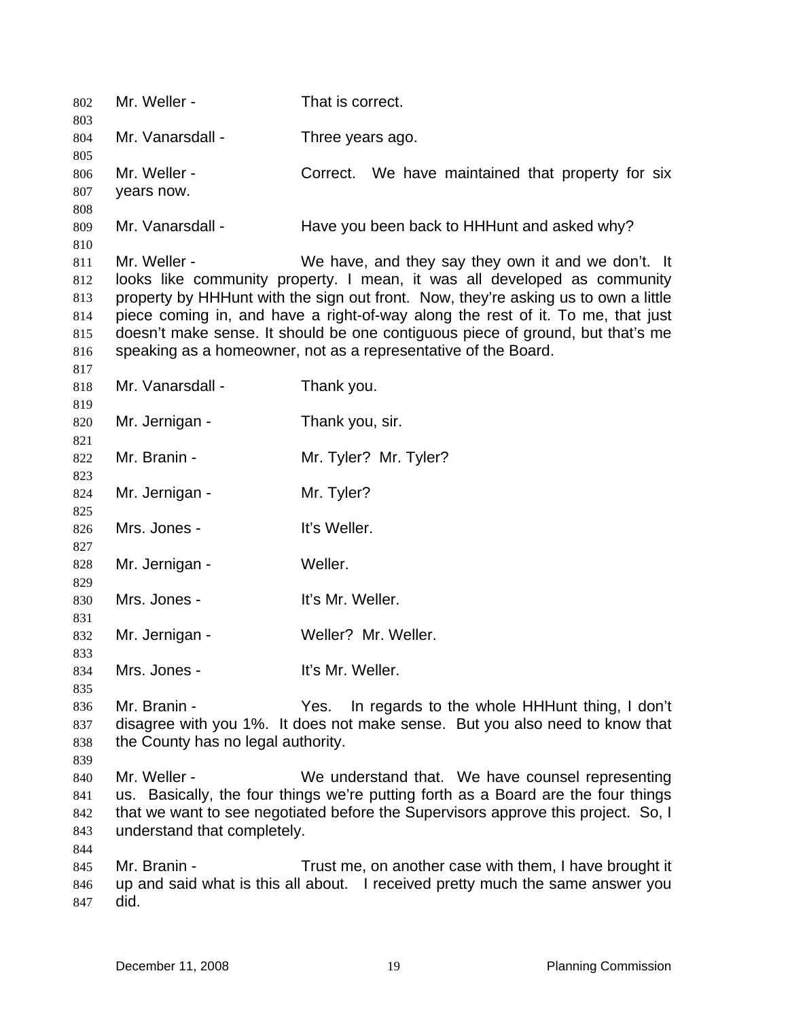| 802        | Mr. Weller -                                                                       | That is correct.                                                                |  |
|------------|------------------------------------------------------------------------------------|---------------------------------------------------------------------------------|--|
| 803<br>804 | Mr. Vanarsdall -                                                                   | Three years ago.                                                                |  |
| 805        | Mr. Weller -                                                                       | Correct. We have maintained that property for six                               |  |
| 806        |                                                                                    |                                                                                 |  |
| 807<br>808 | years now.                                                                         |                                                                                 |  |
| 809        | Mr. Vanarsdall -                                                                   | Have you been back to HHHunt and asked why?                                     |  |
| 810        |                                                                                    |                                                                                 |  |
| 811        | Mr. Weller -                                                                       | We have, and they say they own it and we don't. It                              |  |
| 812        |                                                                                    | looks like community property. I mean, it was all developed as community        |  |
| 813        | property by HHHunt with the sign out front. Now, they're asking us to own a little |                                                                                 |  |
| 814        |                                                                                    | piece coming in, and have a right-of-way along the rest of it. To me, that just |  |
| 815        |                                                                                    | doesn't make sense. It should be one contiguous piece of ground, but that's me  |  |
| 816        |                                                                                    | speaking as a homeowner, not as a representative of the Board.                  |  |
| 817        |                                                                                    |                                                                                 |  |
| 818        | Mr. Vanarsdall -                                                                   | Thank you.                                                                      |  |
| 819        |                                                                                    |                                                                                 |  |
| 820        | Mr. Jernigan -                                                                     | Thank you, sir.                                                                 |  |
| 821        |                                                                                    |                                                                                 |  |
| 822        | Mr. Branin -                                                                       | Mr. Tyler? Mr. Tyler?                                                           |  |
| 823        |                                                                                    |                                                                                 |  |
| 824        | Mr. Jernigan -                                                                     | Mr. Tyler?                                                                      |  |
| 825        |                                                                                    |                                                                                 |  |
| 826        | Mrs. Jones -                                                                       | It's Weller.                                                                    |  |
| 827        |                                                                                    |                                                                                 |  |
| 828        | Mr. Jernigan -                                                                     | Weller.                                                                         |  |
| 829        | Mrs. Jones -                                                                       | It's Mr. Weller.                                                                |  |
| 830<br>831 |                                                                                    |                                                                                 |  |
| 832        | Mr. Jernigan -                                                                     | Weller? Mr. Weller.                                                             |  |
| 833        |                                                                                    |                                                                                 |  |
| 834        | Mrs. Jones -                                                                       | It's Mr. Weller.                                                                |  |
| 835        |                                                                                    |                                                                                 |  |
| 836        | Mr. Branin -                                                                       | Yes.<br>In regards to the whole HHHunt thing, I don't                           |  |
| 837        |                                                                                    | disagree with you 1%. It does not make sense. But you also need to know that    |  |
| 838        | the County has no legal authority.                                                 |                                                                                 |  |
| 839        |                                                                                    |                                                                                 |  |
| 840        | Mr. Weller -                                                                       | We understand that. We have counsel representing                                |  |
| 841        | us. Basically, the four things we're putting forth as a Board are the four things  |                                                                                 |  |
| 842        | that we want to see negotiated before the Supervisors approve this project. So, I  |                                                                                 |  |
| 843        | understand that completely.                                                        |                                                                                 |  |
| 844        |                                                                                    |                                                                                 |  |
| 845        | Mr. Branin -                                                                       | Trust me, on another case with them, I have brought it                          |  |
| 846        |                                                                                    | up and said what is this all about. I received pretty much the same answer you  |  |
| 847        | did.                                                                               |                                                                                 |  |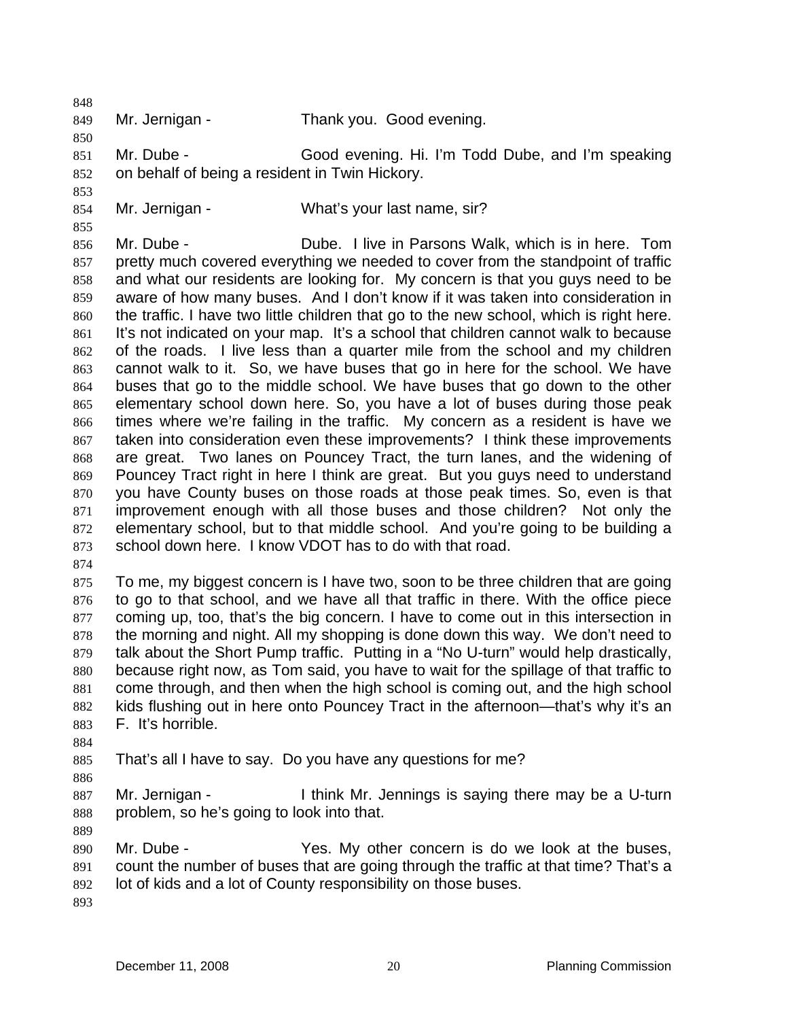849

848

850

853

855

Mr. Jernigan - Thank you. Good evening.

851 852 Mr. Dube - Good evening. Hi. I'm Todd Dube, and I'm speaking on behalf of being a resident in Twin Hickory.

854 Mr. Jernigan - What's your last name, sir?

856 857 858 859 860 861 862 863 864 865 866 867 868 869 870 871 872 873 Mr. Dube - Dube. I live in Parsons Walk, which is in here. Tom pretty much covered everything we needed to cover from the standpoint of traffic and what our residents are looking for. My concern is that you guys need to be aware of how many buses. And I don't know if it was taken into consideration in the traffic. I have two little children that go to the new school, which is right here. It's not indicated on your map. It's a school that children cannot walk to because of the roads. I live less than a quarter mile from the school and my children cannot walk to it. So, we have buses that go in here for the school. We have buses that go to the middle school. We have buses that go down to the other elementary school down here. So, you have a lot of buses during those peak times where we're failing in the traffic. My concern as a resident is have we taken into consideration even these improvements? I think these improvements are great. Two lanes on Pouncey Tract, the turn lanes, and the widening of Pouncey Tract right in here I think are great. But you guys need to understand you have County buses on those roads at those peak times. So, even is that improvement enough with all those buses and those children? Not only the elementary school, but to that middle school. And you're going to be building a school down here. I know VDOT has to do with that road.

874

875 876 877 878 879 880 881 882 883 To me, my biggest concern is I have two, soon to be three children that are going to go to that school, and we have all that traffic in there. With the office piece coming up, too, that's the big concern. I have to come out in this intersection in the morning and night. All my shopping is done down this way. We don't need to talk about the Short Pump traffic. Putting in a "No U-turn" would help drastically, because right now, as Tom said, you have to wait for the spillage of that traffic to come through, and then when the high school is coming out, and the high school kids flushing out in here onto Pouncey Tract in the afternoon—that's why it's an F. It's horrible.

- 884
- 885 That's all I have to say. Do you have any questions for me?
- 886

887 888 Mr. Jernigan - I think Mr. Jennings is saying there may be a U-turn problem, so he's going to look into that.

889

890 891 892 Mr. Dube - Yes. My other concern is do we look at the buses, count the number of buses that are going through the traffic at that time? That's a lot of kids and a lot of County responsibility on those buses.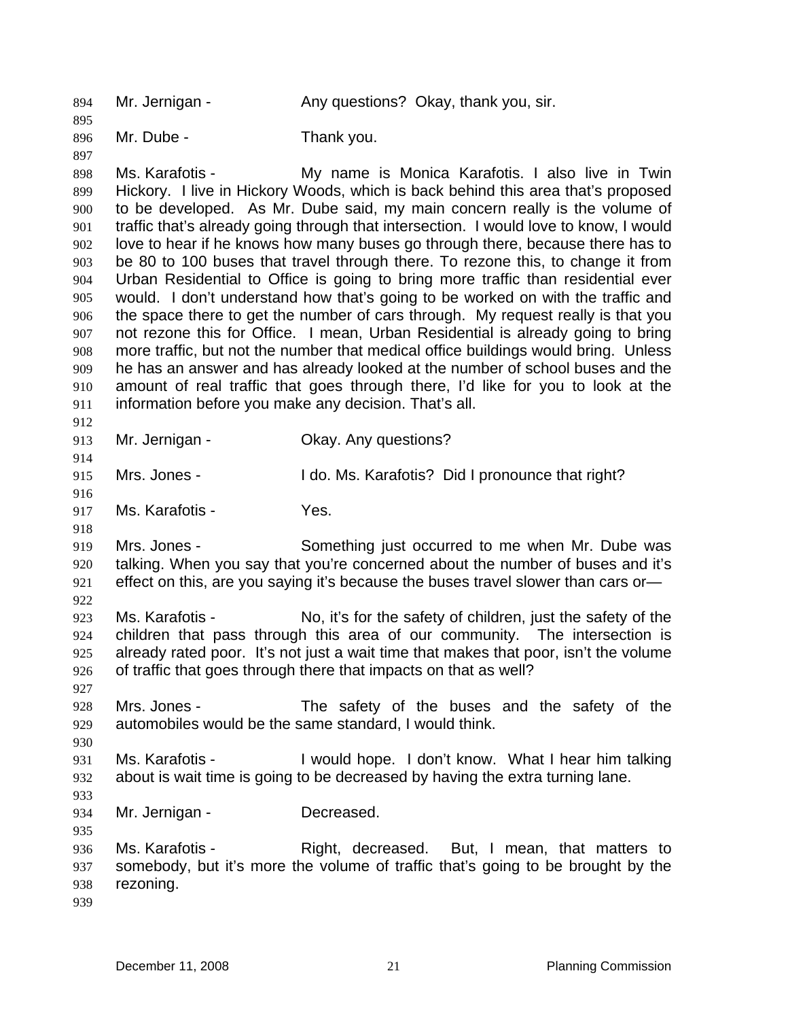894 Mr. Jernigan - Any questions? Okay, thank you, sir. 895 896 897 898 899 900 901 902 903 904 905 906 907 908 909 910 911 912 913 914 915 916 917 918 919 920 921 922 923 924 925 926 927 928 929 930 931 932 933 934 935 936 937 938 939 Mr. Dube - Thank you. Ms. Karafotis - My name is Monica Karafotis. I also live in Twin Hickory. I live in Hickory Woods, which is back behind this area that's proposed to be developed. As Mr. Dube said, my main concern really is the volume of traffic that's already going through that intersection. I would love to know, I would love to hear if he knows how many buses go through there, because there has to be 80 to 100 buses that travel through there. To rezone this, to change it from Urban Residential to Office is going to bring more traffic than residential ever would. I don't understand how that's going to be worked on with the traffic and the space there to get the number of cars through. My request really is that you not rezone this for Office. I mean, Urban Residential is already going to bring more traffic, but not the number that medical office buildings would bring. Unless he has an answer and has already looked at the number of school buses and the amount of real traffic that goes through there, I'd like for you to look at the information before you make any decision. That's all. Mr. Jernigan - Ckay. Any questions? Mrs. Jones - The Mrs. Karafotis? Did I pronounce that right? Ms. Karafotis - Yes. Mrs. Jones - Something just occurred to me when Mr. Dube was talking. When you say that you're concerned about the number of buses and it's effect on this, are you saying it's because the buses travel slower than cars or— Ms. Karafotis - No, it's for the safety of children, just the safety of the children that pass through this area of our community. The intersection is already rated poor. It's not just a wait time that makes that poor, isn't the volume of traffic that goes through there that impacts on that as well? Mrs. Jones - The safety of the buses and the safety of the automobiles would be the same standard, I would think. Ms. Karafotis - I would hope. I don't know. What I hear him talking about is wait time is going to be decreased by having the extra turning lane. Mr. Jernigan - **Decreased.** Ms. Karafotis - Right, decreased. But, I mean, that matters to somebody, but it's more the volume of traffic that's going to be brought by the rezoning.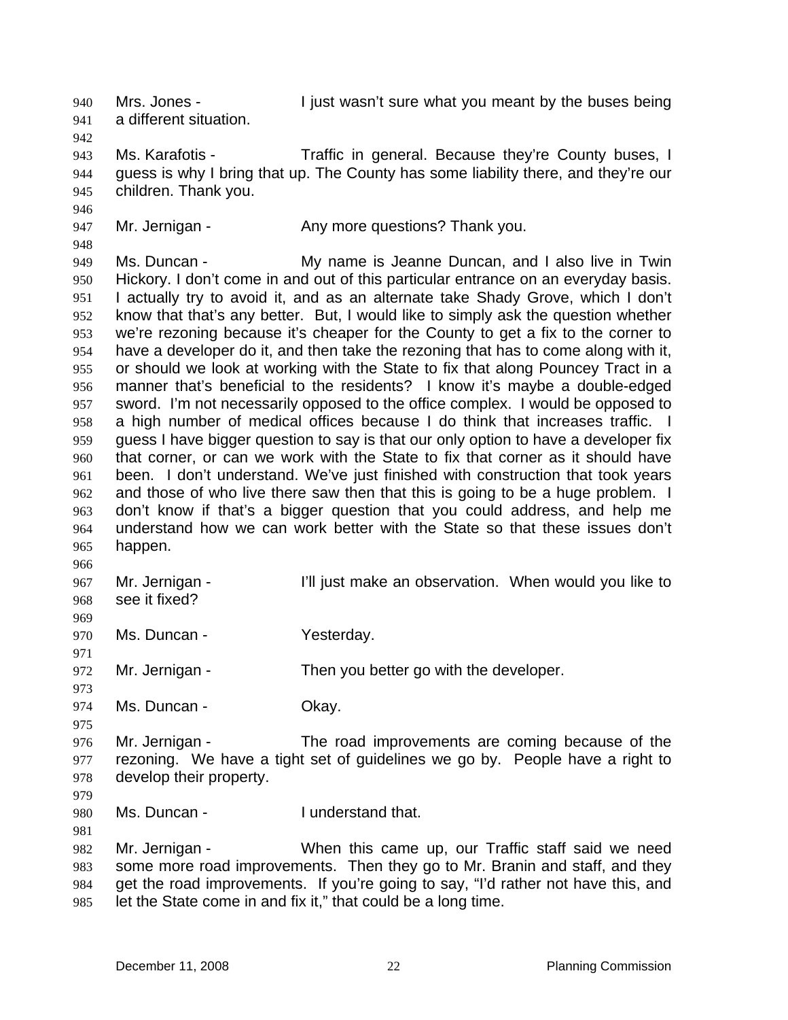Mrs. Jones - I just wasn't sure what you meant by the buses being a different situation. 940 941 942 943 944 945 946 947 948 949 950 951 952 953 954 955 956 957 958 959 960 961 962 963 964 965 966 967 968 969 970 971 972 973 974 975 976 977 978 979 980 981 982 983 984 985 Ms. Karafotis - Traffic in general. Because they're County buses, I guess is why I bring that up. The County has some liability there, and they're our children. Thank you. Mr. Jernigan - Any more questions? Thank you. Ms. Duncan - The My name is Jeanne Duncan, and I also live in Twin Hickory. I don't come in and out of this particular entrance on an everyday basis. I actually try to avoid it, and as an alternate take Shady Grove, which I don't know that that's any better. But, I would like to simply ask the question whether we're rezoning because it's cheaper for the County to get a fix to the corner to have a developer do it, and then take the rezoning that has to come along with it, or should we look at working with the State to fix that along Pouncey Tract in a manner that's beneficial to the residents? I know it's maybe a double-edged sword. I'm not necessarily opposed to the office complex. I would be opposed to a high number of medical offices because I do think that increases traffic. I guess I have bigger question to say is that our only option to have a developer fix that corner, or can we work with the State to fix that corner as it should have been. I don't understand. We've just finished with construction that took years and those of who live there saw then that this is going to be a huge problem. I don't know if that's a bigger question that you could address, and help me understand how we can work better with the State so that these issues don't happen. Mr. Jernigan - The I'll just make an observation. When would you like to see it fixed? Ms. Duncan - Yesterday. Mr. Jernigan - Then you better go with the developer. Ms. Duncan - Chay. Mr. Jernigan - The road improvements are coming because of the rezoning. We have a tight set of guidelines we go by. People have a right to develop their property. Ms. Duncan - I understand that. Mr. Jernigan - When this came up, our Traffic staff said we need some more road improvements. Then they go to Mr. Branin and staff, and they get the road improvements. If you're going to say, "I'd rather not have this, and let the State come in and fix it," that could be a long time.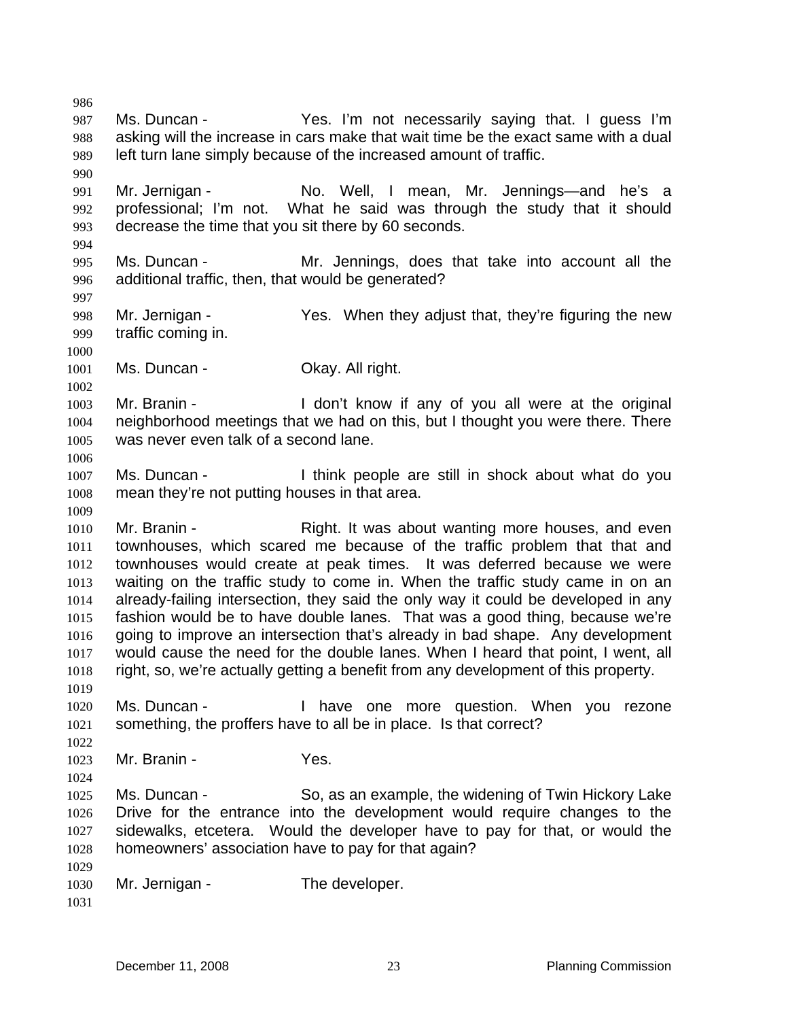986 987 988 989 990 991 992 993 994 995 996 997 998 999 1000 1001 1002 1003 1004 1005 1006 1007 1008 1009 1010 1011 1012 1013 1014 1015 1016 1017 1018 1019 1020 1021 1022 1023 1024 1025 1026 1027 1028 1029 1030 1031 Ms. Duncan - The Yes. I'm not necessarily saying that. I guess I'm asking will the increase in cars make that wait time be the exact same with a dual left turn lane simply because of the increased amount of traffic. Mr. Jernigan - The No. Well, I mean, Mr. Jennings—and he's a professional; I'm not. What he said was through the study that it should decrease the time that you sit there by 60 seconds. Ms. Duncan - The Mr. Jennings, does that take into account all the additional traffic, then, that would be generated? Mr. Jernigan - The Yes. When they adjust that, they're figuring the new traffic coming in. Ms. Duncan - **Okay. All right.** Mr. Branin - The Mon't know if any of you all were at the original neighborhood meetings that we had on this, but I thought you were there. There was never even talk of a second lane. Ms. Duncan - I think people are still in shock about what do you mean they're not putting houses in that area. Mr. Branin - Right. It was about wanting more houses, and even townhouses, which scared me because of the traffic problem that that and townhouses would create at peak times. It was deferred because we were waiting on the traffic study to come in. When the traffic study came in on an already-failing intersection, they said the only way it could be developed in any fashion would be to have double lanes. That was a good thing, because we're going to improve an intersection that's already in bad shape. Any development would cause the need for the double lanes. When I heard that point, I went, all right, so, we're actually getting a benefit from any development of this property. Ms. Duncan - Thave one more question. When you rezone something, the proffers have to all be in place. Is that correct? Mr. Branin - Yes. Ms. Duncan - So, as an example, the widening of Twin Hickory Lake Drive for the entrance into the development would require changes to the sidewalks, etcetera. Would the developer have to pay for that, or would the homeowners' association have to pay for that again? Mr. Jernigan - The developer.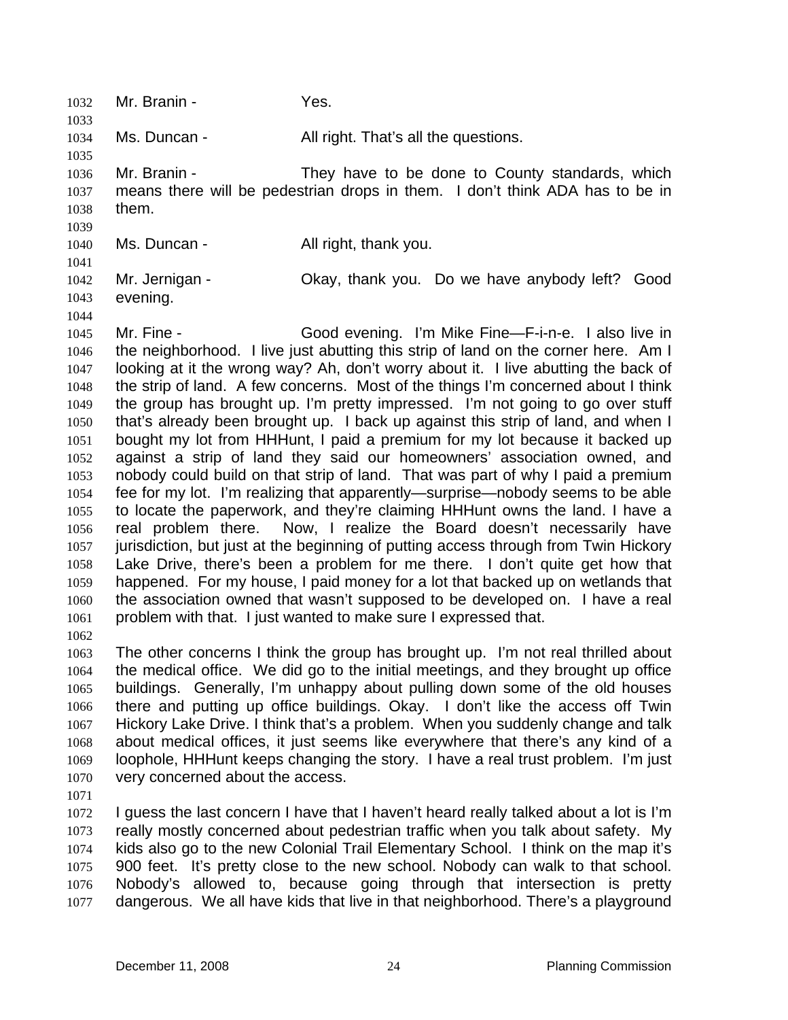1032 Mr. Branin - Yes. 1033 1034 1035 1036 1037 1038 1039 1040 1041 1042 1043 1044 1045 1046 1047 1048 1049 1050 1051 1052 1053 1054 1055 1056 1057 1058 1059 1060 1061 1062 1063 1064 1065 1066 1067 1068 1069 1070 1071 1072 1073 1074 1075 1076 1077 Ms. Duncan - That's all the questions. Mr. Branin - They have to be done to County standards, which means there will be pedestrian drops in them. I don't think ADA has to be in them. Ms. Duncan - All right, thank you. Mr. Jernigan - Ckay, thank you. Do we have anybody left? Good evening. Mr. Fine - Good evening. I'm Mike Fine—F-i-n-e. I also live in the neighborhood. I live just abutting this strip of land on the corner here. Am I looking at it the wrong way? Ah, don't worry about it. I live abutting the back of the strip of land. A few concerns. Most of the things I'm concerned about I think the group has brought up. I'm pretty impressed. I'm not going to go over stuff that's already been brought up. I back up against this strip of land, and when I bought my lot from HHHunt, I paid a premium for my lot because it backed up against a strip of land they said our homeowners' association owned, and nobody could build on that strip of land. That was part of why I paid a premium fee for my lot. I'm realizing that apparently—surprise—nobody seems to be able to locate the paperwork, and they're claiming HHHunt owns the land. I have a real problem there. Now, I realize the Board doesn't necessarily have jurisdiction, but just at the beginning of putting access through from Twin Hickory Lake Drive, there's been a problem for me there. I don't quite get how that happened. For my house, I paid money for a lot that backed up on wetlands that the association owned that wasn't supposed to be developed on. I have a real problem with that. I just wanted to make sure I expressed that. The other concerns I think the group has brought up. I'm not real thrilled about the medical office. We did go to the initial meetings, and they brought up office buildings. Generally, I'm unhappy about pulling down some of the old houses there and putting up office buildings. Okay. I don't like the access off Twin Hickory Lake Drive. I think that's a problem. When you suddenly change and talk about medical offices, it just seems like everywhere that there's any kind of a loophole, HHHunt keeps changing the story. I have a real trust problem. I'm just very concerned about the access. I guess the last concern I have that I haven't heard really talked about a lot is I'm really mostly concerned about pedestrian traffic when you talk about safety. My kids also go to the new Colonial Trail Elementary School. I think on the map it's 900 feet. It's pretty close to the new school. Nobody can walk to that school. Nobody's allowed to, because going through that intersection is pretty dangerous. We all have kids that live in that neighborhood. There's a playground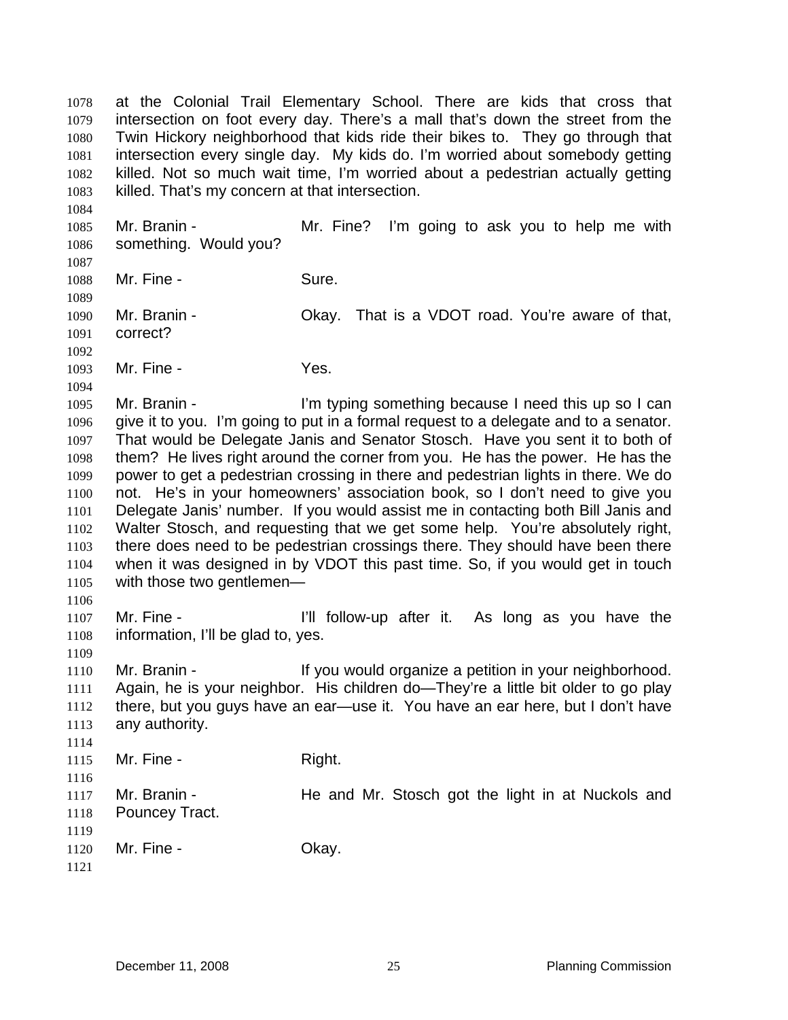at the Colonial Trail Elementary School. There are kids that cross that intersection on foot every day. There's a mall that's down the street from the Twin Hickory neighborhood that kids ride their bikes to. They go through that intersection every single day. My kids do. I'm worried about somebody getting killed. Not so much wait time, I'm worried about a pedestrian actually getting killed. That's my concern at that intersection. 1078 1079 1080 1081 1082 1083

1085 1086 1087 1088 1089 1090 1091 1092 1093 1094 1095 1096 1097 1098 1099 1100 1101 1102 1103 1104 1105 1106 1107 1108 1109 1110 1111 1112 1113 1114 1115 1116 1117 1118 1119 1120 1121 Mr. Branin - The Mr. Fine? I'm going to ask you to help me with something. Would you? Mr. Fine - Sure. Mr. Branin - Ckay. That is a VDOT road. You're aware of that, correct? Mr. Fine - The Yes. Mr. Branin - I'm typing something because I need this up so I can give it to you. I'm going to put in a formal request to a delegate and to a senator. That would be Delegate Janis and Senator Stosch. Have you sent it to both of them? He lives right around the corner from you. He has the power. He has the power to get a pedestrian crossing in there and pedestrian lights in there. We do not. He's in your homeowners' association book, so I don't need to give you Delegate Janis' number. If you would assist me in contacting both Bill Janis and Walter Stosch, and requesting that we get some help. You're absolutely right, there does need to be pedestrian crossings there. They should have been there when it was designed in by VDOT this past time. So, if you would get in touch with those two gentlemen— Mr. Fine - The same of the line of the line of the line of the line of the line of the line of the line of the line of the line of the line of the line of the line of the line of the line of the line of the line of the lin information, I'll be glad to, yes. Mr. Branin - The State of the Vou would organize a petition in your neighborhood. Again, he is your neighbor. His children do—They're a little bit older to go play there, but you guys have an ear—use it. You have an ear here, but I don't have any authority. Mr. Fine - Right. Mr. Branin - The and Mr. Stosch got the light in at Nuckols and Pouncey Tract. Mr. Fine - Chay.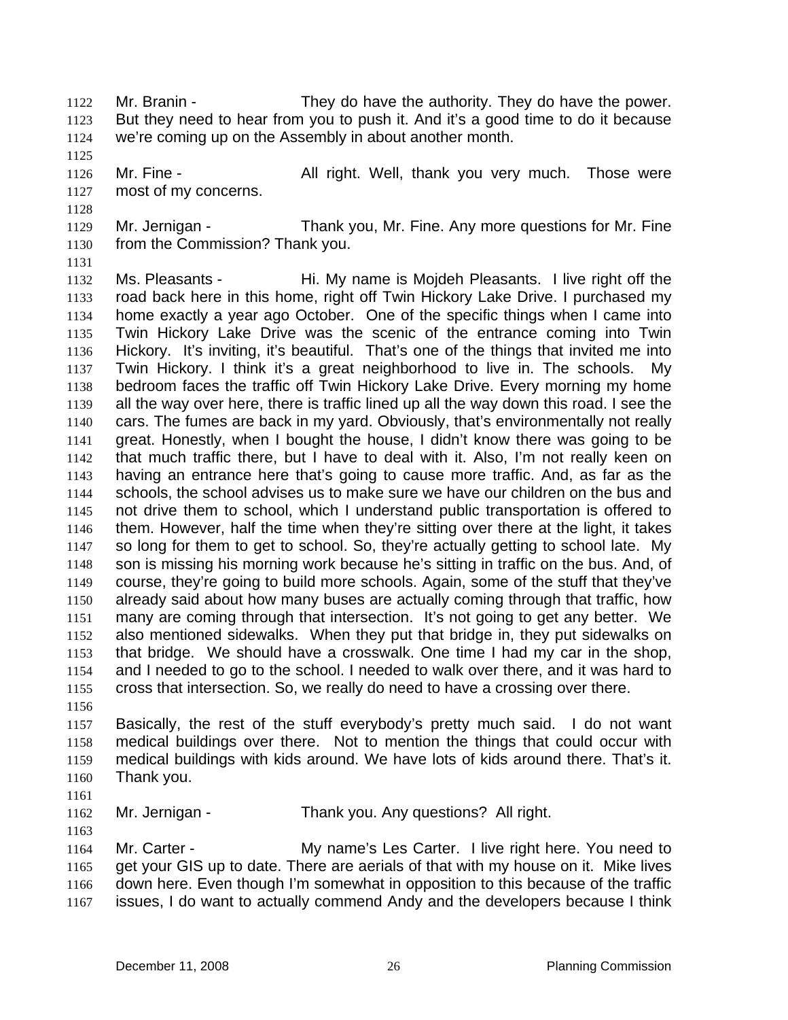- Mr. Branin They do have the authority. They do have the power. But they need to hear from you to push it. And it's a good time to do it because we're coming up on the Assembly in about another month. 1122 1123 1124
- 1126 1127 Mr. Fine - The Solician Hight. Well, thank you very much. Those were most of my concerns.
- 1129 1130 Mr. Jernigan - Thank you, Mr. Fine. Any more questions for Mr. Fine from the Commission? Thank you.
- 1131

1125

1128

1132 1133 1134 1135 1136 1137 1138 1139 1140 1141 1142 1143 1144 1145 1146 1147 1148 1149 1150 1151 1152 1153 1154 1155 Ms. Pleasants - Hi. My name is Mojdeh Pleasants. I live right off the road back here in this home, right off Twin Hickory Lake Drive. I purchased my home exactly a year ago October. One of the specific things when I came into Twin Hickory Lake Drive was the scenic of the entrance coming into Twin Hickory. It's inviting, it's beautiful. That's one of the things that invited me into Twin Hickory. I think it's a great neighborhood to live in. The schools. My bedroom faces the traffic off Twin Hickory Lake Drive. Every morning my home all the way over here, there is traffic lined up all the way down this road. I see the cars. The fumes are back in my yard. Obviously, that's environmentally not really great. Honestly, when I bought the house, I didn't know there was going to be that much traffic there, but I have to deal with it. Also, I'm not really keen on having an entrance here that's going to cause more traffic. And, as far as the schools, the school advises us to make sure we have our children on the bus and not drive them to school, which I understand public transportation is offered to them. However, half the time when they're sitting over there at the light, it takes so long for them to get to school. So, they're actually getting to school late. My son is missing his morning work because he's sitting in traffic on the bus. And, of course, they're going to build more schools. Again, some of the stuff that they've already said about how many buses are actually coming through that traffic, how many are coming through that intersection. It's not going to get any better. We also mentioned sidewalks. When they put that bridge in, they put sidewalks on that bridge. We should have a crosswalk. One time I had my car in the shop, and I needed to go to the school. I needed to walk over there, and it was hard to cross that intersection. So, we really do need to have a crossing over there.

1156

1157 1158 1159 1160 Basically, the rest of the stuff everybody's pretty much said. I do not want medical buildings over there. Not to mention the things that could occur with medical buildings with kids around. We have lots of kids around there. That's it. Thank you.

1161

1163

1162 Mr. Jernigan - Thank you. Any questions? All right.

1164 1165 1166 1167 Mr. Carter - **My name's Les Carter.** I live right here. You need to get your GIS up to date. There are aerials of that with my house on it. Mike lives down here. Even though I'm somewhat in opposition to this because of the traffic issues, I do want to actually commend Andy and the developers because I think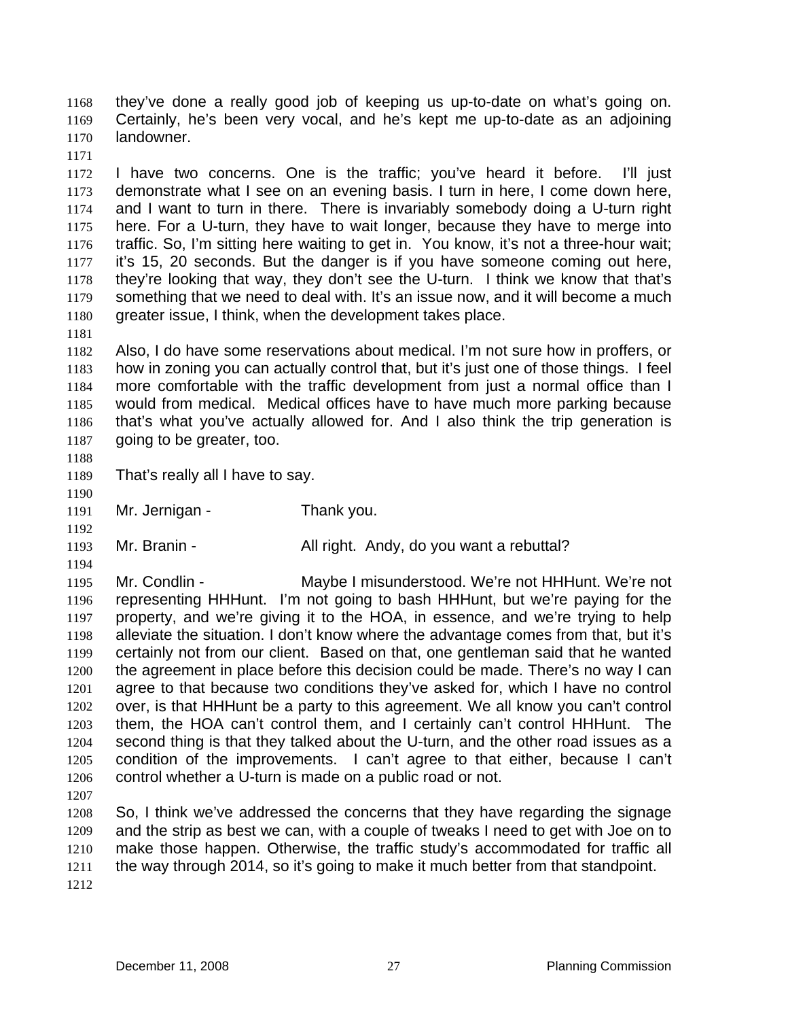they've done a really good job of keeping us up-to-date on what's going on. Certainly, he's been very vocal, and he's kept me up-to-date as an adjoining landowner. 1168 1169 1170

1171

1172 1173 1174 1175 1176 1177 1178 1179 1180 I have two concerns. One is the traffic; you've heard it before. I'll just demonstrate what I see on an evening basis. I turn in here, I come down here, and I want to turn in there. There is invariably somebody doing a U-turn right here. For a U-turn, they have to wait longer, because they have to merge into traffic. So, I'm sitting here waiting to get in. You know, it's not a three-hour wait; it's 15, 20 seconds. But the danger is if you have someone coming out here, they're looking that way, they don't see the U-turn. I think we know that that's something that we need to deal with. It's an issue now, and it will become a much greater issue, I think, when the development takes place.

1182 1183 1184 1185 1186 1187 Also, I do have some reservations about medical. I'm not sure how in proffers, or how in zoning you can actually control that, but it's just one of those things. I feel more comfortable with the traffic development from just a normal office than I would from medical. Medical offices have to have much more parking because that's what you've actually allowed for. And I also think the trip generation is going to be greater, too.

1188

1190

1192

1194

1181

1189 That's really all I have to say.

1191 Mr. Jernigan - Thank you.

1193 Mr. Branin - All right. Andy, do you want a rebuttal?

1195 1196 1197 1198 1199 1200 1201 1202 1203 1204 1205 1206 Mr. Condlin - Maybe I misunderstood. We're not HHHunt. We're not representing HHHunt. I'm not going to bash HHHunt, but we're paying for the property, and we're giving it to the HOA, in essence, and we're trying to help alleviate the situation. I don't know where the advantage comes from that, but it's certainly not from our client. Based on that, one gentleman said that he wanted the agreement in place before this decision could be made. There's no way I can agree to that because two conditions they've asked for, which I have no control over, is that HHHunt be a party to this agreement. We all know you can't control them, the HOA can't control them, and I certainly can't control HHHunt. The second thing is that they talked about the U-turn, and the other road issues as a condition of the improvements. I can't agree to that either, because I can't control whether a U-turn is made on a public road or not.

1207

1208 1209 1210 1211 1212 So, I think we've addressed the concerns that they have regarding the signage and the strip as best we can, with a couple of tweaks I need to get with Joe on to make those happen. Otherwise, the traffic study's accommodated for traffic all the way through 2014, so it's going to make it much better from that standpoint.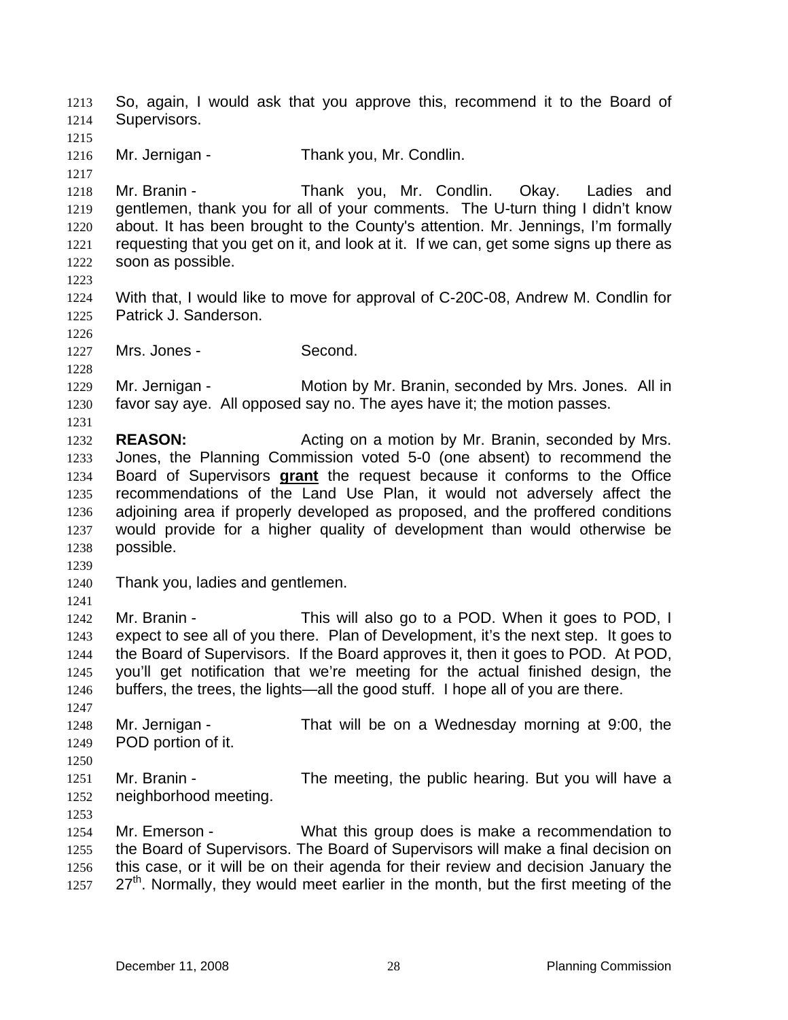So, again, I would ask that you approve this, recommend it to the Board of Supervisors. 1213 1214 1215 1216 1217 1218 1219 1220 1221 1222 1223 1224 1225 1226 1227 1228 1229 1230 1231 1232 1233 Mr. Jernigan - Thank you, Mr. Condlin. Mr. Branin - Thank you, Mr. Condlin. Okay. Ladies and gentlemen, thank you for all of your comments. The U-turn thing I didn't know about. It has been brought to the County's attention. Mr. Jennings, I'm formally requesting that you get on it, and look at it. If we can, get some signs up there as soon as possible. With that, I would like to move for approval of C-20C-08, Andrew M. Condlin for Patrick J. Sanderson. Mrs. Jones - Second. Mr. Jernigan - Motion by Mr. Branin, seconded by Mrs. Jones. All in favor say aye. All opposed say no. The ayes have it; the motion passes. **REASON:** Acting on a motion by Mr. Branin, seconded by Mrs. Jones, the Planning Commission voted 5-0 (one absent) to recommend the Board of Supervisors **grant** the request because it conforms to the Office recommendations of the Land Use Plan, it would not adversely affect the adjoining area if properly developed as proposed, and the proffered conditions would provide for a higher quality of development than would otherwise be possible. 1234 1235 1236 1237 1238 1239 1240 1241 1242 1243 1244 1245 1246 1247 1248 1249 1250 1251 1252 1253 1254 1255 1256 1257 Thank you, ladies and gentlemen. Mr. Branin - This will also go to a POD. When it goes to POD, I expect to see all of you there. Plan of Development, it's the next step. It goes to the Board of Supervisors. If the Board approves it, then it goes to POD. At POD, you'll get notification that we're meeting for the actual finished design, the buffers, the trees, the lights—all the good stuff. I hope all of you are there. Mr. Jernigan - That will be on a Wednesday morning at 9:00, the POD portion of it. Mr. Branin - The meeting, the public hearing. But you will have a neighborhood meeting. Mr. Emerson - What this group does is make a recommendation to the Board of Supervisors. The Board of Supervisors will make a final decision on this case, or it will be on their agenda for their review and decision January the  $27<sup>th</sup>$ . Normally, they would meet earlier in the month, but the first meeting of the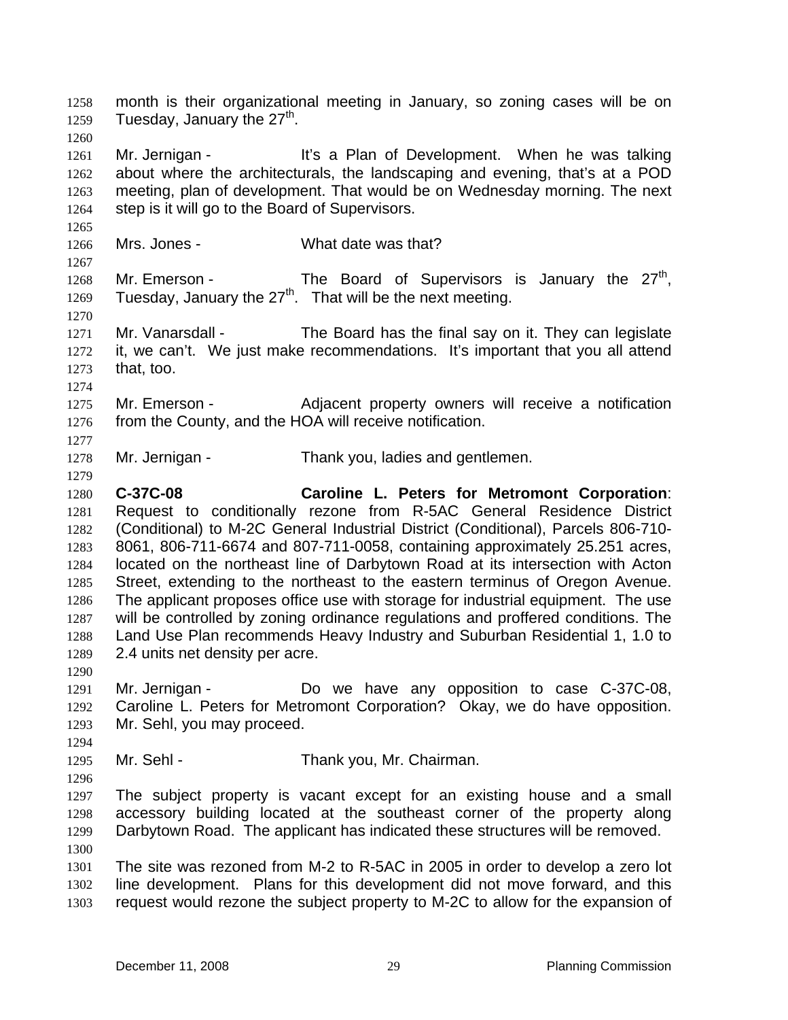month is their organizational meeting in January, so zoning cases will be on Tuesday, January the  $27<sup>th</sup>$ . 1258 1259 1260 1261 1262 1263 1264 1265 1266 1267 1268 1269 1270 1271 1272 1273 1274 1275 1276 1277 1278 1279 1280 1281 1282 1283 1284 1285 1286 1287 1288 1289 1290 1291 1292 1293 1294 1295 1296 1297 1298 1299 1300 1301 1302 1303 Mr. Jernigan - It's a Plan of Development. When he was talking about where the architecturals, the landscaping and evening, that's at a POD meeting, plan of development. That would be on Wednesday morning. The next step is it will go to the Board of Supervisors. Mrs. Jones - What date was that? Mr. Emerson - The Board of Supervisors is January the  $27<sup>th</sup>$ , Tuesday, January the  $27<sup>th</sup>$ . That will be the next meeting. Mr. Vanarsdall - The Board has the final say on it. They can legislate it, we can't. We just make recommendations. It's important that you all attend that, too. Mr. Emerson - Adjacent property owners will receive a notification from the County, and the HOA will receive notification. Mr. Jernigan - Thank you, ladies and gentlemen. **C-37C-08 Caroline L. Peters for Metromont Corporation**: Request to conditionally rezone from R-5AC General Residence District (Conditional) to M-2C General Industrial District (Conditional), Parcels 806-710- 8061, 806-711-6674 and 807-711-0058, containing approximately 25.251 acres, located on the northeast line of Darbytown Road at its intersection with Acton Street, extending to the northeast to the eastern terminus of Oregon Avenue. The applicant proposes office use with storage for industrial equipment. The use will be controlled by zoning ordinance regulations and proffered conditions. The Land Use Plan recommends Heavy Industry and Suburban Residential 1, 1.0 to 2.4 units net density per acre. Mr. Jernigan - Do we have any opposition to case C-37C-08, Caroline L. Peters for Metromont Corporation? Okay, we do have opposition. Mr. Sehl, you may proceed. Mr. Sehl - Thank you, Mr. Chairman. The subject property is vacant except for an existing house and a small accessory building located at the southeast corner of the property along Darbytown Road. The applicant has indicated these structures will be removed. The site was rezoned from M-2 to R-5AC in 2005 in order to develop a zero lot line development. Plans for this development did not move forward, and this request would rezone the subject property to M-2C to allow for the expansion of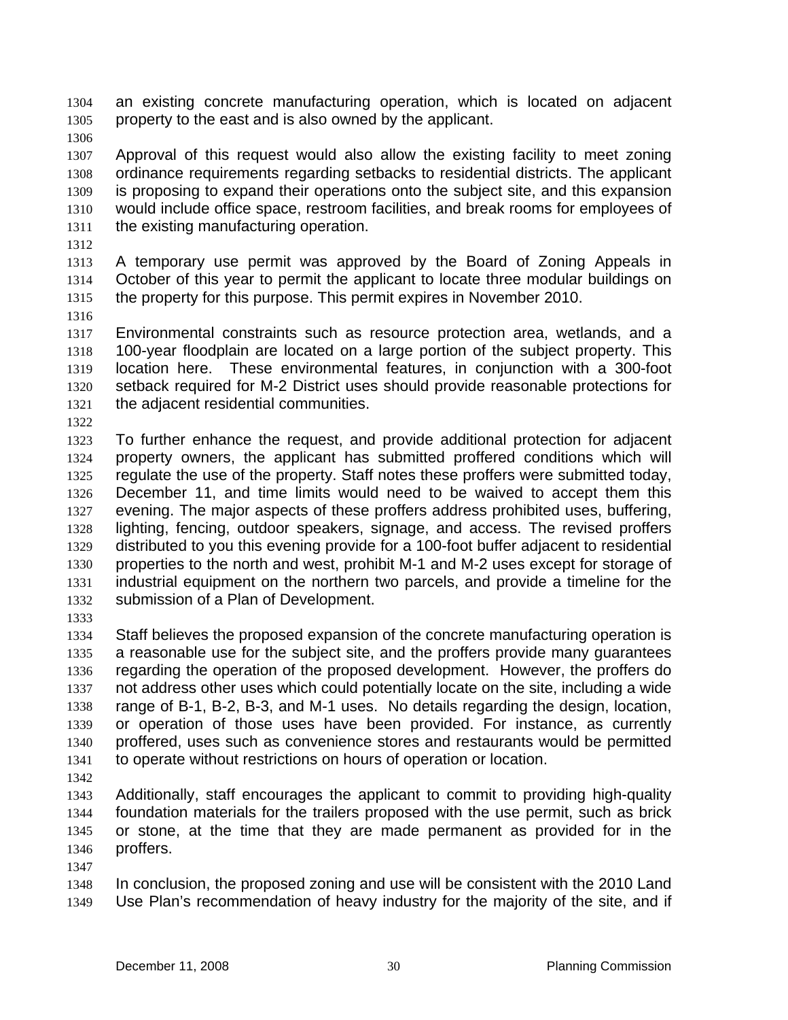an existing concrete manufacturing operation, which is located on adjacent property to the east and is also owned by the applicant. 1304 1305

1306

1307 1308 1309 1310 1311 Approval of this request would also allow the existing facility to meet zoning ordinance requirements regarding setbacks to residential districts. The applicant is proposing to expand their operations onto the subject site, and this expansion would include office space, restroom facilities, and break rooms for employees of the existing manufacturing operation.

1312

1313 1314 1315 A temporary use permit was approved by the Board of Zoning Appeals in October of this year to permit the applicant to locate three modular buildings on the property for this purpose. This permit expires in November 2010.

1316

1317 1318 1319 1320 1321 Environmental constraints such as resource protection area, wetlands, and a 100-year floodplain are located on a large portion of the subject property. This location here. These environmental features, in conjunction with a 300-foot setback required for M-2 District uses should provide reasonable protections for the adjacent residential communities.

1322

1323 1324 1325 1326 1327 1328 1329 1330 1331 1332 To further enhance the request, and provide additional protection for adjacent property owners, the applicant has submitted proffered conditions which will regulate the use of the property. Staff notes these proffers were submitted today, December 11, and time limits would need to be waived to accept them this evening. The major aspects of these proffers address prohibited uses, buffering, lighting, fencing, outdoor speakers, signage, and access. The revised proffers distributed to you this evening provide for a 100-foot buffer adjacent to residential properties to the north and west, prohibit M-1 and M-2 uses except for storage of industrial equipment on the northern two parcels, and provide a timeline for the submission of a Plan of Development.

1333

1334 1335 1336 1337 1338 1339 1340 1341 Staff believes the proposed expansion of the concrete manufacturing operation is a reasonable use for the subject site, and the proffers provide many guarantees regarding the operation of the proposed development. However, the proffers do not address other uses which could potentially locate on the site, including a wide range of B-1, B-2, B-3, and M-1 uses. No details regarding the design, location, or operation of those uses have been provided. For instance, as currently proffered, uses such as convenience stores and restaurants would be permitted to operate without restrictions on hours of operation or location.

1342

1343 1344 1345 1346 Additionally, staff encourages the applicant to commit to providing high-quality foundation materials for the trailers proposed with the use permit, such as brick or stone, at the time that they are made permanent as provided for in the proffers.

1347

1348 1349 In conclusion, the proposed zoning and use will be consistent with the 2010 Land Use Plan's recommendation of heavy industry for the majority of the site, and if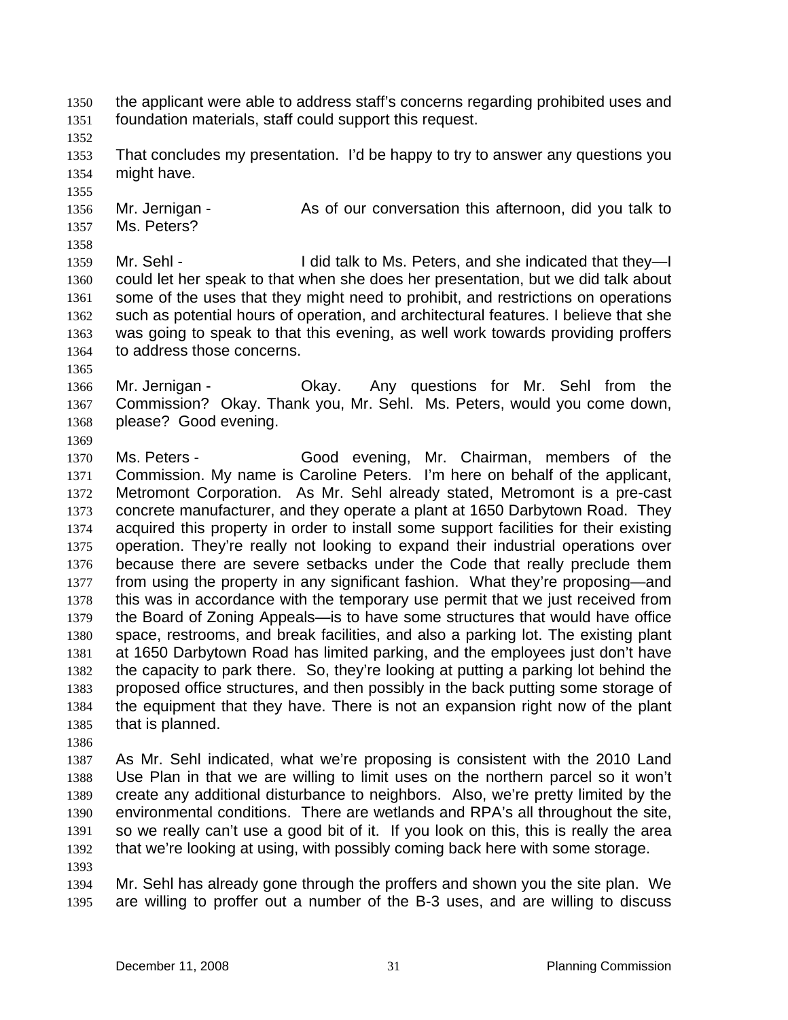- the applicant were able to address staff's concerns regarding prohibited uses and foundation materials, staff could support this request. 1350 1351
- 1352

1355

1358

- 1353 1354 That concludes my presentation. I'd be happy to try to answer any questions you might have.
- 1356 1357 Mr. Jernigan - As of our conversation this afternoon, did you talk to Ms. Peters?
- 1359 1360 1361 1362 1363 1364 Mr. Sehl - I did talk to Ms. Peters, and she indicated that they-I could let her speak to that when she does her presentation, but we did talk about some of the uses that they might need to prohibit, and restrictions on operations such as potential hours of operation, and architectural features. I believe that she was going to speak to that this evening, as well work towards providing proffers to address those concerns.
- 1365

1366 1367 1368 1369 Mr. Jernigan - Ckay. Any questions for Mr. Sehl from the Commission? Okay. Thank you, Mr. Sehl. Ms. Peters, would you come down, please? Good evening.

- 1370 1371 1372 1373 1374 1375 1376 1377 1378 1379 1380 1381 1382 1383 1384 1385 Ms. Peters - Good evening, Mr. Chairman, members of the Commission. My name is Caroline Peters. I'm here on behalf of the applicant, Metromont Corporation. As Mr. Sehl already stated, Metromont is a pre-cast concrete manufacturer, and they operate a plant at 1650 Darbytown Road. They acquired this property in order to install some support facilities for their existing operation. They're really not looking to expand their industrial operations over because there are severe setbacks under the Code that really preclude them from using the property in any significant fashion. What they're proposing—and this was in accordance with the temporary use permit that we just received from the Board of Zoning Appeals—is to have some structures that would have office space, restrooms, and break facilities, and also a parking lot. The existing plant at 1650 Darbytown Road has limited parking, and the employees just don't have the capacity to park there. So, they're looking at putting a parking lot behind the proposed office structures, and then possibly in the back putting some storage of the equipment that they have. There is not an expansion right now of the plant that is planned.
- 1386

1387 1388 1389 1390 1391 1392 As Mr. Sehl indicated, what we're proposing is consistent with the 2010 Land Use Plan in that we are willing to limit uses on the northern parcel so it won't create any additional disturbance to neighbors. Also, we're pretty limited by the environmental conditions. There are wetlands and RPA's all throughout the site, so we really can't use a good bit of it. If you look on this, this is really the area that we're looking at using, with possibly coming back here with some storage.

1393

1394 1395 Mr. Sehl has already gone through the proffers and shown you the site plan. We are willing to proffer out a number of the B-3 uses, and are willing to discuss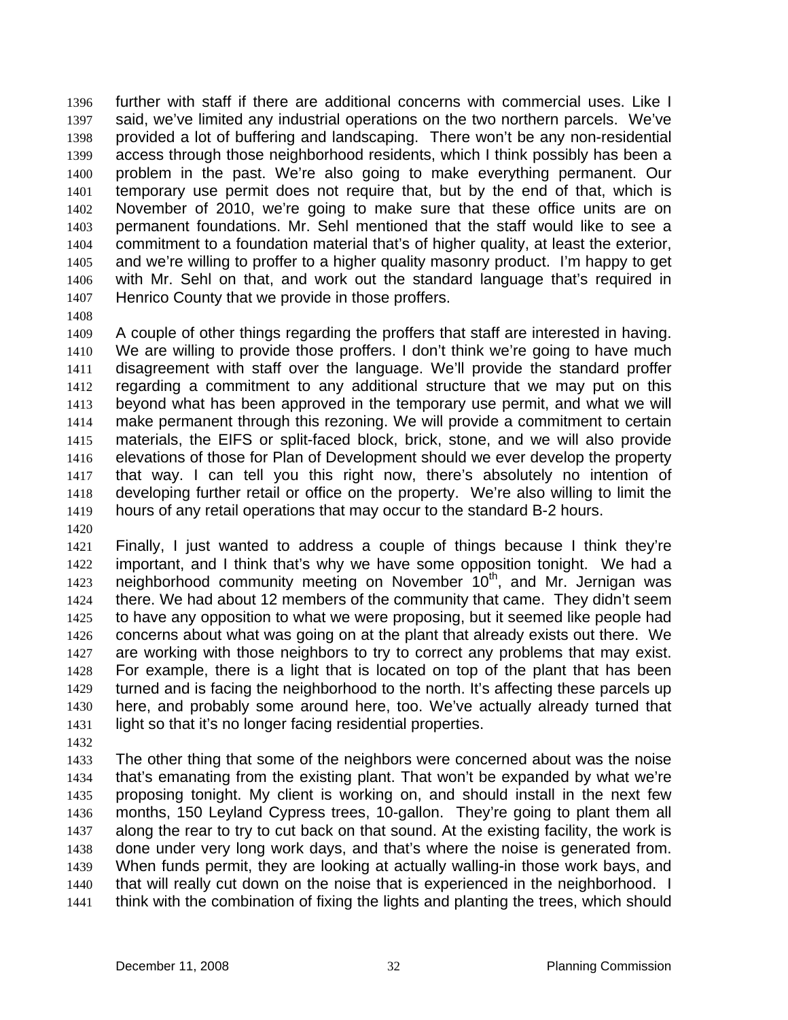further with staff if there are additional concerns with commercial uses. Like I said, we've limited any industrial operations on the two northern parcels. We've provided a lot of buffering and landscaping. There won't be any non-residential access through those neighborhood residents, which I think possibly has been a problem in the past. We're also going to make everything permanent. Our temporary use permit does not require that, but by the end of that, which is November of 2010, we're going to make sure that these office units are on permanent foundations. Mr. Sehl mentioned that the staff would like to see a commitment to a foundation material that's of higher quality, at least the exterior, and we're willing to proffer to a higher quality masonry product. I'm happy to get with Mr. Sehl on that, and work out the standard language that's required in Henrico County that we provide in those proffers. 1396 1397 1398 1399 1400 1401 1402 1403 1404 1405 1406 1407

1408

1409 1410 1411 1412 1413 1414 1415 1416 1417 1418 1419 A couple of other things regarding the proffers that staff are interested in having. We are willing to provide those proffers. I don't think we're going to have much disagreement with staff over the language. We'll provide the standard proffer regarding a commitment to any additional structure that we may put on this beyond what has been approved in the temporary use permit, and what we will make permanent through this rezoning. We will provide a commitment to certain materials, the EIFS or split-faced block, brick, stone, and we will also provide elevations of those for Plan of Development should we ever develop the property that way. I can tell you this right now, there's absolutely no intention of developing further retail or office on the property. We're also willing to limit the hours of any retail operations that may occur to the standard B-2 hours.

1420

1421 1422 1423 1424 1425 1426 1427 1428 1429 1430 1431 Finally, I just wanted to address a couple of things because I think they're important, and I think that's why we have some opposition tonight. We had a neighborhood community meeting on November 10<sup>th</sup>, and Mr. Jernigan was there. We had about 12 members of the community that came. They didn't seem to have any opposition to what we were proposing, but it seemed like people had concerns about what was going on at the plant that already exists out there. We are working with those neighbors to try to correct any problems that may exist. For example, there is a light that is located on top of the plant that has been turned and is facing the neighborhood to the north. It's affecting these parcels up here, and probably some around here, too. We've actually already turned that light so that it's no longer facing residential properties.

1432

1433 1434 1435 1436 1437 1438 1439 1440 1441 The other thing that some of the neighbors were concerned about was the noise that's emanating from the existing plant. That won't be expanded by what we're proposing tonight. My client is working on, and should install in the next few months, 150 Leyland Cypress trees, 10-gallon. They're going to plant them all along the rear to try to cut back on that sound. At the existing facility, the work is done under very long work days, and that's where the noise is generated from. When funds permit, they are looking at actually walling-in those work bays, and that will really cut down on the noise that is experienced in the neighborhood. I think with the combination of fixing the lights and planting the trees, which should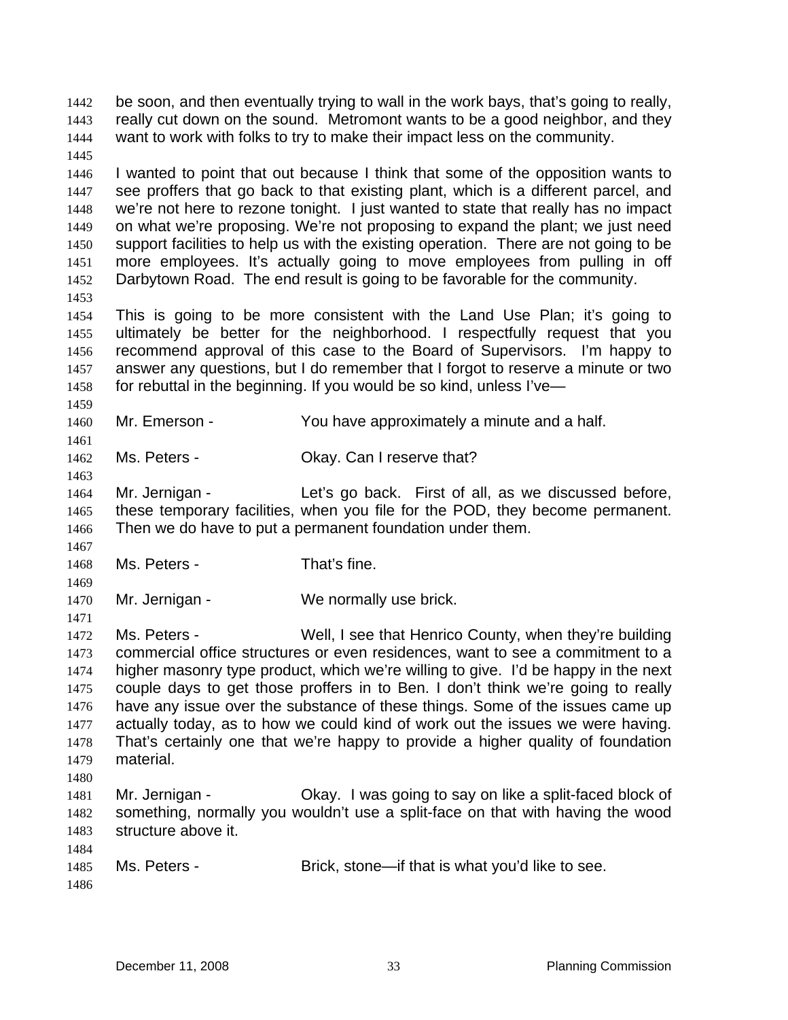really cut down on the sound. Metromont wants to be a good neighbor, and they want to work with folks to try to make their impact less on the community. 1443 1444 1445 1446 1447 1448 1449 1450 1451 1452 1453 1454 1455 1456 1457 1458 1459 1460 1461 1462 1463 1464 1465 1466 1467 1468 1469 1470 1471 1472 1473 1474 1475 1476 1477 1478 1479 1480 1481 1482 1483 1484 1485 1486 I wanted to point that out because I think that some of the opposition wants to see proffers that go back to that existing plant, which is a different parcel, and we're not here to rezone tonight. I just wanted to state that really has no impact on what we're proposing. We're not proposing to expand the plant; we just need support facilities to help us with the existing operation. There are not going to be more employees. It's actually going to move employees from pulling in off Darbytown Road. The end result is going to be favorable for the community. This is going to be more consistent with the Land Use Plan; it's going to ultimately be better for the neighborhood. I respectfully request that you recommend approval of this case to the Board of Supervisors. I'm happy to answer any questions, but I do remember that I forgot to reserve a minute or two for rebuttal in the beginning. If you would be so kind, unless I've— Mr. Emerson - You have approximately a minute and a half. Ms. Peters - Ckay. Can I reserve that? Mr. Jernigan - Let's go back. First of all, as we discussed before, these temporary facilities, when you file for the POD, they become permanent. Then we do have to put a permanent foundation under them. Ms. Peters - That's fine. Mr. Jernigan - We normally use brick. Ms. Peters - Well, I see that Henrico County, when they're building commercial office structures or even residences, want to see a commitment to a higher masonry type product, which we're willing to give. I'd be happy in the next couple days to get those proffers in to Ben. I don't think we're going to really have any issue over the substance of these things. Some of the issues came up actually today, as to how we could kind of work out the issues we were having. That's certainly one that we're happy to provide a higher quality of foundation material. Mr. Jernigan - Okay. I was going to say on like a split-faced block of something, normally you wouldn't use a split-face on that with having the wood structure above it. Ms. Peters - Brick, stone—if that is what you'd like to see.

be soon, and then eventually trying to wall in the work bays, that's going to really,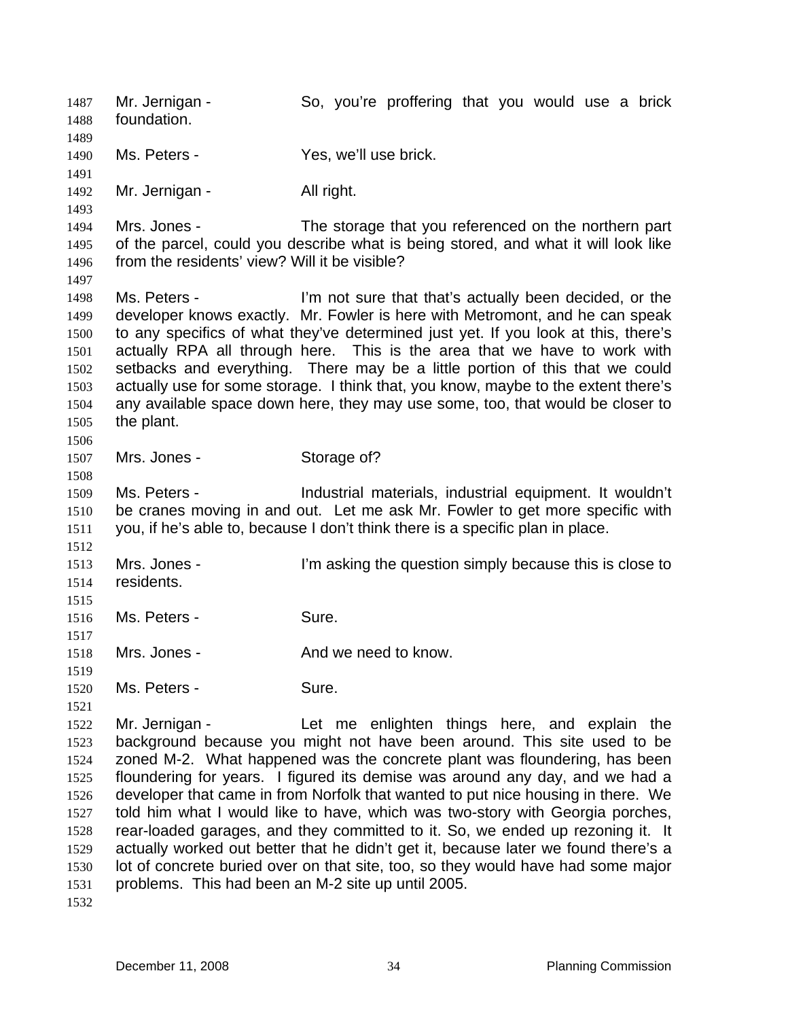Mr. Jernigan - So, you're proffering that you would use a brick foundation. 1487 1488 1489 1490 1491 1492 1493 1494 1495 1496 1497 1498 1499 1500 1501 1502 1503 1504 1505 1506 1507 1508 1509 1510 1511 1512 1513 1514 1515 1516 1517 1518 1519 1520 1521 1522 1523 1524 1525 1526 1527 1528 1529 1530 1531 1532 Ms. Peters - Yes, we'll use brick. Mr. Jernigan - All right. Mrs. Jones - The storage that you referenced on the northern part of the parcel, could you describe what is being stored, and what it will look like from the residents' view? Will it be visible? Ms. Peters - I'm not sure that that's actually been decided, or the developer knows exactly. Mr. Fowler is here with Metromont, and he can speak to any specifics of what they've determined just yet. If you look at this, there's actually RPA all through here. This is the area that we have to work with setbacks and everything. There may be a little portion of this that we could actually use for some storage. I think that, you know, maybe to the extent there's any available space down here, they may use some, too, that would be closer to the plant. Mrs. Jones - Storage of? Ms. Peters - Industrial materials, industrial equipment. It wouldn't be cranes moving in and out. Let me ask Mr. Fowler to get more specific with you, if he's able to, because I don't think there is a specific plan in place. Mrs. Jones - I'm asking the question simply because this is close to residents. Ms. Peters - Sure. Mrs. Jones - The And we need to know. Ms. Peters - Sure. Mr. Jernigan - Let me enlighten things here, and explain the background because you might not have been around. This site used to be zoned M-2. What happened was the concrete plant was floundering, has been floundering for years. I figured its demise was around any day, and we had a developer that came in from Norfolk that wanted to put nice housing in there. We told him what I would like to have, which was two-story with Georgia porches, rear-loaded garages, and they committed to it. So, we ended up rezoning it. It actually worked out better that he didn't get it, because later we found there's a lot of concrete buried over on that site, too, so they would have had some major problems. This had been an M-2 site up until 2005.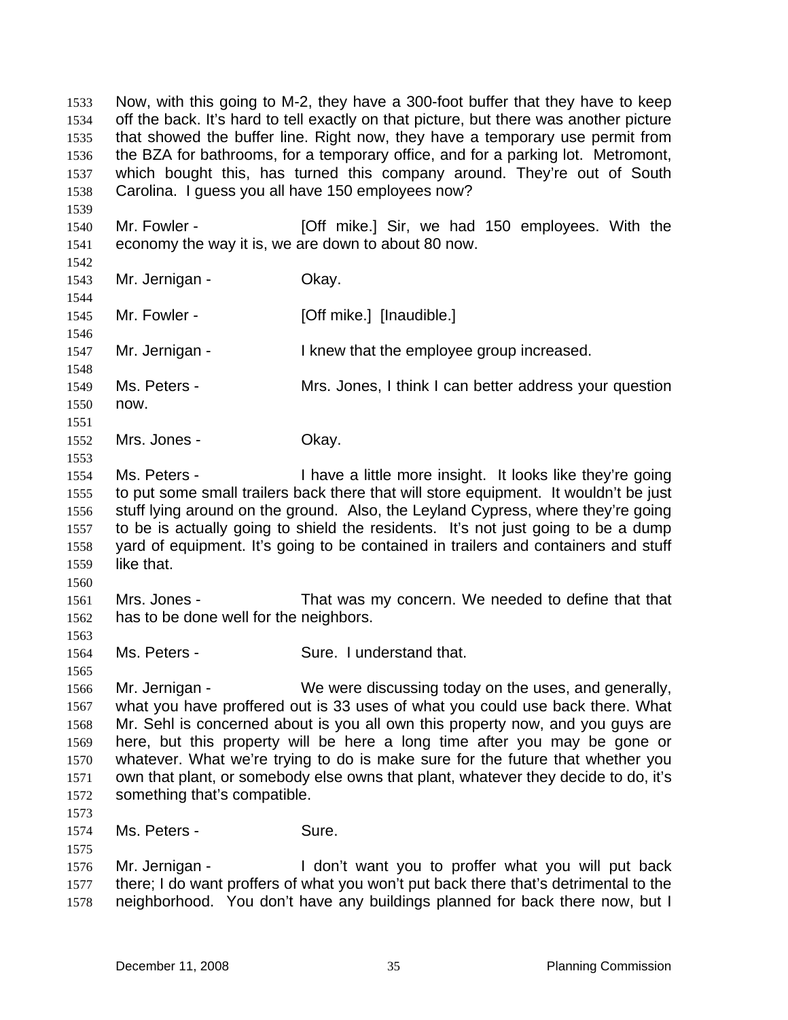that showed the buffer line. Right now, they have a temporary use permit from the BZA for bathrooms, for a temporary office, and for a parking lot. Metromont, which bought this, has turned this company around. They're out of South Carolina. I guess you all have 150 employees now? 1535 1536 1537 1538 1539 1540 1541 1542 1543 1544 1545 1546 1547 1548 1549 1550 1551 1552 1553 1554 1555 1556 1557 1558 1559 1560 1561 1562 1563 1564 1565 1566 1567 1568 1569 1570 1571 1572 1573 1574 1575 1576 1577 1578 Mr. Fowler - **[Off mike.]** Sir, we had 150 employees. With the economy the way it is, we are down to about 80 now. Mr. Jernigan - Ckay. Mr. Fowler - [Off mike.] [Inaudible.] Mr. Jernigan - The Muslim Chernican I knew that the employee group increased. Ms. Peters - Mrs. Jones, I think I can better address your question now. Mrs. Jones - Chay. Ms. Peters - Thave a little more insight. It looks like they're going to put some small trailers back there that will store equipment. It wouldn't be just stuff lying around on the ground. Also, the Leyland Cypress, where they're going to be is actually going to shield the residents. It's not just going to be a dump yard of equipment. It's going to be contained in trailers and containers and stuff like that. Mrs. Jones - That was my concern. We needed to define that that has to be done well for the neighbors. Ms. Peters - Sure. I understand that. Mr. Jernigan - We were discussing today on the uses, and generally, what you have proffered out is 33 uses of what you could use back there. What Mr. Sehl is concerned about is you all own this property now, and you guys are here, but this property will be here a long time after you may be gone or whatever. What we're trying to do is make sure for the future that whether you own that plant, or somebody else owns that plant, whatever they decide to do, it's something that's compatible. Ms. Peters - Sure. Mr. Jernigan - The Mon't want you to proffer what you will put back there; I do want proffers of what you won't put back there that's detrimental to the neighborhood. You don't have any buildings planned for back there now, but I

Now, with this going to M-2, they have a 300-foot buffer that they have to keep off the back. It's hard to tell exactly on that picture, but there was another picture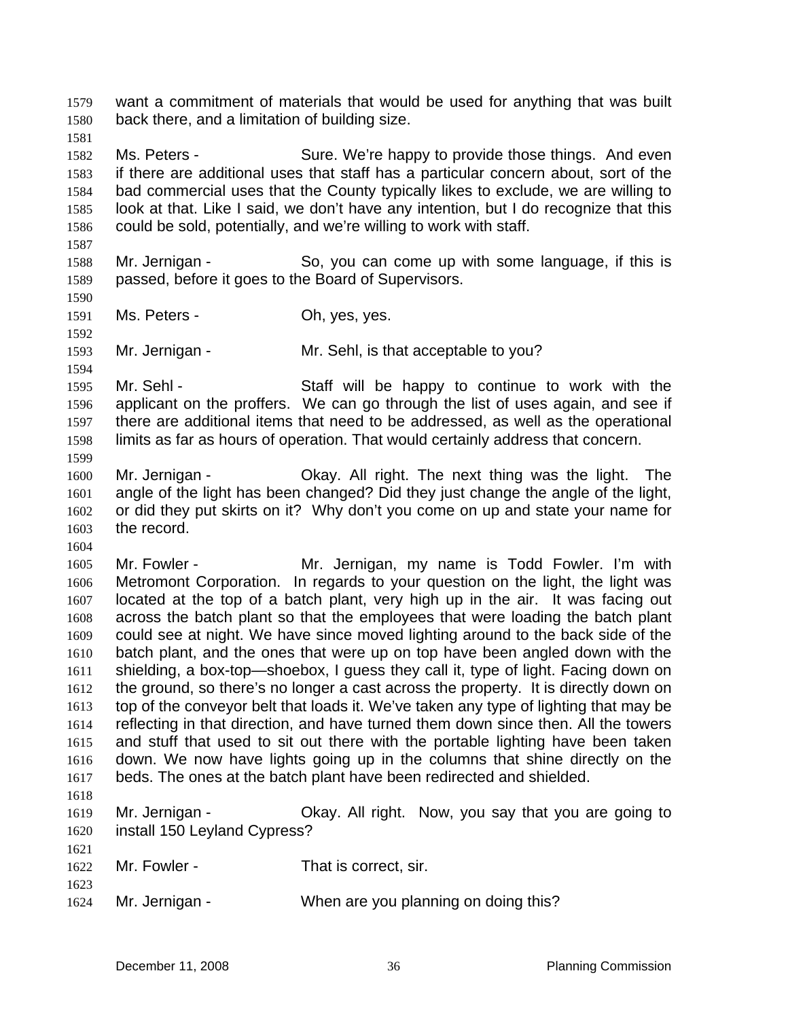want a commitment of materials that would be used for anything that was built back there, and a limitation of building size. 1579 1580

1582 1583 1584 1585 1586 Ms. Peters - Sure. We're happy to provide those things. And even if there are additional uses that staff has a particular concern about, sort of the bad commercial uses that the County typically likes to exclude, we are willing to look at that. Like I said, we don't have any intention, but I do recognize that this could be sold, potentially, and we're willing to work with staff.

1588 1589 Mr. Jernigan - So, you can come up with some language, if this is passed, before it goes to the Board of Supervisors.

1590 1591

1592

1594

1599

1604

1587

1581

Ms. Peters - Ch, yes, yes.

1593 Mr. Jernigan - Mr. Sehl, is that acceptable to you?

1595 1596 1597 1598 Mr. Sehl - Staff will be happy to continue to work with the applicant on the proffers. We can go through the list of uses again, and see if there are additional items that need to be addressed, as well as the operational limits as far as hours of operation. That would certainly address that concern.

1600 1601 1602 1603 Mr. Jernigan - Okay. All right. The next thing was the light. The angle of the light has been changed? Did they just change the angle of the light, or did they put skirts on it? Why don't you come on up and state your name for the record.

1605 1606 1607 1608 1609 1610 1611 1612 1613 1614 1615 1616 1617 Mr. Fowler - Mr. Jernigan, my name is Todd Fowler. I'm with Metromont Corporation. In regards to your question on the light, the light was located at the top of a batch plant, very high up in the air. It was facing out across the batch plant so that the employees that were loading the batch plant could see at night. We have since moved lighting around to the back side of the batch plant, and the ones that were up on top have been angled down with the shielding, a box-top—shoebox, I guess they call it, type of light. Facing down on the ground, so there's no longer a cast across the property. It is directly down on top of the conveyor belt that loads it. We've taken any type of lighting that may be reflecting in that direction, and have turned them down since then. All the towers and stuff that used to sit out there with the portable lighting have been taken down. We now have lights going up in the columns that shine directly on the beds. The ones at the batch plant have been redirected and shielded.

1618

1621

1623

1619 1620 Mr. Jernigan - Ckay. All right. Now, you say that you are going to install 150 Leyland Cypress?

- 1622 Mr. Fowler - That is correct, sir.
- 1624 Mr. Jernigan - When are you planning on doing this?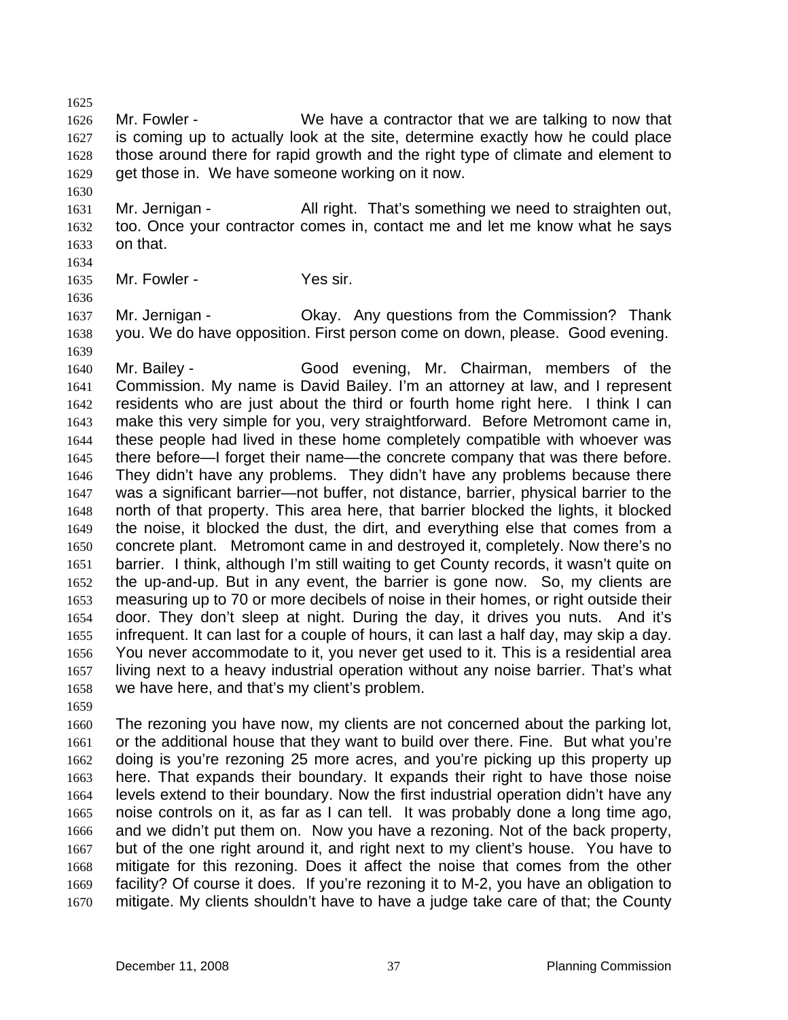1626 1627 1628 1629 Mr. Fowler - We have a contractor that we are talking to now that is coming up to actually look at the site, determine exactly how he could place those around there for rapid growth and the right type of climate and element to get those in. We have someone working on it now.

1631 1632 1633 Mr. Jernigan - All right. That's something we need to straighten out, too. Once your contractor comes in, contact me and let me know what he says on that.

1634

1636

1630

1625

1635 Mr. Fowler - Yes sir.

1637 1638 1639 Mr. Jernigan - Chay. Any questions from the Commission? Thank you. We do have opposition. First person come on down, please. Good evening.

1640 1641 1642 1643 1644 1645 1646 1647 1648 1649 1650 1651 1652 1653 1654 1655 1656 1657 1658 Mr. Bailey - Good evening, Mr. Chairman, members of the Commission. My name is David Bailey. I'm an attorney at law, and I represent residents who are just about the third or fourth home right here. I think I can make this very simple for you, very straightforward. Before Metromont came in, these people had lived in these home completely compatible with whoever was there before—I forget their name—the concrete company that was there before. They didn't have any problems. They didn't have any problems because there was a significant barrier—not buffer, not distance, barrier, physical barrier to the north of that property. This area here, that barrier blocked the lights, it blocked the noise, it blocked the dust, the dirt, and everything else that comes from a concrete plant. Metromont came in and destroyed it, completely. Now there's no barrier. I think, although I'm still waiting to get County records, it wasn't quite on the up-and-up. But in any event, the barrier is gone now. So, my clients are measuring up to 70 or more decibels of noise in their homes, or right outside their door. They don't sleep at night. During the day, it drives you nuts. And it's infrequent. It can last for a couple of hours, it can last a half day, may skip a day. You never accommodate to it, you never get used to it. This is a residential area living next to a heavy industrial operation without any noise barrier. That's what we have here, and that's my client's problem.

1659

1660 1661 1662 1663 1664 1665 1666 1667 1668 1669 1670 The rezoning you have now, my clients are not concerned about the parking lot, or the additional house that they want to build over there. Fine. But what you're doing is you're rezoning 25 more acres, and you're picking up this property up here. That expands their boundary. It expands their right to have those noise levels extend to their boundary. Now the first industrial operation didn't have any noise controls on it, as far as I can tell. It was probably done a long time ago, and we didn't put them on. Now you have a rezoning. Not of the back property, but of the one right around it, and right next to my client's house. You have to mitigate for this rezoning. Does it affect the noise that comes from the other facility? Of course it does. If you're rezoning it to M-2, you have an obligation to mitigate. My clients shouldn't have to have a judge take care of that; the County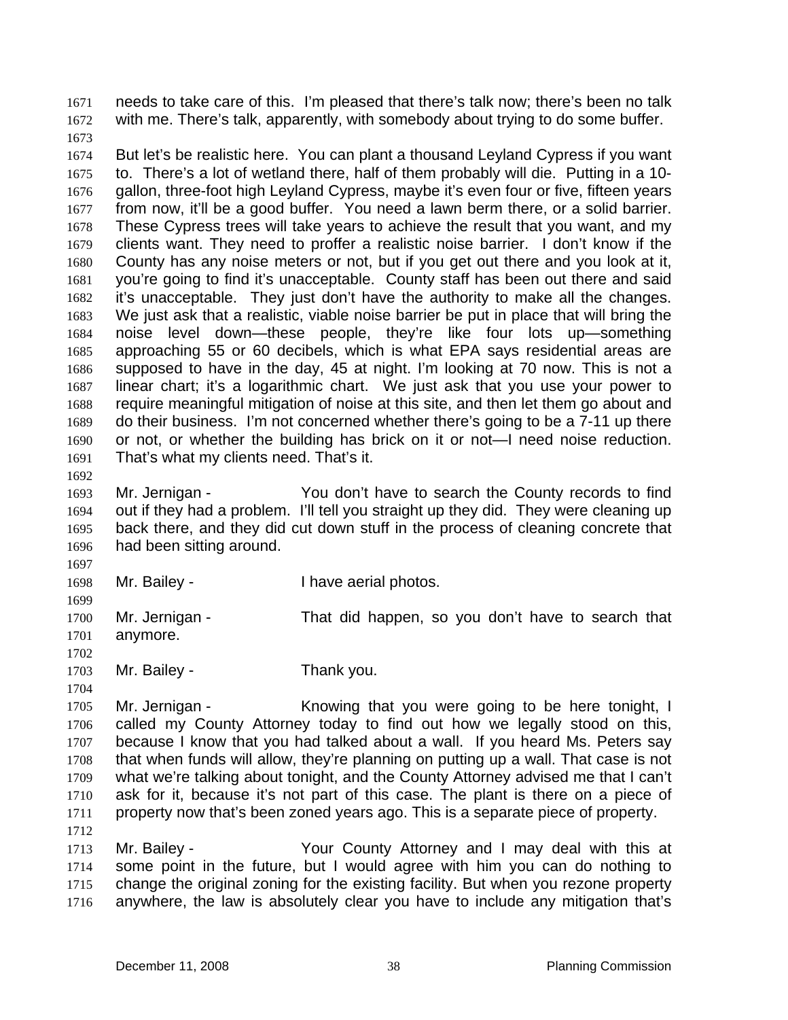needs to take care of this. I'm pleased that there's talk now; there's been no talk with me. There's talk, apparently, with somebody about trying to do some buffer. 1671 1672

1673

1674 1675 1676 1677 1678 1679 1680 1681 1682 1683 1684 1685 1686 1687 1688 1689 1690 1691 But let's be realistic here. You can plant a thousand Leyland Cypress if you want to. There's a lot of wetland there, half of them probably will die. Putting in a 10 gallon, three-foot high Leyland Cypress, maybe it's even four or five, fifteen years from now, it'll be a good buffer. You need a lawn berm there, or a solid barrier. These Cypress trees will take years to achieve the result that you want, and my clients want. They need to proffer a realistic noise barrier. I don't know if the County has any noise meters or not, but if you get out there and you look at it, you're going to find it's unacceptable. County staff has been out there and said it's unacceptable. They just don't have the authority to make all the changes. We just ask that a realistic, viable noise barrier be put in place that will bring the noise level down—these people, they're like four lots up—something approaching 55 or 60 decibels, which is what EPA says residential areas are supposed to have in the day, 45 at night. I'm looking at 70 now. This is not a linear chart; it's a logarithmic chart. We just ask that you use your power to require meaningful mitigation of noise at this site, and then let them go about and do their business. I'm not concerned whether there's going to be a 7-11 up there or not, or whether the building has brick on it or not—I need noise reduction. That's what my clients need. That's it.

1692

1693 1694 1695 1696 Mr. Jernigan - You don't have to search the County records to find out if they had a problem. I'll tell you straight up they did. They were cleaning up back there, and they did cut down stuff in the process of cleaning concrete that had been sitting around.

1697

1704

1698

Mr. Bailey - Thave aerial photos.

1699 1700 1701 1702 Mr. Jernigan - That did happen, so you don't have to search that anymore.

1703 Mr. Bailey - Thank you.

1705 1706 1707 1708 1709 1710 1711 1712 Mr. Jernigan - Knowing that you were going to be here tonight, I called my County Attorney today to find out how we legally stood on this, because I know that you had talked about a wall. If you heard Ms. Peters say that when funds will allow, they're planning on putting up a wall. That case is not what we're talking about tonight, and the County Attorney advised me that I can't ask for it, because it's not part of this case. The plant is there on a piece of property now that's been zoned years ago. This is a separate piece of property.

1713 1714 1715 1716 Mr. Bailey - The Your County Attorney and I may deal with this at some point in the future, but I would agree with him you can do nothing to change the original zoning for the existing facility. But when you rezone property anywhere, the law is absolutely clear you have to include any mitigation that's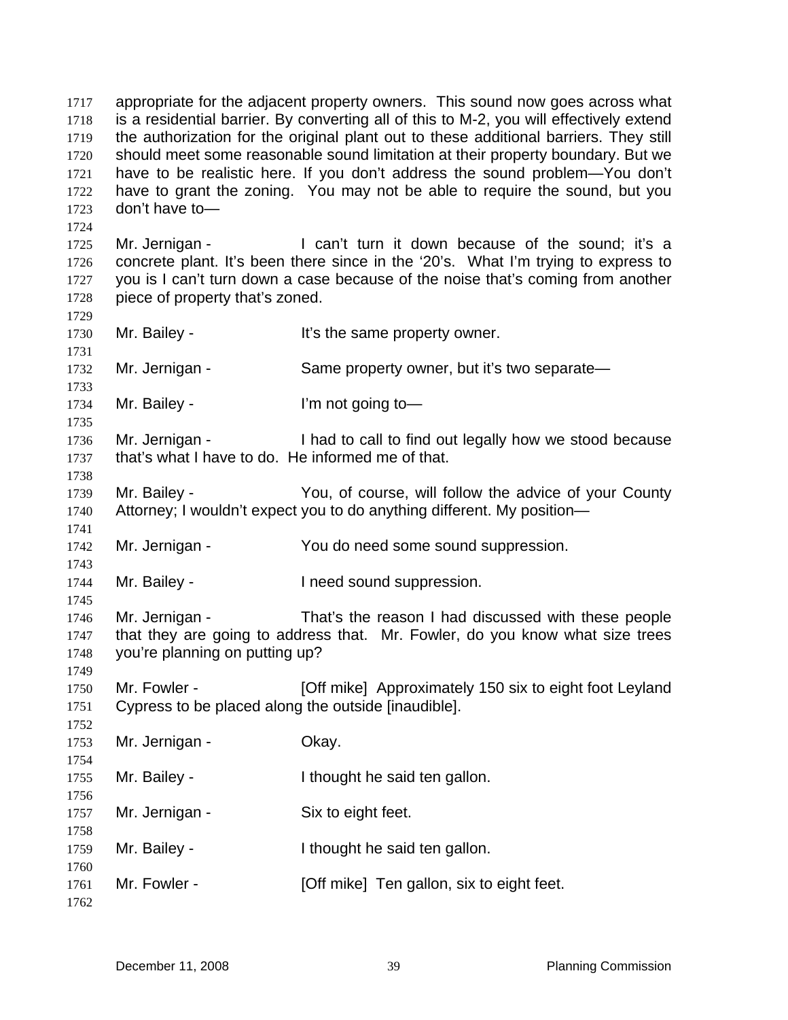appropriate for the adjacent property owners. This sound now goes across what is a residential barrier. By converting all of this to M-2, you will effectively extend the authorization for the original plant out to these additional barriers. They still should meet some reasonable sound limitation at their property boundary. But we have to be realistic here. If you don't address the sound problem—You don't have to grant the zoning. You may not be able to require the sound, but you don't have to— 1717 1718 1719 1720 1721 1722 1723 1724 1725 1726 1727 1728 1729 1730 1731 1732 1733 1734 1735 1736 1737 1738 1739 1740 1741 1742 1743 1744 1745 1746 1747 1748 1749 1750 1751 1752 1753 1754 1755 1756 1757 1758 1759 1760 1761 1762 Mr. Jernigan - The Can't turn it down because of the sound: it's a concrete plant. It's been there since in the '20's. What I'm trying to express to you is I can't turn down a case because of the noise that's coming from another piece of property that's zoned. Mr. Bailey - The Same property owner. Mr. Jernigan - Same property owner, but it's two separate-Mr. Bailey - I'm not going to — Mr. Jernigan - I had to call to find out legally how we stood because that's what I have to do. He informed me of that. Mr. Bailey - You, of course, will follow the advice of your County Attorney; I wouldn't expect you to do anything different. My position— Mr. Jernigan - You do need some sound suppression. Mr. Bailey - Theed sound suppression. Mr. Jernigan - That's the reason I had discussed with these people that they are going to address that. Mr. Fowler, do you know what size trees you're planning on putting up? Mr. Fowler - **[Off mike]** Approximately 150 six to eight foot Leyland Cypress to be placed along the outside [inaudible]. Mr. Jernigan - **Okay.** Mr. Bailey - The Uthought he said ten gallon. Mr. Jernigan - Six to eight feet. Mr. Bailey - The Uthought he said ten gallon. Mr. Fowler - [Off mike] Ten gallon, six to eight feet.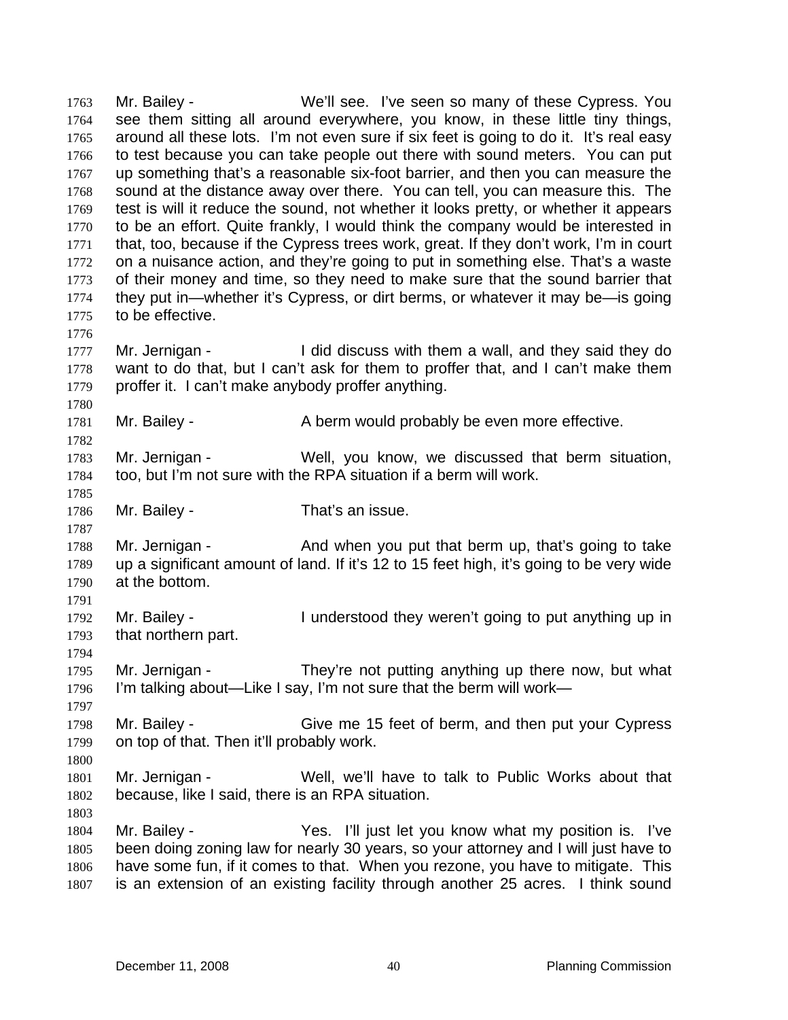Mr. Bailey - We'll see. I've seen so many of these Cypress. You see them sitting all around everywhere, you know, in these little tiny things, around all these lots. I'm not even sure if six feet is going to do it. It's real easy to test because you can take people out there with sound meters. You can put up something that's a reasonable six-foot barrier, and then you can measure the sound at the distance away over there. You can tell, you can measure this. The test is will it reduce the sound, not whether it looks pretty, or whether it appears to be an effort. Quite frankly, I would think the company would be interested in that, too, because if the Cypress trees work, great. If they don't work, I'm in court on a nuisance action, and they're going to put in something else. That's a waste of their money and time, so they need to make sure that the sound barrier that they put in—whether it's Cypress, or dirt berms, or whatever it may be—is going to be effective. 1763 1764 1765 1766 1767 1768 1769 1770 1771 1772 1773 1774 1775 1776 1777 1778 1779 1780 1781 1782 1783 1784 1785 1786 1787 1788 1789 1790 1791 1792 1793 1794 1795 1796 1797 1798 1799 1800 1801 1802 1803 1804 1805 1806 1807 Mr. Jernigan - The I did discuss with them a wall, and they said they do want to do that, but I can't ask for them to proffer that, and I can't make them proffer it. I can't make anybody proffer anything. Mr. Bailey - **A** berm would probably be even more effective. Mr. Jernigan - Well, you know, we discussed that berm situation, too, but I'm not sure with the RPA situation if a berm will work. Mr. Bailey - That's an issue. Mr. Jernigan - And when you put that berm up, that's going to take up a significant amount of land. If it's 12 to 15 feet high, it's going to be very wide at the bottom. Mr. Bailey - I understood they weren't going to put anything up in that northern part. Mr. Jernigan - They're not putting anything up there now, but what I'm talking about—Like I say, I'm not sure that the berm will work— Mr. Bailey - Give me 15 feet of berm, and then put your Cypress on top of that. Then it'll probably work. Mr. Jernigan - Well, we'll have to talk to Public Works about that because, like I said, there is an RPA situation. Mr. Bailey - Yes. I'll just let you know what my position is. I've been doing zoning law for nearly 30 years, so your attorney and I will just have to have some fun, if it comes to that. When you rezone, you have to mitigate. This is an extension of an existing facility through another 25 acres. I think sound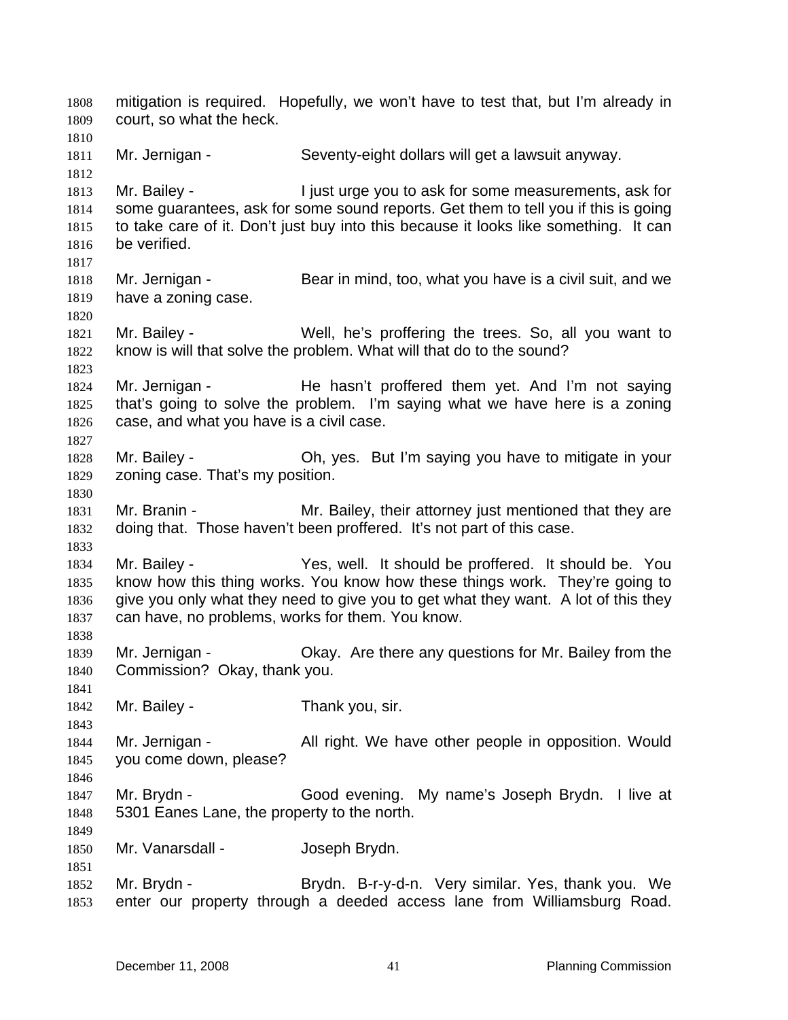mitigation is required. Hopefully, we won't have to test that, but I'm already in court, so what the heck. 1808 1809 1810 1811 1812 1813 1814 1815 1816 1817 1818 1819 1820 1821 1822 1823 1824 1825 1826 1827 1828 1829 1830 1831 1832 1833 1834 1835 1836 1837 1838 1839 1840 1841 1842 1843 1844 1845 1846 1847 1848 1849 1850 1851 1852 1853 Mr. Jernigan - Seventy-eight dollars will get a lawsuit anyway. Mr. Bailey - I just urge you to ask for some measurements, ask for some guarantees, ask for some sound reports. Get them to tell you if this is going to take care of it. Don't just buy into this because it looks like something. It can be verified. Mr. Jernigan - Bear in mind, too, what you have is a civil suit, and we have a zoning case. Mr. Bailey - Well, he's proffering the trees. So, all you want to know is will that solve the problem. What will that do to the sound? Mr. Jernigan - He hasn't proffered them yet. And I'm not saying that's going to solve the problem. I'm saying what we have here is a zoning case, and what you have is a civil case. Mr. Bailey - Oh, yes. But I'm saying you have to mitigate in your zoning case. That's my position. Mr. Branin - The Mr. Bailey, their attorney just mentioned that they are doing that. Those haven't been proffered. It's not part of this case. Mr. Bailey - Yes, well. It should be proffered. It should be. You know how this thing works. You know how these things work. They're going to give you only what they need to give you to get what they want. A lot of this they can have, no problems, works for them. You know. Mr. Jernigan - Okay. Are there any questions for Mr. Bailey from the Commission? Okay, thank you. Mr. Bailey - Thank you, sir. Mr. Jernigan - The All right. We have other people in opposition. Would you come down, please? Mr. Brydn - Good evening. My name's Joseph Brydn. I live at 5301 Eanes Lane, the property to the north. Mr. Vanarsdall - Sand Joseph Brydn. Mr. Brydn - Brydn. B-r-y-d-n. Very similar. Yes, thank you. We enter our property through a deeded access lane from Williamsburg Road.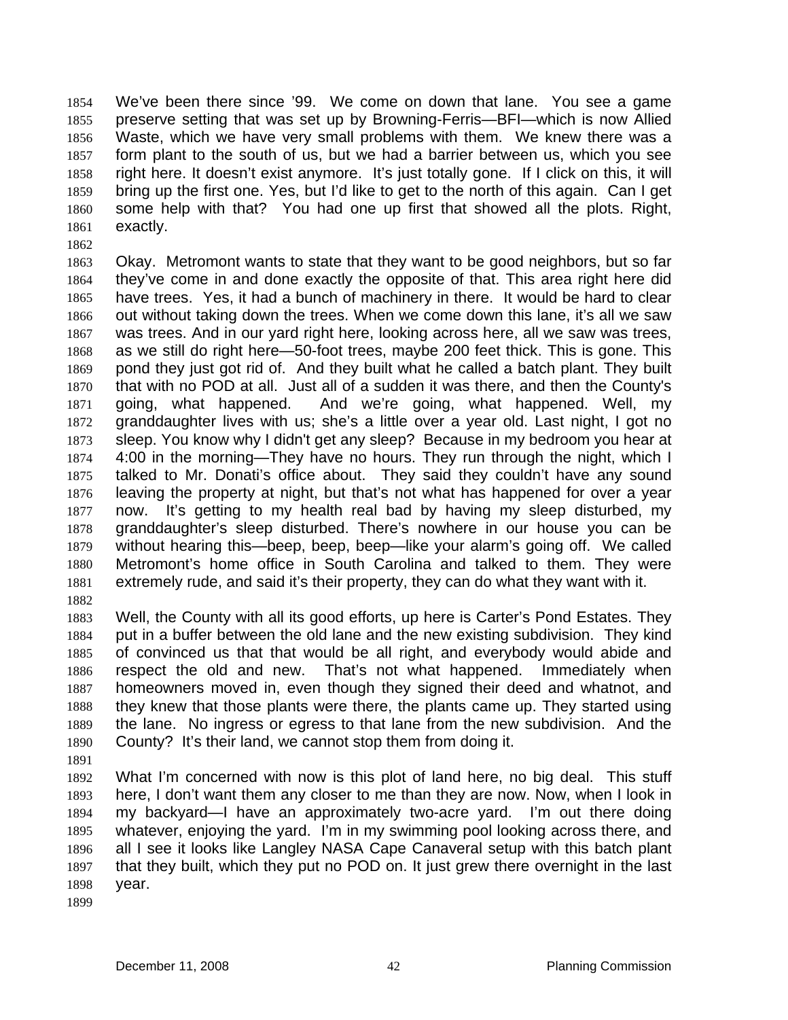We've been there since '99. We come on down that lane. You see a game preserve setting that was set up by Browning-Ferris—BFI—which is now Allied Waste, which we have very small problems with them. We knew there was a form plant to the south of us, but we had a barrier between us, which you see right here. It doesn't exist anymore. It's just totally gone. If I click on this, it will bring up the first one. Yes, but I'd like to get to the north of this again. Can I get some help with that? You had one up first that showed all the plots. Right, exactly. 1854 1855 1856 1857 1858 1859 1860 1861

1862

1863 1864 1865 1866 1867 1868 1869 1870 1871 1872 1873 1874 1875 1876 1877 1878 1879 1880 1881 Okay. Metromont wants to state that they want to be good neighbors, but so far they've come in and done exactly the opposite of that. This area right here did have trees. Yes, it had a bunch of machinery in there. It would be hard to clear out without taking down the trees. When we come down this lane, it's all we saw was trees. And in our yard right here, looking across here, all we saw was trees, as we still do right here—50-foot trees, maybe 200 feet thick. This is gone. This pond they just got rid of. And they built what he called a batch plant. They built that with no POD at all. Just all of a sudden it was there, and then the County's going, what happened. And we're going, what happened. Well, my granddaughter lives with us; she's a little over a year old. Last night, I got no sleep. You know why I didn't get any sleep? Because in my bedroom you hear at 4:00 in the morning—They have no hours. They run through the night, which I talked to Mr. Donati's office about. They said they couldn't have any sound leaving the property at night, but that's not what has happened for over a year now. It's getting to my health real bad by having my sleep disturbed, my granddaughter's sleep disturbed. There's nowhere in our house you can be without hearing this—beep, beep, beep—like your alarm's going off. We called Metromont's home office in South Carolina and talked to them. They were extremely rude, and said it's their property, they can do what they want with it.

1882

1883 1884 1885 1886 1887 1888 1889 1890 Well, the County with all its good efforts, up here is Carter's Pond Estates. They put in a buffer between the old lane and the new existing subdivision. They kind of convinced us that that would be all right, and everybody would abide and respect the old and new. That's not what happened. Immediately when homeowners moved in, even though they signed their deed and whatnot, and they knew that those plants were there, the plants came up. They started using the lane. No ingress or egress to that lane from the new subdivision. And the County? It's their land, we cannot stop them from doing it.

1891

1892 1893 1894 1895 1896 1897 1898 What I'm concerned with now is this plot of land here, no big deal. This stuff here, I don't want them any closer to me than they are now. Now, when I look in my backyard—I have an approximately two-acre yard. I'm out there doing whatever, enjoying the yard. I'm in my swimming pool looking across there, and all I see it looks like Langley NASA Cape Canaveral setup with this batch plant that they built, which they put no POD on. It just grew there overnight in the last year.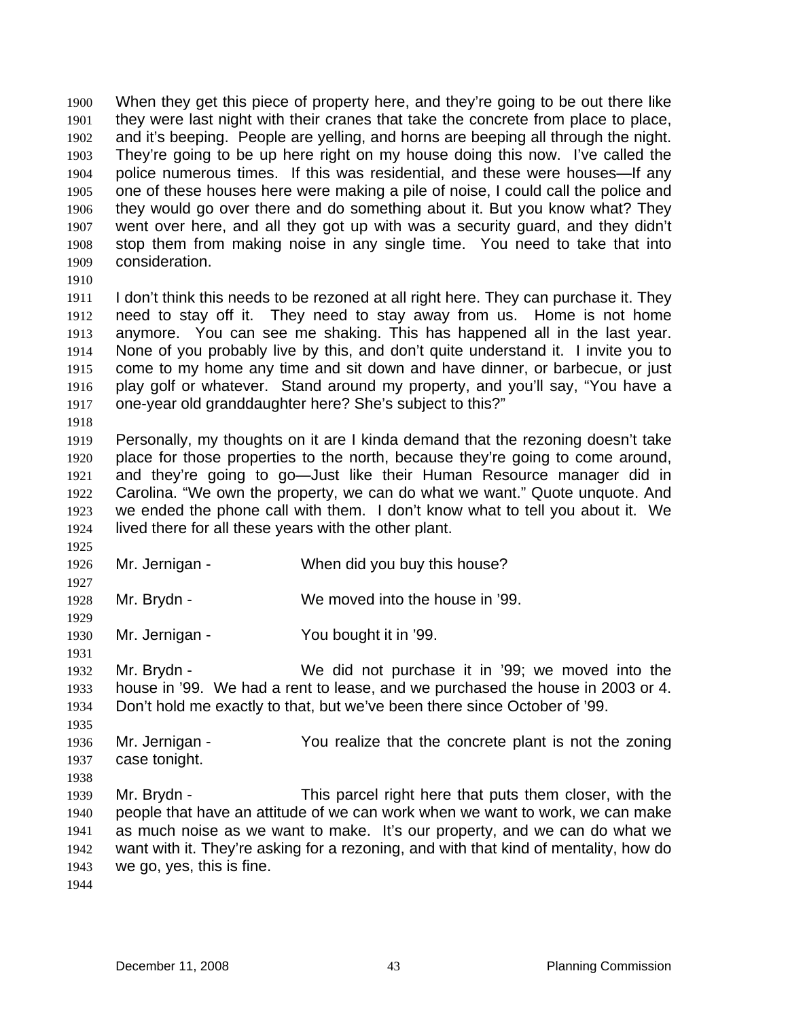When they get this piece of property here, and they're going to be out there like they were last night with their cranes that take the concrete from place to place, and it's beeping. People are yelling, and horns are beeping all through the night. They're going to be up here right on my house doing this now. I've called the police numerous times. If this was residential, and these were houses—If any one of these houses here were making a pile of noise, I could call the police and they would go over there and do something about it. But you know what? They went over here, and all they got up with was a security guard, and they didn't stop them from making noise in any single time. You need to take that into consideration. 1900 1901 1902 1903 1904 1905 1906 1907 1908 1909

1910

1911 1912 1913 1914 1915 1916 1917 I don't think this needs to be rezoned at all right here. They can purchase it. They need to stay off it. They need to stay away from us. Home is not home anymore. You can see me shaking. This has happened all in the last year. None of you probably live by this, and don't quite understand it. I invite you to come to my home any time and sit down and have dinner, or barbecue, or just play golf or whatever. Stand around my property, and you'll say, "You have a one-year old granddaughter here? She's subject to this?"

1918

1925

1927

1929

1931

1919 1920 1921 1922 1923 1924 Personally, my thoughts on it are I kinda demand that the rezoning doesn't take place for those properties to the north, because they're going to come around, and they're going to go—Just like their Human Resource manager did in Carolina. "We own the property, we can do what we want." Quote unquote. And we ended the phone call with them. I don't know what to tell you about it. We lived there for all these years with the other plant.

1926 Mr. Jernigan - When did you buy this house?

1928 Mr. Brydn - We moved into the house in '99.

1930 Mr. Jernigan - You bought it in '99.

1932 1933 1934 Mr. Brydn - We did not purchase it in '99; we moved into the house in '99. We had a rent to lease, and we purchased the house in 2003 or 4. Don't hold me exactly to that, but we've been there since October of '99.

- 1935 1936 1937 Mr. Jernigan - The You realize that the concrete plant is not the zoning case tonight.
- 1939 1940 1941 1942 1943 Mr. Brydn - This parcel right here that puts them closer, with the people that have an attitude of we can work when we want to work, we can make as much noise as we want to make. It's our property, and we can do what we want with it. They're asking for a rezoning, and with that kind of mentality, how do we go, yes, this is fine.
- 1944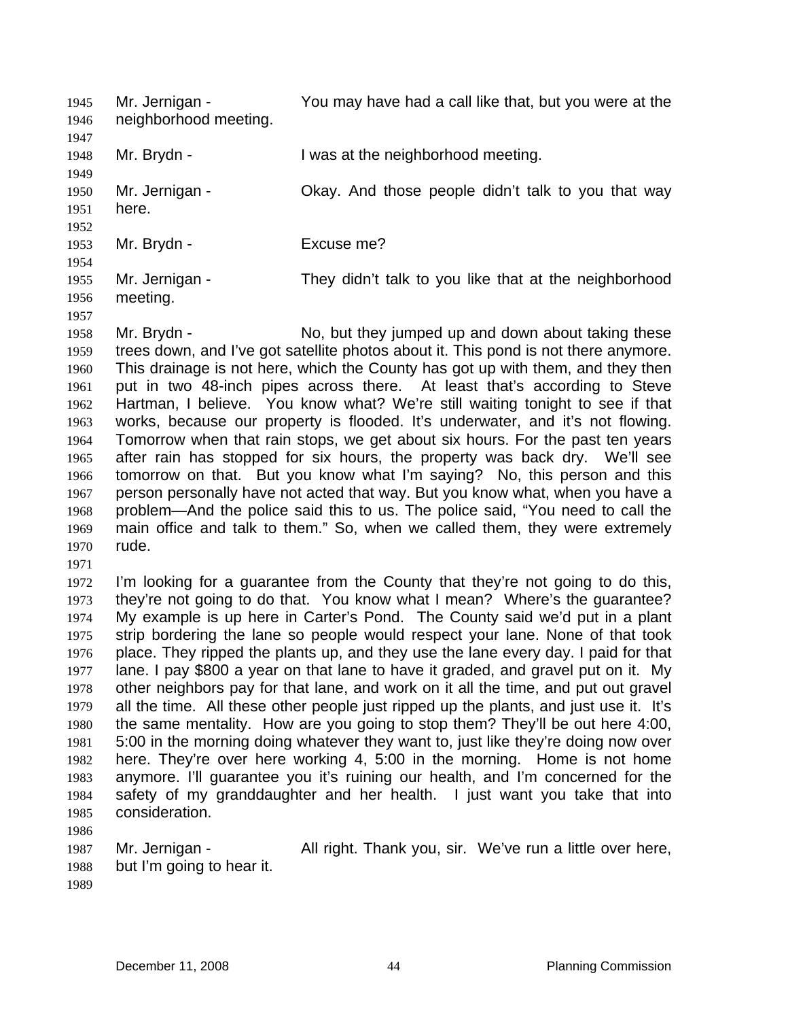Mr. Jernigan - You may have had a call like that, but you were at the neighborhood meeting. 1945 1946 1947 1948 1949 1950 1951 1952 1953 1954 1955 1956 1957 1958 1959 Mr. Brydn - The Musta at the neighborhood meeting. Mr. Jernigan - Ckay. And those people didn't talk to you that way here. Mr. Brydn - Fxcuse me? Mr. Jernigan - They didn't talk to you like that at the neighborhood meeting. Mr. Brydn - No, but they jumped up and down about taking these trees down, and I've got satellite photos about it. This pond is not there anymore.

1960 1961 1962 1963 1964 1965 1966 1967 1968 1969 1970 This drainage is not here, which the County has got up with them, and they then put in two 48-inch pipes across there. At least that's according to Steve Hartman, I believe. You know what? We're still waiting tonight to see if that works, because our property is flooded. It's underwater, and it's not flowing. Tomorrow when that rain stops, we get about six hours. For the past ten years after rain has stopped for six hours, the property was back dry. We'll see tomorrow on that. But you know what I'm saying? No, this person and this person personally have not acted that way. But you know what, when you have a problem—And the police said this to us. The police said, "You need to call the main office and talk to them." So, when we called them, they were extremely rude.

1971

1972 1973 1974 1975 1976 1977 1978 1979 1980 1981 1982 1983 1984 1985 I'm looking for a guarantee from the County that they're not going to do this, they're not going to do that. You know what I mean? Where's the guarantee? My example is up here in Carter's Pond. The County said we'd put in a plant strip bordering the lane so people would respect your lane. None of that took place. They ripped the plants up, and they use the lane every day. I paid for that lane. I pay \$800 a year on that lane to have it graded, and gravel put on it. My other neighbors pay for that lane, and work on it all the time, and put out gravel all the time. All these other people just ripped up the plants, and just use it. It's the same mentality. How are you going to stop them? They'll be out here 4:00, 5:00 in the morning doing whatever they want to, just like they're doing now over here. They're over here working 4, 5:00 in the morning. Home is not home anymore. I'll guarantee you it's ruining our health, and I'm concerned for the safety of my granddaughter and her health. I just want you take that into consideration.

1986

1987 1988 1989 Mr. Jernigan - All right. Thank you, sir. We've run a little over here, but I'm going to hear it.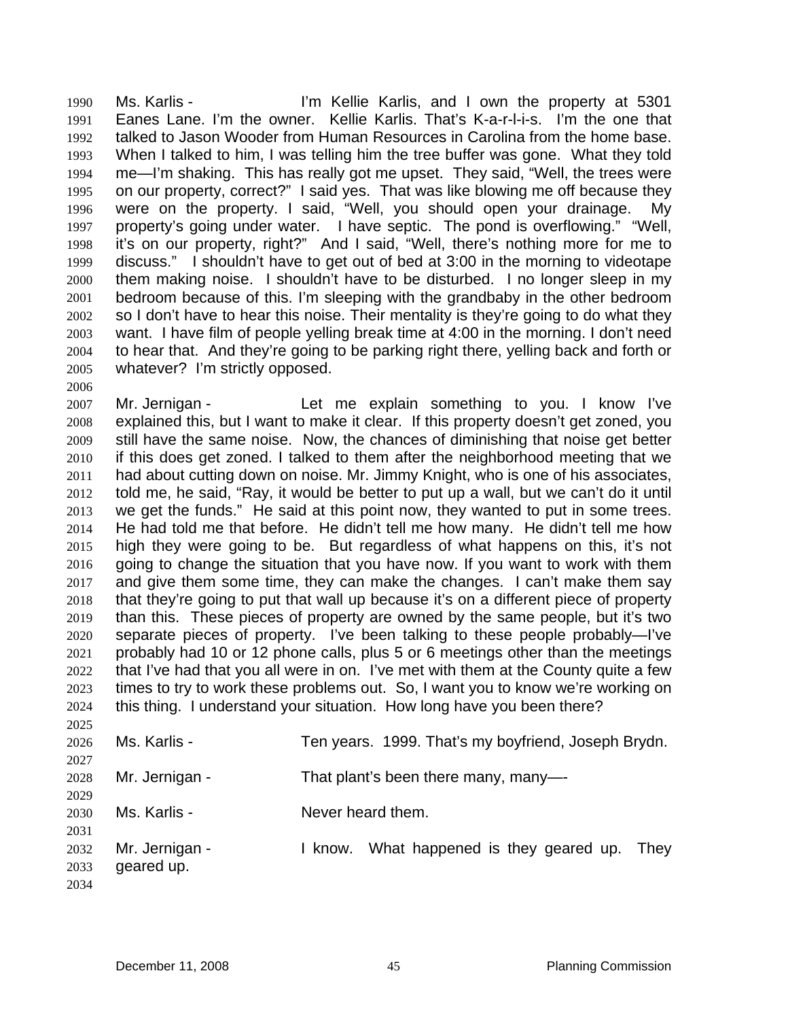Ms. Karlis - I'm Kellie Karlis, and I own the property at 5301 Eanes Lane. I'm the owner. Kellie Karlis. That's K-a-r-l-i-s. I'm the one that talked to Jason Wooder from Human Resources in Carolina from the home base. When I talked to him, I was telling him the tree buffer was gone. What they told me—I'm shaking. This has really got me upset. They said, "Well, the trees were on our property, correct?" I said yes. That was like blowing me off because they were on the property. I said, "Well, you should open your drainage. My property's going under water. I have septic. The pond is overflowing." "Well, it's on our property, right?" And I said, "Well, there's nothing more for me to discuss." I shouldn't have to get out of bed at 3:00 in the morning to videotape them making noise. I shouldn't have to be disturbed. I no longer sleep in my bedroom because of this. I'm sleeping with the grandbaby in the other bedroom so I don't have to hear this noise. Their mentality is they're going to do what they want. I have film of people yelling break time at 4:00 in the morning. I don't need to hear that. And they're going to be parking right there, yelling back and forth or whatever? I'm strictly opposed. 1990 1991 1992 1993 1994 1995 1996 1997 1998 1999 2000 2001 2002 2003 2004 2005

2007 2008 2009 2010 2011 2012 2013 2014 2015 2016 2017 2018 2019 2020 2021 2022 2023 2024 Mr. Jernigan - The Let me explain something to you. I know I've explained this, but I want to make it clear. If this property doesn't get zoned, you still have the same noise. Now, the chances of diminishing that noise get better if this does get zoned. I talked to them after the neighborhood meeting that we had about cutting down on noise. Mr. Jimmy Knight, who is one of his associates, told me, he said, "Ray, it would be better to put up a wall, but we can't do it until we get the funds." He said at this point now, they wanted to put in some trees. He had told me that before. He didn't tell me how many. He didn't tell me how high they were going to be. But regardless of what happens on this, it's not going to change the situation that you have now. If you want to work with them and give them some time, they can make the changes. I can't make them say that they're going to put that wall up because it's on a different piece of property than this. These pieces of property are owned by the same people, but it's two separate pieces of property. I've been talking to these people probably—I've probably had 10 or 12 phone calls, plus 5 or 6 meetings other than the meetings that I've had that you all were in on. I've met with them at the County quite a few times to try to work these problems out. So, I want you to know we're working on this thing. I understand your situation. How long have you been there?

| 2025 |                |                                                     |
|------|----------------|-----------------------------------------------------|
| 2026 | Ms. Karlis -   | Ten years. 1999. That's my boyfriend, Joseph Brydn. |
| 2027 |                |                                                     |
| 2028 | Mr. Jernigan - | That plant's been there many, many-                 |
| 2029 |                |                                                     |
| 2030 | Ms. Karlis -   | Never heard them.                                   |
| 2031 |                |                                                     |
| 2032 | Mr. Jernigan - | What happened is they geared up.<br>They<br>I know. |
| 2033 | geared up.     |                                                     |
| 2034 |                |                                                     |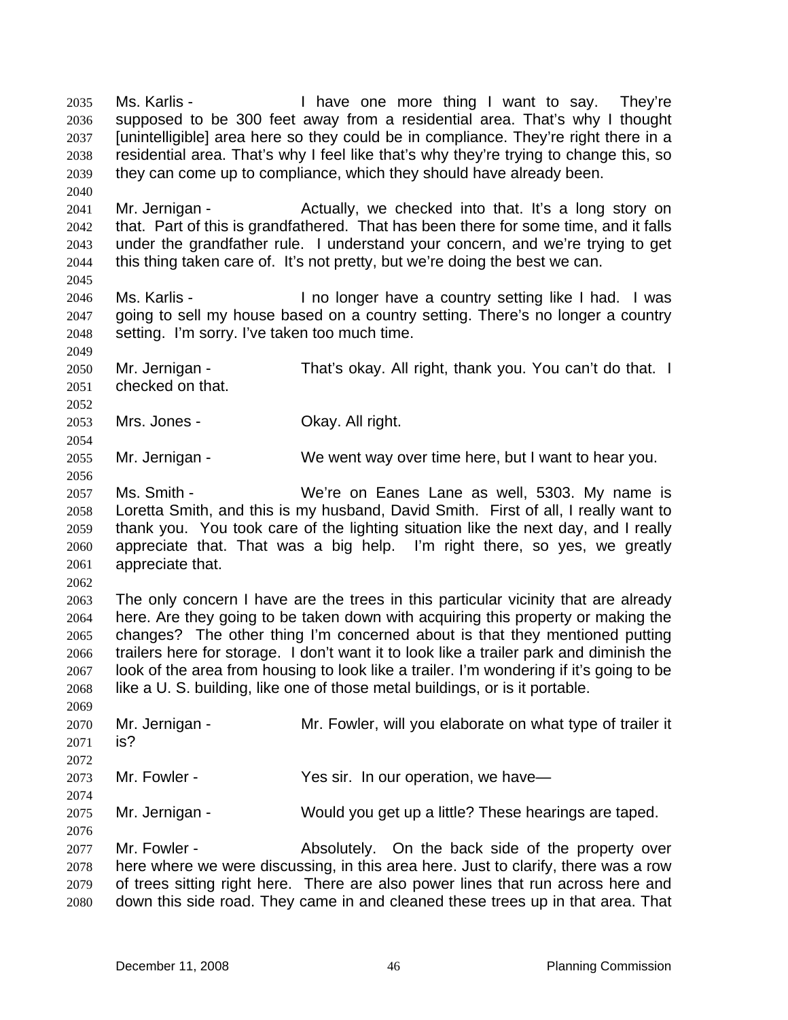Ms. Karlis - They're I have one more thing I want to say. They're supposed to be 300 feet away from a residential area. That's why I thought [unintelligible] area here so they could be in compliance. They're right there in a residential area. That's why I feel like that's why they're trying to change this, so they can come up to compliance, which they should have already been. 2035 2036 2037 2038 2039 2040 2041 2042 2043 2044 2045 2046 2047 2048 2049 2050 2051 2052 2053 2054 2055 2056 2057 2058 2059 2060 2061 2062 2063 2064 2065 2066 2067 2068 2069 2070 2071 2072 2073 2074 2075 2076 2077 2078 2079 2080 Mr. Jernigan - Actually, we checked into that. It's a long story on that. Part of this is grandfathered. That has been there for some time, and it falls under the grandfather rule. I understand your concern, and we're trying to get this thing taken care of. It's not pretty, but we're doing the best we can. Ms. Karlis - I no longer have a country setting like I had. I was going to sell my house based on a country setting. There's no longer a country setting. I'm sorry. I've taken too much time. Mr. Jernigan - That's okay. All right, thank you. You can't do that. I checked on that. Mrs. Jones - **Okay. All right.** Mr. Jernigan - We went way over time here, but I want to hear you. Ms. Smith - We're on Eanes Lane as well, 5303. My name is Loretta Smith, and this is my husband, David Smith. First of all, I really want to thank you. You took care of the lighting situation like the next day, and I really appreciate that. That was a big help. I'm right there, so yes, we greatly appreciate that. The only concern I have are the trees in this particular vicinity that are already here. Are they going to be taken down with acquiring this property or making the changes? The other thing I'm concerned about is that they mentioned putting trailers here for storage. I don't want it to look like a trailer park and diminish the look of the area from housing to look like a trailer. I'm wondering if it's going to be like a U. S. building, like one of those metal buildings, or is it portable. Mr. Jernigan - Mr. Fowler, will you elaborate on what type of trailer it is? Mr. Fowler - Yes sir. In our operation, we have— Mr. Jernigan - Would you get up a little? These hearings are taped. Mr. Fowler - The Absolutely. On the back side of the property over here where we were discussing, in this area here. Just to clarify, there was a row of trees sitting right here. There are also power lines that run across here and down this side road. They came in and cleaned these trees up in that area. That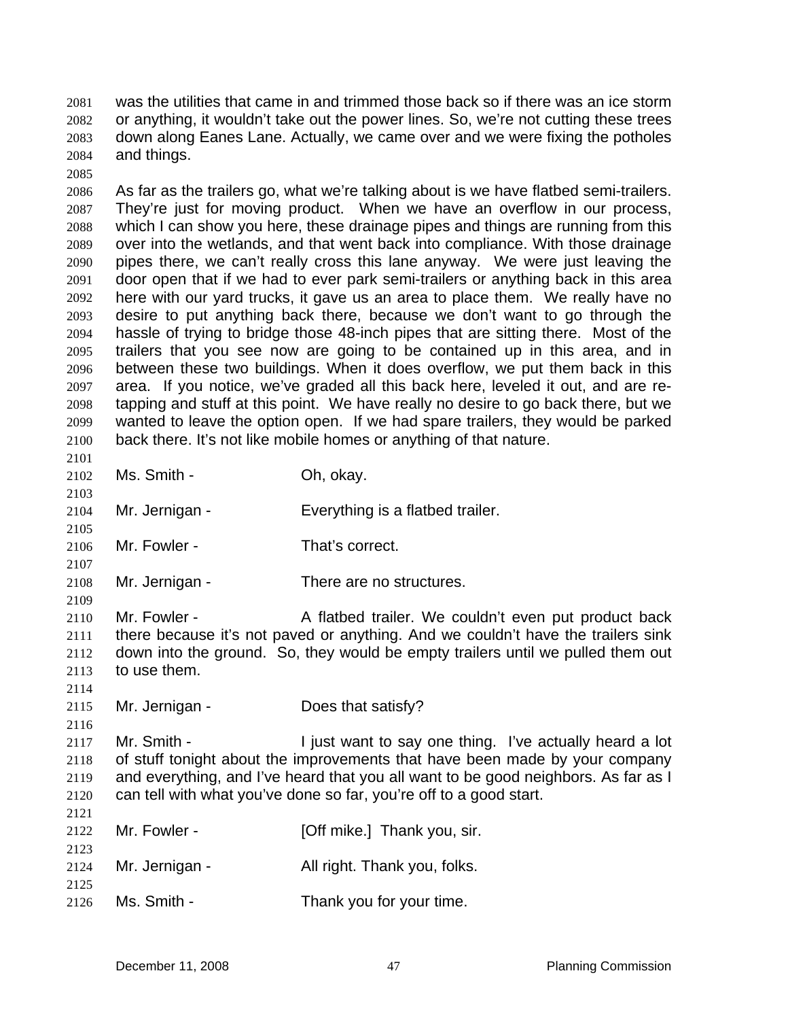was the utilities that came in and trimmed those back so if there was an ice storm or anything, it wouldn't take out the power lines. So, we're not cutting these trees down along Eanes Lane. Actually, we came over and we were fixing the potholes and things. 2081 2082 2083 2084

2086 2087 2088 2089 2090 2091 2092 2093 2094 2095 2096 2097 2098 2099 2100 As far as the trailers go, what we're talking about is we have flatbed semi-trailers. They're just for moving product. When we have an overflow in our process, which I can show you here, these drainage pipes and things are running from this over into the wetlands, and that went back into compliance. With those drainage pipes there, we can't really cross this lane anyway. We were just leaving the door open that if we had to ever park semi-trailers or anything back in this area here with our yard trucks, it gave us an area to place them. We really have no desire to put anything back there, because we don't want to go through the hassle of trying to bridge those 48-inch pipes that are sitting there. Most of the trailers that you see now are going to be contained up in this area, and in between these two buildings. When it does overflow, we put them back in this area. If you notice, we've graded all this back here, leveled it out, and are retapping and stuff at this point. We have really no desire to go back there, but we wanted to leave the option open. If we had spare trailers, they would be parked back there. It's not like mobile homes or anything of that nature.

2102 Ms. Smith - Ch. okay.

2085

2101

2103

2105

2107

2109

2116

2121

- 2104 Mr. Jernigan - Everything is a flatbed trailer.
- 2106 Mr. Fowler - That's correct.
- 2108 Mr. Jernigan - There are no structures.

2110 2111 2112 2113 2114 Mr. Fowler - A flatbed trailer. We couldn't even put product back there because it's not paved or anything. And we couldn't have the trailers sink down into the ground. So, they would be empty trailers until we pulled them out to use them.

2115 Mr. Jernigan - Does that satisfy?

2117 2118 2119 2120 Mr. Smith - I just want to say one thing. I've actually heard a lot of stuff tonight about the improvements that have been made by your company and everything, and I've heard that you all want to be good neighbors. As far as I can tell with what you've done so far, you're off to a good start.

| 2122         | Mr. Fowler -   | [Off mike.] Thank you, sir.  |
|--------------|----------------|------------------------------|
| 2123<br>2124 | Mr. Jernigan - | All right. Thank you, folks. |
| 2125<br>2126 | Ms. Smith -    | Thank you for your time.     |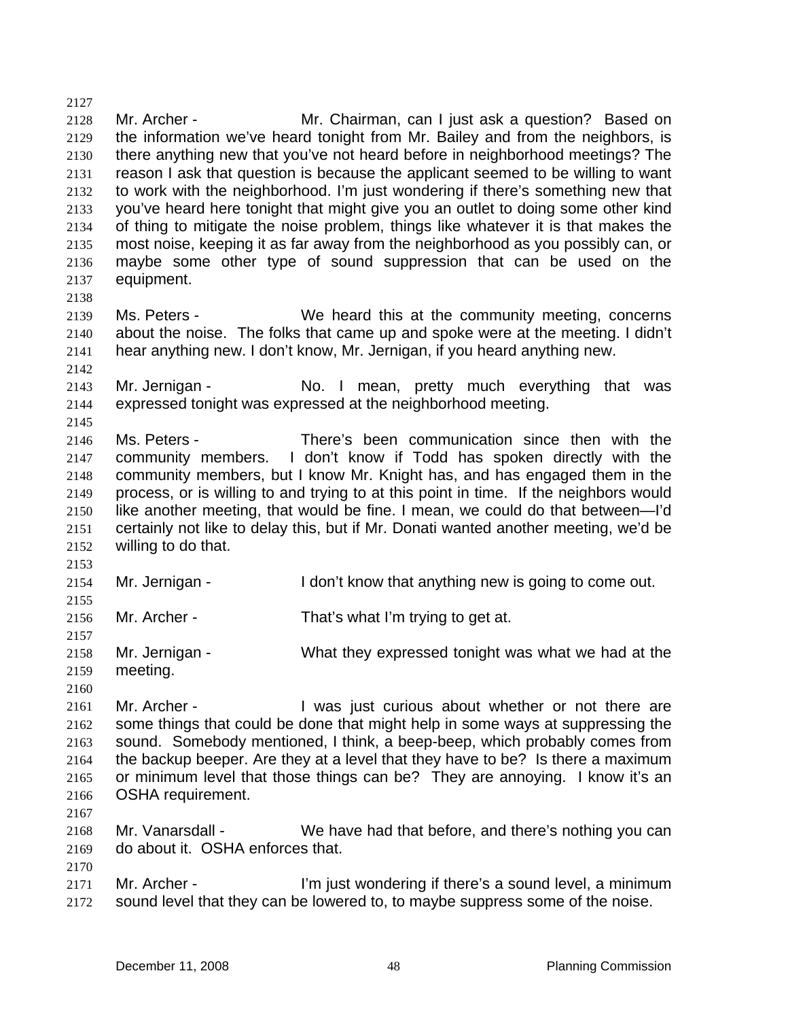2128 2129 2130 2131 2132 2133 2134 2135 2136 2137 2138 2139 2140 2141 2142 2143 2144 2145 2146 2147 2148 2149 2150 2151 2152 2153 2154 2155 2156 2157 2158 2159 2160 2161 2162 2163 2164 2165 2166 2167 2168 2169 2170 2171 2172 Mr. Archer - **Mr. Chairman, can I just ask a question?** Based on the information we've heard tonight from Mr. Bailey and from the neighbors, is there anything new that you've not heard before in neighborhood meetings? The reason I ask that question is because the applicant seemed to be willing to want to work with the neighborhood. I'm just wondering if there's something new that you've heard here tonight that might give you an outlet to doing some other kind of thing to mitigate the noise problem, things like whatever it is that makes the most noise, keeping it as far away from the neighborhood as you possibly can, or maybe some other type of sound suppression that can be used on the equipment. Ms. Peters - We heard this at the community meeting, concerns about the noise. The folks that came up and spoke were at the meeting. I didn't hear anything new. I don't know, Mr. Jernigan, if you heard anything new. Mr. Jernigan - No. I mean, pretty much everything that was expressed tonight was expressed at the neighborhood meeting. Ms. Peters - There's been communication since then with the community members. I don't know if Todd has spoken directly with the community members, but I know Mr. Knight has, and has engaged them in the process, or is willing to and trying to at this point in time. If the neighbors would like another meeting, that would be fine. I mean, we could do that between—I'd certainly not like to delay this, but if Mr. Donati wanted another meeting, we'd be willing to do that. Mr. Jernigan - The I don't know that anything new is going to come out. Mr. Archer - That's what I'm trying to get at. Mr. Jernigan - What they expressed tonight was what we had at the meeting. Mr. Archer - I was just curious about whether or not there are some things that could be done that might help in some ways at suppressing the sound. Somebody mentioned, I think, a beep-beep, which probably comes from the backup beeper. Are they at a level that they have to be? Is there a maximum or minimum level that those things can be? They are annoying. I know it's an OSHA requirement. Mr. Vanarsdall - We have had that before, and there's nothing you can do about it. OSHA enforces that. Mr. Archer - I'm just wondering if there's a sound level, a minimum sound level that they can be lowered to, to maybe suppress some of the noise.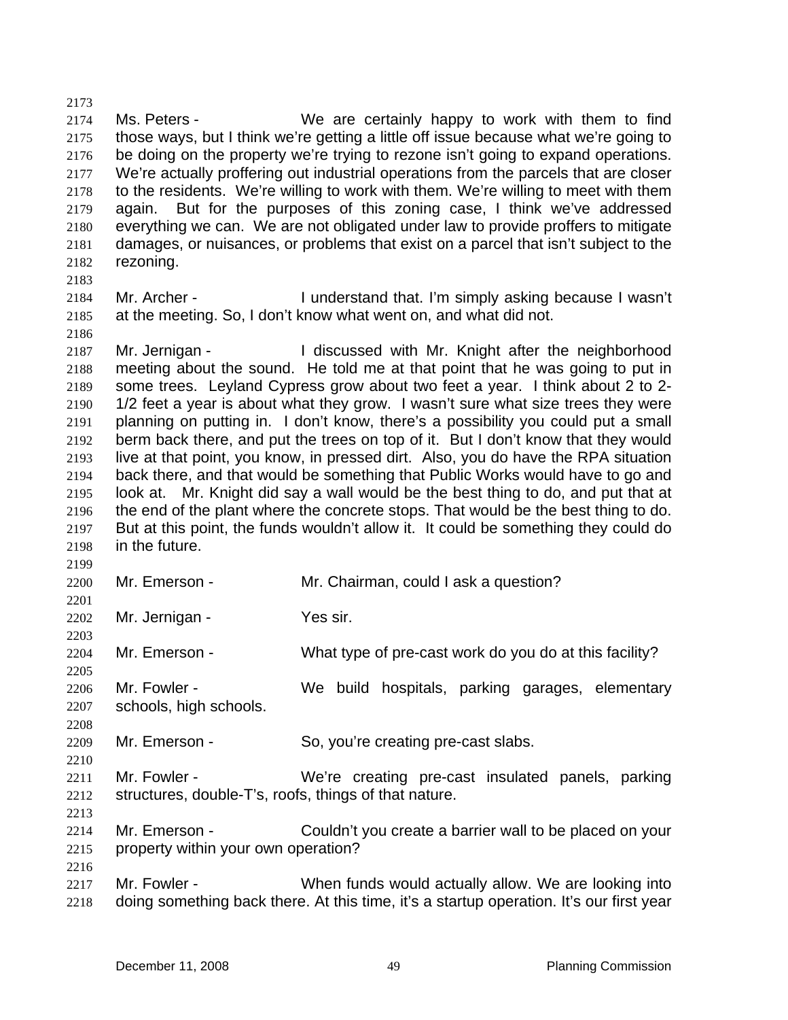2173 2174 2175 2176 2177 2178 2179 2180 2181 2182 Ms. Peters - We are certainly happy to work with them to find those ways, but I think we're getting a little off issue because what we're going to be doing on the property we're trying to rezone isn't going to expand operations. We're actually proffering out industrial operations from the parcels that are closer to the residents. We're willing to work with them. We're willing to meet with them again. But for the purposes of this zoning case, I think we've addressed everything we can. We are not obligated under law to provide proffers to mitigate damages, or nuisances, or problems that exist on a parcel that isn't subject to the rezoning.

2183 2184 2185 Mr. Archer - I understand that. I'm simply asking because I wasn't at the meeting. So, I don't know what went on, and what did not.

2187 2188 2189 2190 2191 2192 2193 2194 2195 2196 2197 2198 Mr. Jernigan - I discussed with Mr. Knight after the neighborhood meeting about the sound. He told me at that point that he was going to put in some trees. Leyland Cypress grow about two feet a year. I think about 2 to 2- 1/2 feet a year is about what they grow. I wasn't sure what size trees they were planning on putting in. I don't know, there's a possibility you could put a small berm back there, and put the trees on top of it. But I don't know that they would live at that point, you know, in pressed dirt. Also, you do have the RPA situation back there, and that would be something that Public Works would have to go and look at. Mr. Knight did say a wall would be the best thing to do, and put that at the end of the plant where the concrete stops. That would be the best thing to do. But at this point, the funds wouldn't allow it. It could be something they could do in the future.

| 2200 | Mr. Emerson -                                         | Mr. Chairman, could I ask a question?                                                   |
|------|-------------------------------------------------------|-----------------------------------------------------------------------------------------|
| 2201 |                                                       |                                                                                         |
| 2202 | Mr. Jernigan -                                        | Yes sir.                                                                                |
| 2203 |                                                       |                                                                                         |
| 2204 | Mr. Emerson -                                         | What type of pre-cast work do you do at this facility?                                  |
| 2205 |                                                       |                                                                                         |
| 2206 | Mr. Fowler -                                          | We build hospitals, parking garages, elementary                                         |
| 2207 | schools, high schools.                                |                                                                                         |
| 2208 |                                                       |                                                                                         |
| 2209 | Mr. Emerson -                                         | So, you're creating pre-cast slabs.                                                     |
| 2210 |                                                       |                                                                                         |
| 2211 | Mr. Fowler -                                          | We're creating pre-cast insulated panels, parking                                       |
| 2212 | structures, double-T's, roofs, things of that nature. |                                                                                         |
| 2213 |                                                       |                                                                                         |
| 2214 | Mr. Emerson -                                         | Couldn't you create a barrier wall to be placed on your                                 |
| 2215 | property within your own operation?                   |                                                                                         |
| 2216 |                                                       |                                                                                         |
| 2217 | Mr. Fowler -                                          | When funds would actually allow. We are looking into                                    |
| 2218 |                                                       | doing something back there. At this time, it's a startup operation. It's our first year |

2186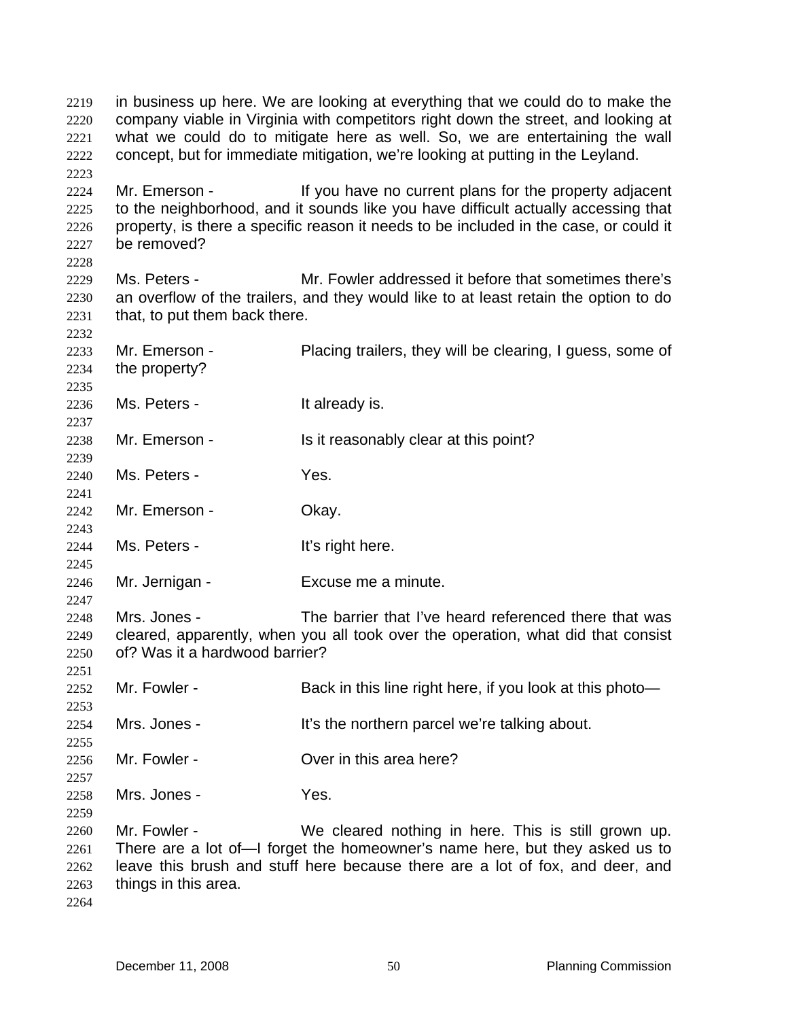in business up here. We are looking at everything that we could do to make the company viable in Virginia with competitors right down the street, and looking at what we could do to mitigate here as well. So, we are entertaining the wall concept, but for immediate mitigation, we're looking at putting in the Leyland. 2219 2220 2221 2222 2223 2224 2225 2226 2227 2228 2229 2230 2231 2232 2233 2234 2235 2236 2237 2238 2239 2240 2241 2242 2243 2244 2245 2246 2247 2248 2249 2250 2251 2252 2253 2254 2255 2256 2257 2258 2259 2260 2261 2262 2263 2264 Mr. Emerson - If you have no current plans for the property adjacent to the neighborhood, and it sounds like you have difficult actually accessing that property, is there a specific reason it needs to be included in the case, or could it be removed? Ms. Peters - Mr. Fowler addressed it before that sometimes there's an overflow of the trailers, and they would like to at least retain the option to do that, to put them back there. Mr. Emerson - Placing trailers, they will be clearing, I guess, some of the property? Ms. Peters - The Music Peters - The Music Peters and It already is. Mr. Emerson - Is it reasonably clear at this point? Ms. Peters - Yes. Mr. Emerson - Ckay. Ms. Peters - The Music Reference of the Music Peters and It's right here. Mr. Jernigan - Excuse me a minute. Mrs. Jones - The barrier that I've heard referenced there that was cleared, apparently, when you all took over the operation, what did that consist of? Was it a hardwood barrier? Mr. Fowler - Back in this line right here, if you look at this photo— Mrs. Jones - It's the northern parcel we're talking about. Mr. Fowler - **Over in this area here?** Mrs. Jones - Yes. Mr. Fowler - We cleared nothing in here. This is still grown up. There are a lot of—I forget the homeowner's name here, but they asked us to leave this brush and stuff here because there are a lot of fox, and deer, and things in this area.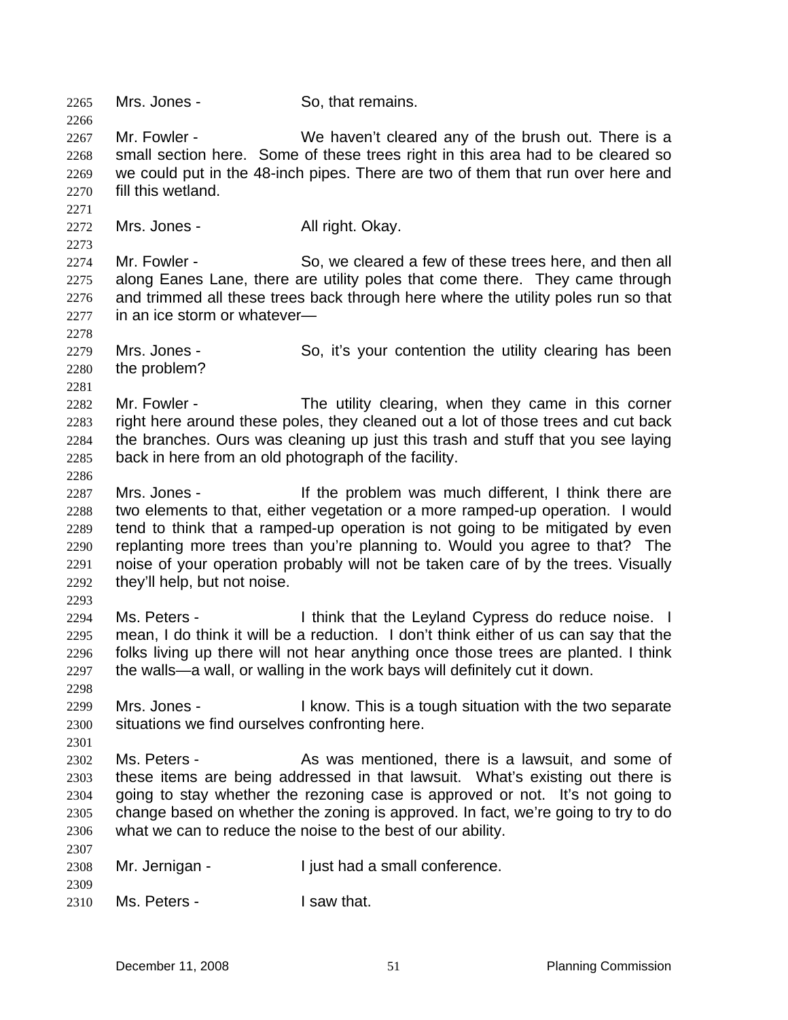2265 Mrs. Jones - So, that remains. 2266 2267 2268 2269 2270 2271 2272 2273 2274 2275 2276 2277 2278 2279 2280 2281 2282 2283 2284 2285 2286 2287 2288 2289 2290 2291 2292 2293 2294 2295 2296 2297 2298 2299 2300 2301 2302 2303 2304 2305 2306 2307 2308 2309 2310 Mr. Fowler - We haven't cleared any of the brush out. There is a small section here. Some of these trees right in this area had to be cleared so we could put in the 48-inch pipes. There are two of them that run over here and fill this wetland. Mrs. Jones - **All right. Okay.** Mr. Fowler - So, we cleared a few of these trees here, and then all along Eanes Lane, there are utility poles that come there. They came through and trimmed all these trees back through here where the utility poles run so that in an ice storm or whatever— Mrs. Jones - So, it's your contention the utility clearing has been the problem? Mr. Fowler - The utility clearing, when they came in this corner right here around these poles, they cleaned out a lot of those trees and cut back the branches. Ours was cleaning up just this trash and stuff that you see laying back in here from an old photograph of the facility. Mrs. Jones - If the problem was much different, I think there are two elements to that, either vegetation or a more ramped-up operation. I would tend to think that a ramped-up operation is not going to be mitigated by even replanting more trees than you're planning to. Would you agree to that? The noise of your operation probably will not be taken care of by the trees. Visually they'll help, but not noise. Ms. Peters - I think that the Leyland Cypress do reduce noise. I mean, I do think it will be a reduction. I don't think either of us can say that the folks living up there will not hear anything once those trees are planted. I think the walls—a wall, or walling in the work bays will definitely cut it down. Mrs. Jones - I know. This is a tough situation with the two separate situations we find ourselves confronting here. Ms. Peters - The As was mentioned, there is a lawsuit, and some of these items are being addressed in that lawsuit. What's existing out there is going to stay whether the rezoning case is approved or not. It's not going to change based on whether the zoning is approved. In fact, we're going to try to do what we can to reduce the noise to the best of our ability. Mr. Jernigan - I just had a small conference. Ms. Peters - The Usaw that.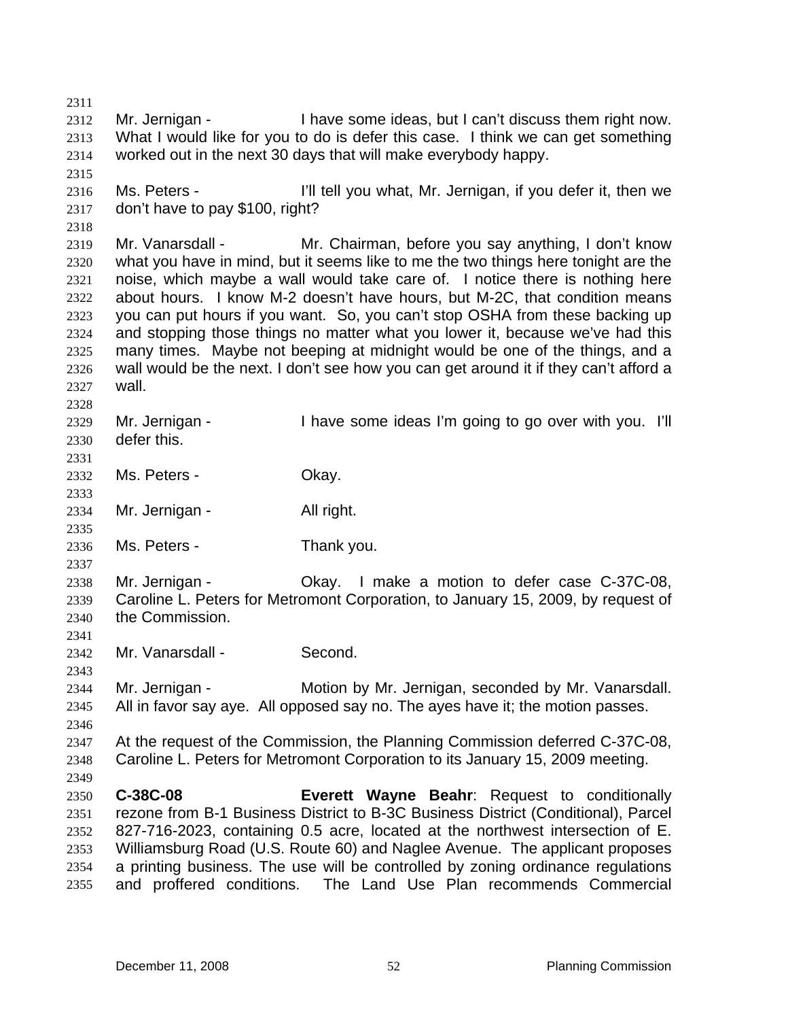2311 2312 2313 2314 2315 2316 2317 2318 2319 2320 2321 2322 2323 2324 2325 2326 2327 2328 2329 2330 2331 2332 2333 2334 2335 2336 2337 2338 2339 2340 2341 2342 2343 2344 2345 2346 2347 2348 2349 2350 2351 2352 2353 2354 2355 Mr. Jernigan - I have some ideas, but I can't discuss them right now. What I would like for you to do is defer this case. I think we can get something worked out in the next 30 days that will make everybody happy. Ms. Peters - I'll tell you what, Mr. Jernigan, if you defer it, then we don't have to pay \$100, right? Mr. Vanarsdall - Mr. Chairman, before you say anything, I don't know what you have in mind, but it seems like to me the two things here tonight are the noise, which maybe a wall would take care of. I notice there is nothing here about hours. I know M-2 doesn't have hours, but M-2C, that condition means you can put hours if you want. So, you can't stop OSHA from these backing up and stopping those things no matter what you lower it, because we've had this many times. Maybe not beeping at midnight would be one of the things, and a wall would be the next. I don't see how you can get around it if they can't afford a wall. Mr. Jernigan - Thave some ideas I'm going to go over with you. I'll defer this. Ms. Peters - Chay. Mr. Jernigan - All right. Ms. Peters - Thank you. Mr. Jernigan - Okay. I make a motion to defer case C-37C-08, Caroline L. Peters for Metromont Corporation, to January 15, 2009, by request of the Commission. Mr. Vanarsdall - Second. Mr. Jernigan - **Motion by Mr. Jernigan, seconded by Mr. Vanarsdall.** All in favor say aye. All opposed say no. The ayes have it; the motion passes. At the request of the Commission, the Planning Commission deferred C-37C-08, Caroline L. Peters for Metromont Corporation to its January 15, 2009 meeting. **C-38C-08 Everett Wayne Beahr**: Request to conditionally rezone from B-1 Business District to B-3C Business District (Conditional), Parcel 827-716-2023, containing 0.5 acre, located at the northwest intersection of E. Williamsburg Road (U.S. Route 60) and Naglee Avenue. The applicant proposes a printing business. The use will be controlled by zoning ordinance regulations and proffered conditions. The Land Use Plan recommends Commercial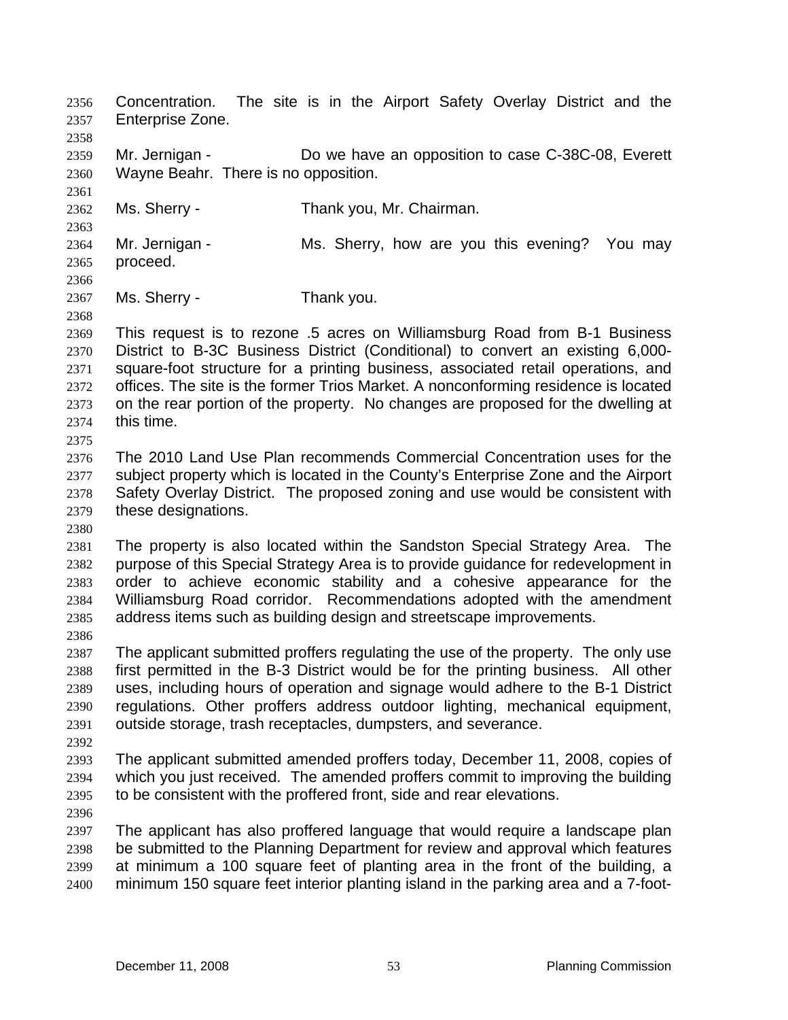Concentration. The site is in the Airport Safety Overlay District and the Enterprise Zone. 2356 2357

2359 2360 Mr. Jernigan - **Do we have an opposition to case C-38C-08, Everett** Wayne Beahr. There is no opposition.

2362 Ms. Sherry - Thank you, Mr. Chairman.

2364 2365 2366 Mr. Jernigan - Ms. Sherry, how are you this evening? You may proceed.

2367 Ms. Sherry - Thank you.

2369 2370 2371 2372 2373 2374 2375 This request is to rezone .5 acres on Williamsburg Road from B-1 Business District to B-3C Business District (Conditional) to convert an existing 6,000 square-foot structure for a printing business, associated retail operations, and offices. The site is the former Trios Market. A nonconforming residence is located on the rear portion of the property. No changes are proposed for the dwelling at this time.

2376 2377 2378 2379 The 2010 Land Use Plan recommends Commercial Concentration uses for the subject property which is located in the County's Enterprise Zone and the Airport Safety Overlay District. The proposed zoning and use would be consistent with these designations.

2380

2358

2361

2363

2368

2381 2382 2383 2384 2385 The property is also located within the Sandston Special Strategy Area. The purpose of this Special Strategy Area is to provide guidance for redevelopment in order to achieve economic stability and a cohesive appearance for the Williamsburg Road corridor. Recommendations adopted with the amendment address items such as building design and streetscape improvements.

2386

2387 2388 2389 2390 2391 The applicant submitted proffers regulating the use of the property. The only use first permitted in the B-3 District would be for the printing business. All other uses, including hours of operation and signage would adhere to the B-1 District regulations. Other proffers address outdoor lighting, mechanical equipment, outside storage, trash receptacles, dumpsters, and severance.

2392

2393 2394 2395 The applicant submitted amended proffers today, December 11, 2008, copies of which you just received. The amended proffers commit to improving the building to be consistent with the proffered front, side and rear elevations.

2396

2397 2398 2399 2400 The applicant has also proffered language that would require a landscape plan be submitted to the Planning Department for review and approval which features at minimum a 100 square feet of planting area in the front of the building, a minimum 150 square feet interior planting island in the parking area and a 7-foot-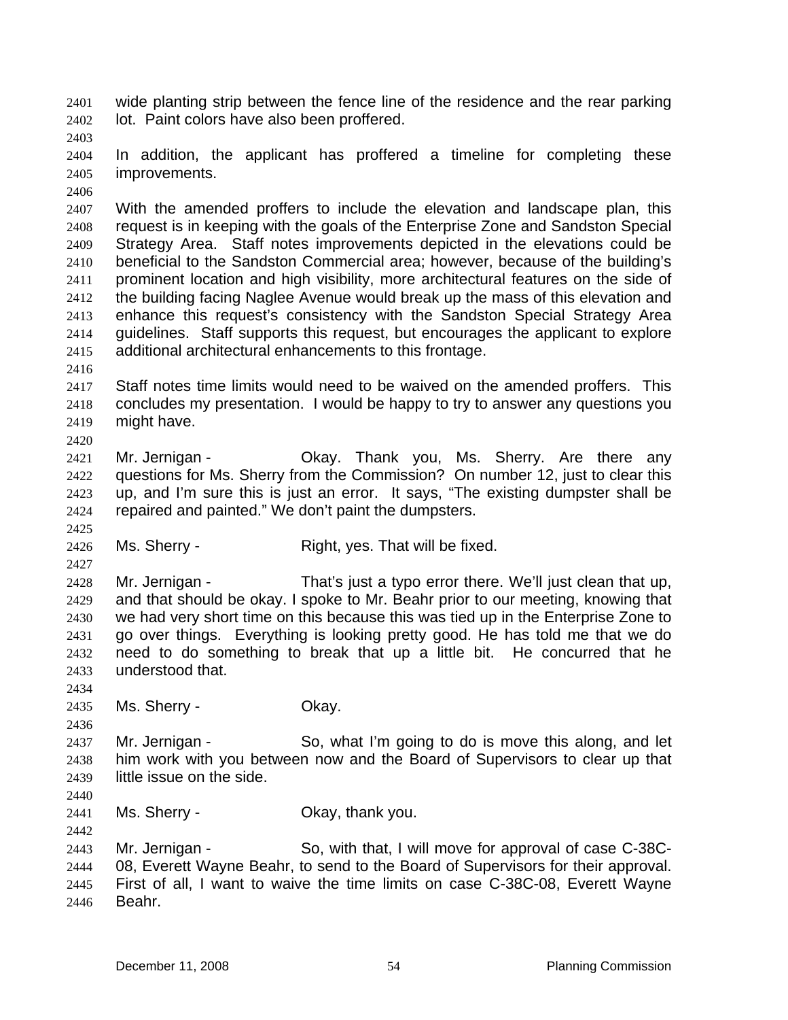wide planting strip between the fence line of the residence and the rear parking lot. Paint colors have also been proffered. 2401 2402

2403

2404 2405 In addition, the applicant has proffered a timeline for completing these improvements.

2406

2407 2408 2409 2410 2411 2412 2413 2414 2415 With the amended proffers to include the elevation and landscape plan, this request is in keeping with the goals of the Enterprise Zone and Sandston Special Strategy Area. Staff notes improvements depicted in the elevations could be beneficial to the Sandston Commercial area; however, because of the building's prominent location and high visibility, more architectural features on the side of the building facing Naglee Avenue would break up the mass of this elevation and enhance this request's consistency with the Sandston Special Strategy Area guidelines. Staff supports this request, but encourages the applicant to explore additional architectural enhancements to this frontage.

2416

2425

2427

2417 2418 2419 2420 Staff notes time limits would need to be waived on the amended proffers. This concludes my presentation. I would be happy to try to answer any questions you might have.

- 2421 2422 2423 2424 Mr. Jernigan - Ckay. Thank you, Ms. Sherry. Are there any questions for Ms. Sherry from the Commission? On number 12, just to clear this up, and I'm sure this is just an error. It says, "The existing dumpster shall be repaired and painted." We don't paint the dumpsters.
- 2426 Ms. Sherry - Right, yes. That will be fixed.

2428 2429 2430 2431 2432 2433 Mr. Jernigan - That's just a typo error there. We'll just clean that up, and that should be okay. I spoke to Mr. Beahr prior to our meeting, knowing that we had very short time on this because this was tied up in the Enterprise Zone to go over things. Everything is looking pretty good. He has told me that we do need to do something to break that up a little bit. He concurred that he understood that.

2435 Ms. Sherry - Ckay.

2437 2438 2439 Mr. Jernigan - So, what I'm going to do is move this along, and let him work with you between now and the Board of Supervisors to clear up that little issue on the side.

2440

2434

2436

2441 2442 Ms. Sherry - Ckay, thank you.

2443 2444 2445 2446 Mr. Jernigan - So, with that, I will move for approval of case C-38C-08, Everett Wayne Beahr, to send to the Board of Supervisors for their approval. First of all, I want to waive the time limits on case C-38C-08, Everett Wayne Beahr.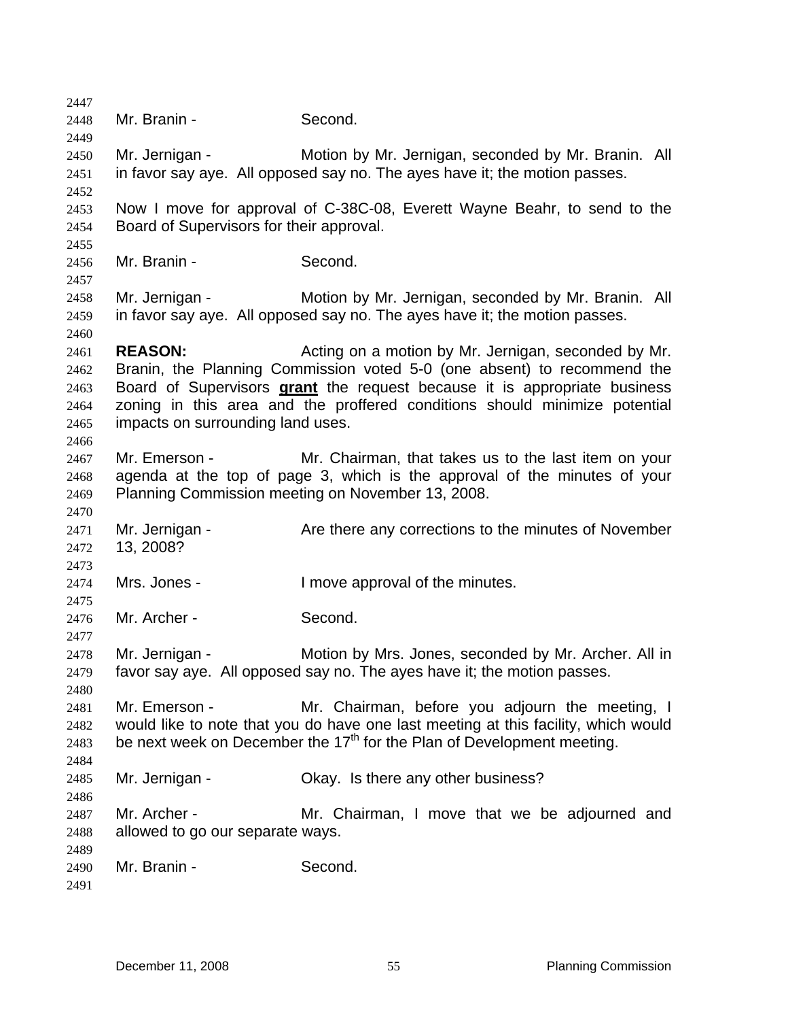2447 2448 2449 2450 2451 2452 2453 2454 2455 2456 2457 2458 2459 2460 2461 2462 Mr. Branin - Second. Mr. Jernigan - **Motion by Mr. Jernigan, seconded by Mr. Branin.** All in favor say aye. All opposed say no. The ayes have it; the motion passes. Now I move for approval of C-38C-08, Everett Wayne Beahr, to send to the Board of Supervisors for their approval. Mr. Branin - Second. Mr. Jernigan - **Motion by Mr. Jernigan, seconded by Mr. Branin.** All in favor say aye. All opposed say no. The ayes have it; the motion passes. **REASON: Acting on a motion by Mr. Jernigan, seconded by Mr.** Branin, the Planning Commission voted 5-0 (one absent) to recommend the Board of Supervisors **grant** the request because it is appropriate business zoning in this area and the proffered conditions should minimize potential impacts on surrounding land uses. 2463 2464 2465 2466 2467 2468 2469 2470 2471 2472 2473 2474 2475 2476 2477 2478 2479 2480 2481 2482 2483 2484 2485 2486 2487 2488 2489 2490 2491 Mr. Emerson - Mr. Chairman, that takes us to the last item on your agenda at the top of page 3, which is the approval of the minutes of your Planning Commission meeting on November 13, 2008. Mr. Jernigan - The State there any corrections to the minutes of November 13, 2008? Mrs. Jones - I move approval of the minutes. Mr. Archer - Second. Mr. Jernigan - Motion by Mrs. Jones, seconded by Mr. Archer. All in favor say aye. All opposed say no. The ayes have it; the motion passes. Mr. Emerson - Mr. Chairman, before you adjourn the meeting, I would like to note that you do have one last meeting at this facility, which would be next week on December the  $17<sup>th</sup>$  for the Plan of Development meeting. Mr. Jernigan - Ckay. Is there any other business? Mr. Archer - The Mr. Chairman, I move that we be adjourned and allowed to go our separate ways. Mr. Branin - Second.